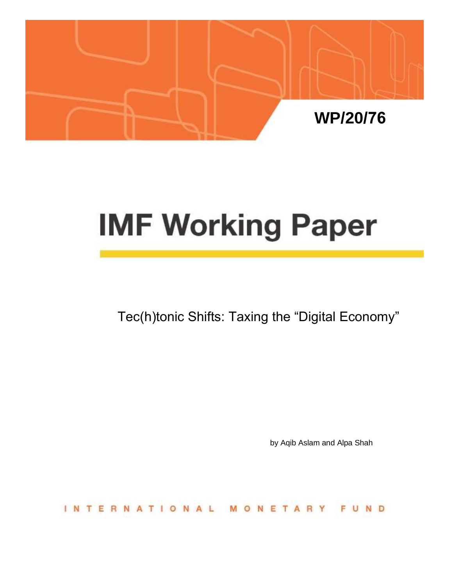

# **IMF Working Paper**

Tec(h)tonic Shifts: Taxing the "Digital Economy"

by Aqib Aslam and Alpa Shah

**INTERNATIONAL** MONETARY FUND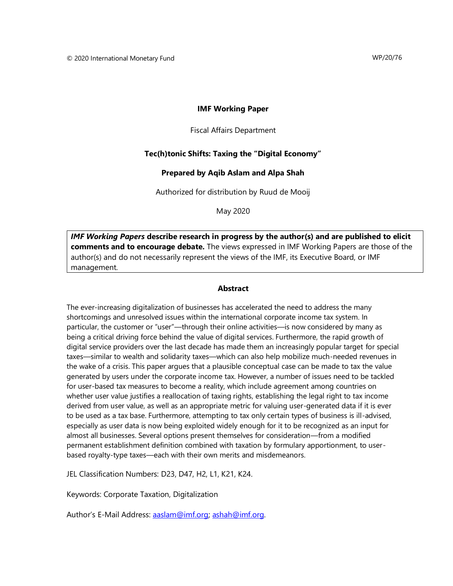#### **IMF Working Paper**

Fiscal Affairs Department

#### **Tec(h)tonic Shifts: Taxing the "Digital Economy"**

#### **Prepared by Aqib Aslam and Alpa Shah**

Authorized for distribution by Ruud de Mooij

May 2020

*IMF Working Papers* **describe research in progress by the author(s) and are published to elicit comments and to encourage debate.** The views expressed in IMF Working Papers are those of the author(s) and do not necessarily represent the views of the IMF, its Executive Board, or IMF management.

#### **Abstract**

The ever-increasing digitalization of businesses has accelerated the need to address the many shortcomings and unresolved issues within the international corporate income tax system. In particular, the customer or "user"—through their online activities—is now considered by many as being a critical driving force behind the value of digital services. Furthermore, the rapid growth of digital service providers over the last decade has made them an increasingly popular target for special taxes—similar to wealth and solidarity taxes—which can also help mobilize much-needed revenues in the wake of a crisis. This paper argues that a plausible conceptual case can be made to tax the value generated by users under the corporate income tax. However, a number of issues need to be tackled for user-based tax measures to become a reality, which include agreement among countries on whether user value justifies a reallocation of taxing rights, establishing the legal right to tax income derived from user value, as well as an appropriate metric for valuing user-generated data if it is ever to be used as a tax base. Furthermore, attempting to tax only certain types of business is ill-advised, especially as user data is now being exploited widely enough for it to be recognized as an input for almost all businesses. Several options present themselves for consideration—from a modified permanent establishment definition combined with taxation by formulary apportionment, to userbased royalty-type taxes—each with their own merits and misdemeanors.

JEL Classification Numbers: D23, D47, H2, L1, K21, K24.

Keywords: Corporate Taxation, Digitalization

Author's E-Mail Address: [aaslam@imf.org;](mailto:aaslam@imf.org) [ashah@imf.org.](mailto:ashah@imf.org)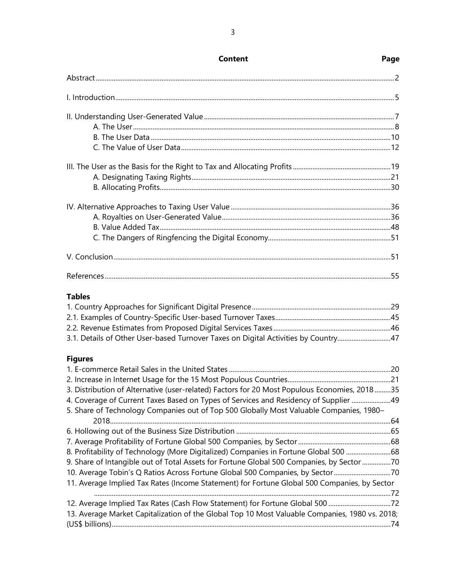| <b>Tables</b>                                                                                                                                                                   |  |  |  |
|---------------------------------------------------------------------------------------------------------------------------------------------------------------------------------|--|--|--|
|                                                                                                                                                                                 |  |  |  |
|                                                                                                                                                                                 |  |  |  |
|                                                                                                                                                                                 |  |  |  |
| 3.1. Details of Other User-based Turnover Taxes on Digital Activities by Country47                                                                                              |  |  |  |
| <b>Figures</b>                                                                                                                                                                  |  |  |  |
|                                                                                                                                                                                 |  |  |  |
|                                                                                                                                                                                 |  |  |  |
| 3. Distribution of Alternative (user-related) Factors for 20 Most Populous Economies, 201835                                                                                    |  |  |  |
| 4. Coverage of Current Taxes Based on Types of Services and Residency of Supplier 49<br>5. Share of Technology Companies out of Top 500 Globally Most Valuable Companies, 1980- |  |  |  |
|                                                                                                                                                                                 |  |  |  |
|                                                                                                                                                                                 |  |  |  |
|                                                                                                                                                                                 |  |  |  |
| 8. Profitability of Technology (More Digitalized) Companies in Fortune Global 500 68                                                                                            |  |  |  |
| 9. Share of Intangible out of Total Assets for Fortune Global 500 Companies, by Sector 70                                                                                       |  |  |  |
| 10. Average Tobin's Q Ratios Across Fortune Global 500 Companies, by Sector70                                                                                                   |  |  |  |
| 11. Average Implied Tax Rates (Income Statement) for Fortune Global 500 Companies, by Sector                                                                                    |  |  |  |
|                                                                                                                                                                                 |  |  |  |
| 13. Average Market Capitalization of the Global Top 10 Most Valuable Companies, 1980 vs. 2018;                                                                                  |  |  |  |
|                                                                                                                                                                                 |  |  |  |
|                                                                                                                                                                                 |  |  |  |

## **Content Page**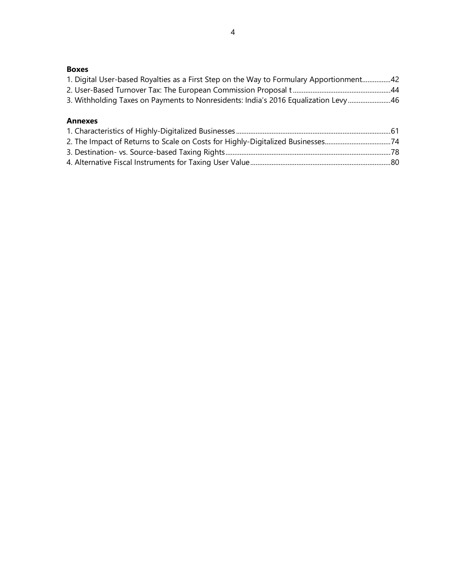#### **Boxes**

| 1. Digital User-based Royalties as a First Step on the Way to Formulary Apportionment42 |  |
|-----------------------------------------------------------------------------------------|--|
|                                                                                         |  |
| 3. Withholding Taxes on Payments to Nonresidents: India's 2016 Equalization Levy46      |  |

#### **Annexes**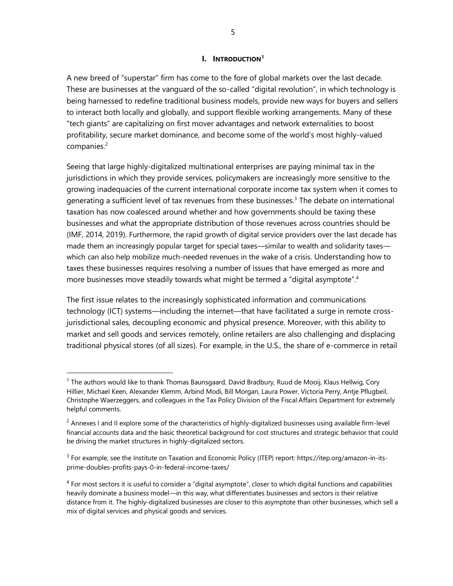#### **I. INTRODUCTION<sup>1</sup>**

A new breed of "superstar" firm has come to the fore of global markets over the last decade. These are businesses at the vanguard of the so-called "digital revolution", in which technology is being harnessed to redefine traditional business models, provide new ways for buyers and sellers to interact both locally and globally, and support flexible working arrangements. Many of these "tech giants" are capitalizing on first mover advantages and network externalities to boost profitability, secure market dominance, and become some of the world's most highly-valued companies.<sup>2</sup>

Seeing that large highly-digitalized multinational enterprises are paying minimal tax in the jurisdictions in which they provide services, policymakers are increasingly more sensitive to the growing inadequacies of the current international corporate income tax system when it comes to generating a sufficient level of tax revenues from these businesses.<sup>3</sup> The debate on international taxation has now coalesced around whether and how governments should be taxing these businesses and what the appropriate distribution of those revenues across countries should be (IMF, 2014, 2019). Furthermore, the rapid growth of digital service providers over the last decade has made them an increasingly popular target for special taxes—similar to wealth and solidarity taxes which can also help mobilize much-needed revenues in the wake of a crisis. Understanding how to taxes these businesses requires resolving a number of issues that have emerged as more and more businesses move steadily towards what might be termed a "digital asymptote".<sup>4</sup>

The first issue relates to the increasingly sophisticated information and communications technology (ICT) systems—including the internet—that have facilitated a surge in remote crossjurisdictional sales, decoupling economic and physical presence. Moreover, with this ability to market and sell goods and services remotely, online retailers are also challenging and displacing traditional physical stores (of all sizes). For example, in the U.S., the share of e-commerce in retail

<sup>&</sup>lt;sup>1</sup> The authors would like to thank Thomas Baunsgaard, David Bradbury, Ruud de Mooij, Klaus Hellwig, Cory Hillier, Michael Keen, Alexander Klemm, Arbind Modi, Bill Morgan, Laura Power, Victoria Perry, Antje Pflugbeil, Christophe Waerzeggers, and colleagues in the Tax Policy Division of the Fiscal Affairs Department for extremely helpful comments.

<sup>&</sup>lt;sup>2</sup> Annexes I and II explore some of the characteristics of highly-digitalized businesses using available firm-level financial accounts data and the basic theoretical background for cost structures and strategic behavior that could be driving the market structures in highly-digitalized sectors.

 $3$  For example, see the Institute on Taxation and Economic Policy (ITEP) report: https://itep.org/amazon-in-itsprime-doubles-profits-pays-0-in-federal-income-taxes/

 $<sup>4</sup>$  For most sectors it is useful to consider a "digital asymptote", closer to which digital functions and capabilities</sup> heavily dominate a business model—in this way, what differentiates businesses and sectors is their relative distance from it. The highly-digitalized businesses are closer to this asymptote than other businesses, which sell a mix of digital services and physical goods and services.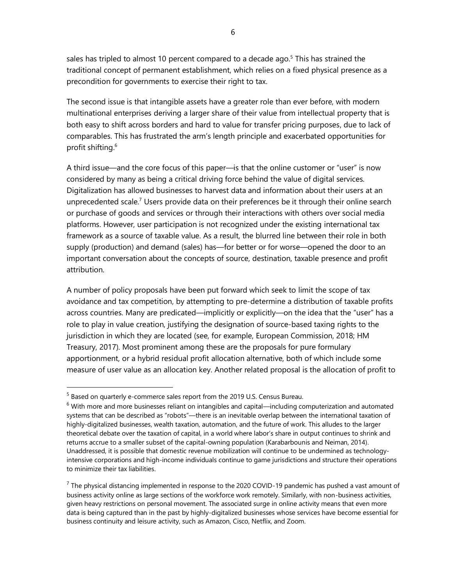sales has tripled to almost 10 percent compared to a decade ago.<sup>5</sup> This has strained the traditional concept of permanent establishment, which relies on a fixed physical presence as a precondition for governments to exercise their right to tax.

The second issue is that intangible assets have a greater role than ever before, with modern multinational enterprises deriving a larger share of their value from intellectual property that is both easy to shift across borders and hard to value for transfer pricing purposes, due to lack of comparables. This has frustrated the arm's length principle and exacerbated opportunities for profit shifting. 6

A third issue—and the core focus of this paper—is that the online customer or "user" is now considered by many as being a critical driving force behind the value of digital services. Digitalization has allowed businesses to harvest data and information about their users at an unprecedented scale.<sup>7</sup> Users provide data on their preferences be it through their online search or purchase of goods and services or through their interactions with others over social media platforms. However, user participation is not recognized under the existing international tax framework as a source of taxable value. As a result, the blurred line between their role in both supply (production) and demand (sales) has—for better or for worse—opened the door to an important conversation about the concepts of source, destination, taxable presence and profit attribution.

A number of policy proposals have been put forward which seek to limit the scope of tax avoidance and tax competition, by attempting to pre-determine a distribution of taxable profits across countries. Many are predicated—implicitly or explicitly—on the idea that the "user" has a role to play in value creation, justifying the designation of source-based taxing rights to the jurisdiction in which they are located (see, for example, European Commission, 2018; HM Treasury, 2017). Most prominent among these are the proposals for pure formulary apportionment, or a hybrid residual profit allocation alternative, both of which include some measure of user value as an allocation key. Another related proposal is the allocation of profit to

<sup>&</sup>lt;sup>5</sup> Based on quarterly e-commerce sales report from the 2019 U.S. Census Bureau.

 $6$  With more and more businesses reliant on intangibles and capital—including computerization and automated systems that can be described as "robots"—there is an inevitable overlap between the international taxation of highly-digitalized businesses, wealth taxation, automation, and the future of work. This alludes to the larger theoretical debate over the taxation of capital, in a world where labor's share in output continues to shrink and returns accrue to a smaller subset of the capital-owning population (Karabarbounis and Neiman, 2014). Unaddressed, it is possible that domestic revenue mobilization will continue to be undermined as technologyintensive corporations and high-income individuals continue to game jurisdictions and structure their operations to minimize their tax liabilities.

 $^7$  The physical distancing implemented in response to the 2020 COVID-19 pandemic has pushed a vast amount of business activity online as large sections of the workforce work remotely. Similarly, with non-business activities, given heavy restrictions on personal movement. The associated surge in online activity means that even more data is being captured than in the past by highly-digitalized businesses whose services have become essential for business continuity and leisure activity, such as Amazon, Cisco, Netflix, and Zoom.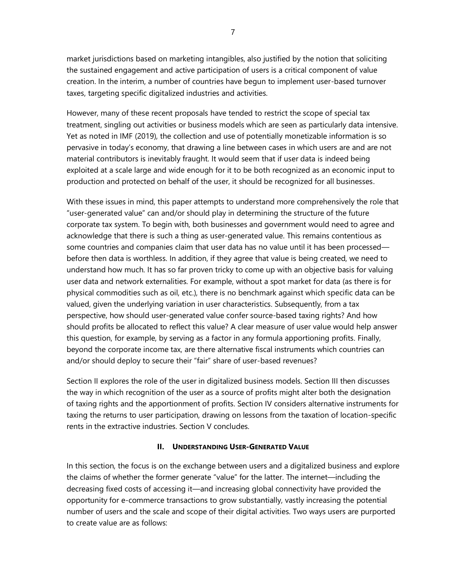market jurisdictions based on marketing intangibles, also justified by the notion that soliciting the sustained engagement and active participation of users is a critical component of value creation. In the interim, a number of countries have begun to implement user-based turnover taxes, targeting specific digitalized industries and activities.

However, many of these recent proposals have tended to restrict the scope of special tax treatment, singling out activities or business models which are seen as particularly data intensive. Yet as noted in IMF (2019), the collection and use of potentially monetizable information is so pervasive in today's economy, that drawing a line between cases in which users are and are not material contributors is inevitably fraught. It would seem that if user data is indeed being exploited at a scale large and wide enough for it to be both recognized as an economic input to production and protected on behalf of the user, it should be recognized for all businesses.

With these issues in mind, this paper attempts to understand more comprehensively the role that "user-generated value" can and/or should play in determining the structure of the future corporate tax system. To begin with, both businesses and government would need to agree and acknowledge that there is such a thing as user-generated value. This remains contentious as some countries and companies claim that user data has no value until it has been processed before then data is worthless. In addition, if they agree that value is being created, we need to understand how much. It has so far proven tricky to come up with an objective basis for valuing user data and network externalities. For example, without a spot market for data (as there is for physical commodities such as oil, etc.), there is no benchmark against which specific data can be valued, given the underlying variation in user characteristics. Subsequently, from a tax perspective, how should user-generated value confer source-based taxing rights? And how should profits be allocated to reflect this value? A clear measure of user value would help answer this question, for example, by serving as a factor in any formula apportioning profits. Finally, beyond the corporate income tax, are there alternative fiscal instruments which countries can and/or should deploy to secure their "fair" share of user-based revenues?

Section II explores the role of the user in digitalized business models. Section III then discusses the way in which recognition of the user as a source of profits might alter both the designation of taxing rights and the apportionment of profits. Section IV considers alternative instruments for taxing the returns to user participation, drawing on lessons from the taxation of location-specific rents in the extractive industries. Section V concludes.

#### **II. UNDERSTANDING USER-GENERATED VALUE**

In this section, the focus is on the exchange between users and a digitalized business and explore the claims of whether the former generate "value" for the latter. The internet—including the decreasing fixed costs of accessing it—and increasing global connectivity have provided the opportunity for e-commerce transactions to grow substantially, vastly increasing the potential number of users and the scale and scope of their digital activities. Two ways users are purported to create value are as follows: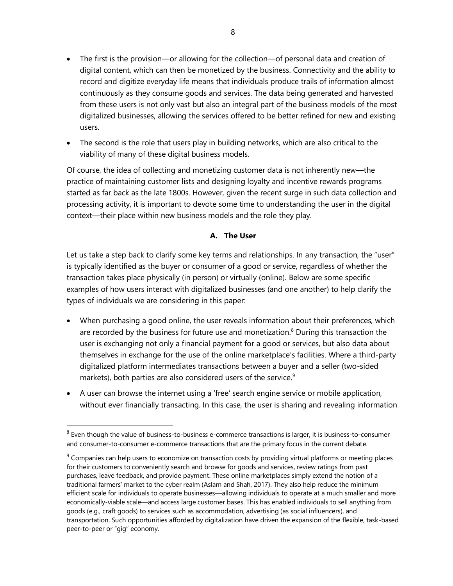- The first is the provision—or allowing for the collection—of personal data and creation of digital content, which can then be monetized by the business. Connectivity and the ability to record and digitize everyday life means that individuals produce trails of information almost continuously as they consume goods and services. The data being generated and harvested from these users is not only vast but also an integral part of the business models of the most digitalized businesses, allowing the services offered to be better refined for new and existing users.
- The second is the role that users play in building networks, which are also critical to the viability of many of these digital business models.

Of course, the idea of collecting and monetizing customer data is not inherently new—the practice of maintaining customer lists and designing loyalty and incentive rewards programs started as far back as the late 1800s. However, given the recent surge in such data collection and processing activity, it is important to devote some time to understanding the user in the digital context—their place within new business models and the role they play.

### **A. The User**

Let us take a step back to clarify some key terms and relationships. In any transaction, the "user" is typically identified as the buyer or consumer of a good or service, regardless of whether the transaction takes place physically (in person) or virtually (online). Below are some specific examples of how users interact with digitalized businesses (and one another) to help clarify the types of individuals we are considering in this paper:

- When purchasing a good online, the user reveals information about their preferences, which are recorded by the business for future use and monetization. $8$  During this transaction the user is exchanging not only a financial payment for a good or services, but also data about themselves in exchange for the use of the online marketplace's facilities. Where a third-party digitalized platform intermediates transactions between a buyer and a seller (two-sided markets), both parties are also considered users of the service.<sup>9</sup>
- A user can browse the internet using a 'free' search engine service or mobile application, without ever financially transacting. In this case, the user is sharing and revealing information

 $^8$  Even though the value of business-to-business e-commerce transactions is larger, it is business-to-consumer and consumer-to-consumer e-commerce transactions that are the primary focus in the current debate.

 $9$  Companies can help users to economize on transaction costs by providing virtual platforms or meeting places for their customers to conveniently search and browse for goods and services, review ratings from past purchases, leave feedback, and provide payment. These online marketplaces simply extend the notion of a traditional farmers' market to the cyber realm (Aslam and Shah, 2017). They also help reduce the minimum efficient scale for individuals to operate businesses—allowing individuals to operate at a much smaller and more economically-viable scale—and access large customer bases. This has enabled individuals to sell anything from goods (e.g., craft goods) to services such as accommodation, advertising (as social influencers), and transportation. Such opportunities afforded by digitalization have driven the expansion of the flexible, task-based peer-to-peer or "gig" economy.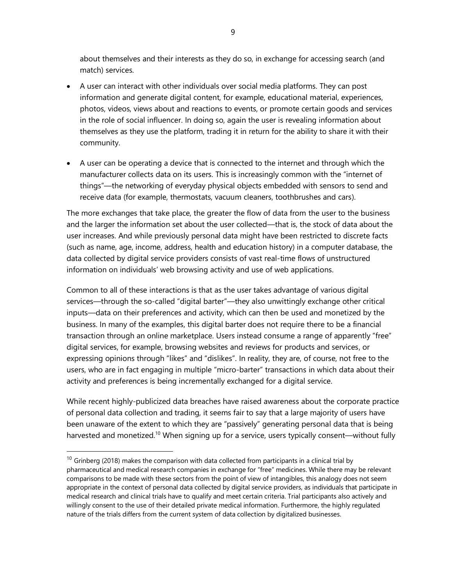about themselves and their interests as they do so, in exchange for accessing search (and match) services.

- A user can interact with other individuals over social media platforms. They can post information and generate digital content, for example, educational material, experiences, photos, videos, views about and reactions to events, or promote certain goods and services in the role of social influencer. In doing so, again the user is revealing information about themselves as they use the platform, trading it in return for the ability to share it with their community.
- A user can be operating a device that is connected to the internet and through which the manufacturer collects data on its users. This is increasingly common with the "internet of things"—the networking of everyday physical objects embedded with sensors to send and receive data (for example, thermostats, vacuum cleaners, toothbrushes and cars).

The more exchanges that take place, the greater the flow of data from the user to the business and the larger the information set about the user collected—that is, the stock of data about the user increases. And while previously personal data might have been restricted to discrete facts (such as name, age, income, address, health and education history) in a computer database, the data collected by digital service providers consists of vast real-time flows of unstructured information on individuals' web browsing activity and use of web applications.

Common to all of these interactions is that as the user takes advantage of various digital services—through the so-called "digital barter"—they also unwittingly exchange other critical inputs—data on their preferences and activity, which can then be used and monetized by the business. In many of the examples, this digital barter does not require there to be a financial transaction through an online marketplace. Users instead consume a range of apparently "free" digital services, for example, browsing websites and reviews for products and services, or expressing opinions through "likes" and "dislikes". In reality, they are, of course, not free to the users, who are in fact engaging in multiple "micro-barter" transactions in which data about their activity and preferences is being incrementally exchanged for a digital service.

While recent highly-publicized data breaches have raised awareness about the corporate practice of personal data collection and trading, it seems fair to say that a large majority of users have been unaware of the extent to which they are "passively" generating personal data that is being harvested and monetized.<sup>10</sup> When signing up for a service, users typically consent—without fully

 $10$  Grinberg (2018) makes the comparison with data collected from participants in a clinical trial by pharmaceutical and medical research companies in exchange for "free" medicines. While there may be relevant comparisons to be made with these sectors from the point of view of intangibles, this analogy does not seem appropriate in the context of personal data collected by digital service providers, as individuals that participate in medical research and clinical trials have to qualify and meet certain criteria. Trial participants also actively and willingly consent to the use of their detailed private medical information. Furthermore, the highly regulated nature of the trials differs from the current system of data collection by digitalized businesses.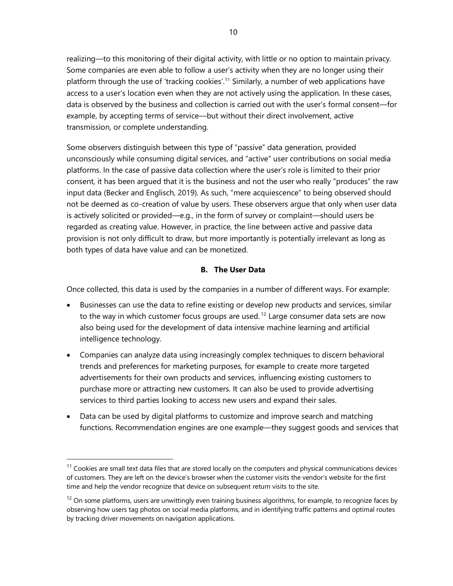realizing—to this monitoring of their digital activity, with little or no option to maintain privacy. Some companies are even able to follow a user's activity when they are no longer using their platform through the use of 'tracking cookies'.<sup>11</sup> Similarly, a number of web applications have access to a user's location even when they are not actively using the application. In these cases, data is observed by the business and collection is carried out with the user's formal consent—for example, by accepting terms of service—but without their direct involvement, active transmission, or complete understanding.

Some observers distinguish between this type of "passive" data generation, provided unconsciously while consuming digital services, and "active" user contributions on social media platforms. In the case of passive data collection where the user's role is limited to their prior consent, it has been argued that it is the business and not the user who really "produces" the raw input data (Becker and Englisch, 2019). As such, "mere acquiescence" to being observed should not be deemed as co-creation of value by users. These observers argue that only when user data is actively solicited or provided—e.g., in the form of survey or complaint—should users be regarded as creating value. However, in practice, the line between active and passive data provision is not only difficult to draw, but more importantly is potentially irrelevant as long as both types of data have value and can be monetized.

#### **B. The User Data**

Once collected, this data is used by the companies in a number of different ways. For example:

- Businesses can use the data to refine existing or develop new products and services, similar to the way in which customer focus groups are used.<sup>12</sup> Large consumer data sets are now also being used for the development of data intensive machine learning and artificial intelligence technology.
- Companies can analyze data using increasingly complex techniques to discern behavioral trends and preferences for marketing purposes, for example to create more targeted advertisements for their own products and services, influencing existing customers to purchase more or attracting new customers. It can also be used to provide advertising services to third parties looking to access new users and expand their sales.
- Data can be used by digital platforms to customize and improve search and matching functions. Recommendation engines are one example—they suggest goods and services that

 $11$  Cookies are small text data files that are stored locally on the computers and physical communications devices of customers. They are left on the device's browser when the customer visits the vendor's website for the first time and help the vendor recognize that device on subsequent return visits to the site.

 $12$  On some platforms, users are unwittingly even training business algorithms, for example, to recognize faces by observing how users tag photos on social media platforms, and in identifying traffic patterns and optimal routes by tracking driver movements on navigation applications.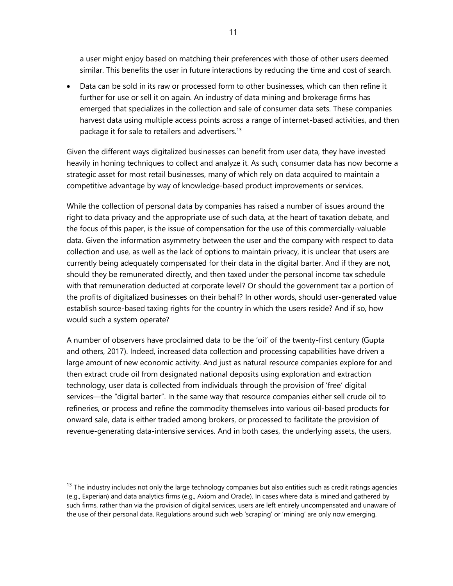a user might enjoy based on matching their preferences with those of other users deemed similar. This benefits the user in future interactions by reducing the time and cost of search.

• Data can be sold in its raw or processed form to other businesses, which can then refine it further for use or sell it on again. An industry of data mining and brokerage firms has emerged that specializes in the collection and sale of consumer data sets. These companies harvest data using multiple access points across a range of internet-based activities, and then package it for sale to retailers and advertisers.<sup>13</sup>

Given the different ways digitalized businesses can benefit from user data, they have invested heavily in honing techniques to collect and analyze it. As such, consumer data has now become a strategic asset for most retail businesses, many of which rely on data acquired to maintain a competitive advantage by way of knowledge-based product improvements or services.

While the collection of personal data by companies has raised a number of issues around the right to data privacy and the appropriate use of such data, at the heart of taxation debate, and the focus of this paper, is the issue of compensation for the use of this commercially-valuable data. Given the information asymmetry between the user and the company with respect to data collection and use, as well as the lack of options to maintain privacy, it is unclear that users are currently being adequately compensated for their data in the digital barter. And if they are not, should they be remunerated directly, and then taxed under the personal income tax schedule with that remuneration deducted at corporate level? Or should the government tax a portion of the profits of digitalized businesses on their behalf? In other words, should user-generated value establish source-based taxing rights for the country in which the users reside? And if so, how would such a system operate?

A number of observers have proclaimed data to be the 'oil' of the twenty-first century (Gupta and others, 2017). Indeed, increased data collection and processing capabilities have driven a large amount of new economic activity. And just as natural resource companies explore for and then extract crude oil from designated national deposits using exploration and extraction technology, user data is collected from individuals through the provision of 'free' digital services—the "digital barter". In the same way that resource companies either sell crude oil to refineries, or process and refine the commodity themselves into various oil-based products for onward sale, data is either traded among brokers, or processed to facilitate the provision of revenue-generating data-intensive services. And in both cases, the underlying assets, the users,

 $13$  The industry includes not only the large technology companies but also entities such as credit ratings agencies (e.g., Experian) and data analytics firms (e.g., Axiom and Oracle). In cases where data is mined and gathered by such firms, rather than via the provision of digital services, users are left entirely uncompensated and unaware of the use of their personal data. Regulations around such web 'scraping' or 'mining' are only now emerging.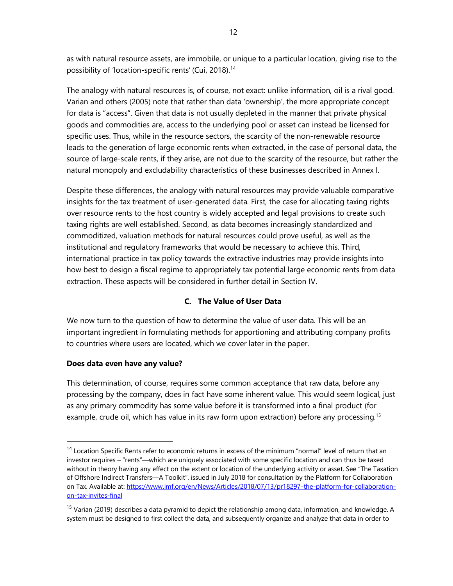as with natural resource assets, are immobile, or unique to a particular location, giving rise to the possibility of 'location-specific rents' (Cui, 2018).<sup>14</sup>

The analogy with natural resources is, of course, not exact: unlike information, oil is a rival good. Varian and others (2005) note that rather than data 'ownership', the more appropriate concept for data is "access". Given that data is not usually depleted in the manner that private physical goods and commodities are, access to the underlying pool or asset can instead be licensed for specific uses. Thus, while in the resource sectors, the scarcity of the non-renewable resource leads to the generation of large economic rents when extracted, in the case of personal data, the source of large-scale rents, if they arise, are not due to the scarcity of the resource, but rather the natural monopoly and excludability characteristics of these businesses described in Annex I.

Despite these differences, the analogy with natural resources may provide valuable comparative insights for the tax treatment of user-generated data. First, the case for allocating taxing rights over resource rents to the host country is widely accepted and legal provisions to create such taxing rights are well established. Second, as data becomes increasingly standardized and commoditized, valuation methods for natural resources could prove useful, as well as the institutional and regulatory frameworks that would be necessary to achieve this. Third, international practice in tax policy towards the extractive industries may provide insights into how best to design a fiscal regime to appropriately tax potential large economic rents from data extraction. These aspects will be considered in further detail in Section IV.

### **C. The Value of User Data**

We now turn to the question of how to determine the value of user data. This will be an important ingredient in formulating methods for apportioning and attributing company profits to countries where users are located, which we cover later in the paper.

#### **Does data even have any value?**

This determination, of course, requires some common acceptance that raw data, before any processing by the company, does in fact have some inherent value. This would seem logical, just as any primary commodity has some value before it is transformed into a final product (for example, crude oil, which has value in its raw form upon extraction) before any processing.<sup>15</sup>

<sup>&</sup>lt;sup>14</sup> Location Specific Rents refer to economic returns in excess of the minimum "normal" level of return that an investor requires – "rents"—which are uniquely associated with some specific location and can thus be taxed without in theory having any effect on the extent or location of the underlying activity or asset. See "The Taxation of Offshore Indirect Transfers—A Toolkit", issued in July 2018 for consultation by the Platform for Collaboration on Tax. Available at: [https://www.imf.org/en/News/Articles/2018/07/13/pr18297-the-platform-for-collaboration](https://www.imf.org/en/News/Articles/2018/07/13/pr18297-the-platform-for-collaboration-on-tax-invites-final)[on-tax-invites-final](https://www.imf.org/en/News/Articles/2018/07/13/pr18297-the-platform-for-collaboration-on-tax-invites-final)

<sup>&</sup>lt;sup>15</sup> Varian (2019) describes a data pyramid to depict the relationship among data, information, and knowledge. A system must be designed to first collect the data, and subsequently organize and analyze that data in order to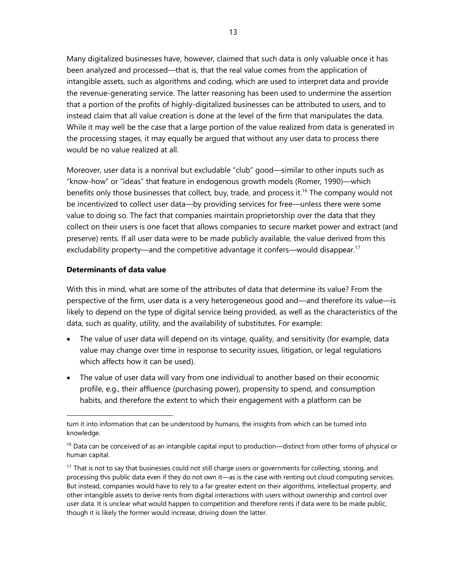Many digitalized businesses have, however, claimed that such data is only valuable once it has been analyzed and processed—that is, that the real value comes from the application of intangible assets, such as algorithms and coding, which are used to interpret data and provide the revenue-generating service. The latter reasoning has been used to undermine the assertion that a portion of the profits of highly-digitalized businesses can be attributed to users, and to instead claim that all value creation is done at the level of the firm that manipulates the data. While it may well be the case that a large portion of the value realized from data is generated in the processing stages, it may equally be argued that without any user data to process there would be no value realized at all.

Moreover, user data is a nonrival but excludable "club" good—similar to other inputs such as "know-how" or "ideas" that feature in endogenous growth models (Romer, 1990)—which benefits only those businesses that collect, buy, trade, and process it.<sup>16</sup> The company would not be incentivized to collect user data—by providing services for free—unless there were some value to doing so. The fact that companies maintain proprietorship over the data that they collect on their users is one facet that allows companies to secure market power and extract (and preserve) rents. If all user data were to be made publicly available, the value derived from this excludability property—and the competitive advantage it confers—would disappear.<sup>17</sup>

#### **Determinants of data value**

With this in mind, what are some of the attributes of data that determine its value? From the perspective of the firm, user data is a very heterogeneous good and—and therefore its value—is likely to depend on the type of digital service being provided, as well as the characteristics of the data, such as quality, utility, and the availability of substitutes. For example:

- The value of user data will depend on its vintage, quality, and sensitivity (for example, data value may change over time in response to security issues, litigation, or legal regulations which affects how it can be used).
- The value of user data will vary from one individual to another based on their economic profile, e.g., their affluence (purchasing power), propensity to spend, and consumption habits, and therefore the extent to which their engagement with a platform can be

turn it into information that can be understood by humans, the insights from which can be turned into knowledge.

 $16$  Data can be conceived of as an intangible capital input to production—distinct from other forms of physical or human capital.

<sup>&</sup>lt;sup>17</sup> That is not to say that businesses could not still charge users or governments for collecting, storing, and processing this public data even if they do not own it—as is the case with renting out cloud computing services. But instead, companies would have to rely to a far greater extent on their algorithms, intellectual property, and other intangible assets to derive rents from digital interactions with users without ownership and control over user data. It is unclear what would happen to competition and therefore rents if data were to be made public, though it is likely the former would increase, driving down the latter.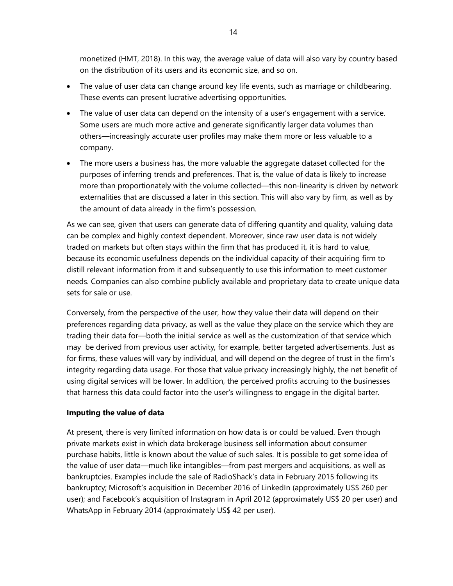monetized (HMT, 2018). In this way, the average value of data will also vary by country based on the distribution of its users and its economic size, and so on.

- The value of user data can change around key life events, such as marriage or childbearing. These events can present lucrative advertising opportunities.
- The value of user data can depend on the intensity of a user's engagement with a service. Some users are much more active and generate significantly larger data volumes than others—increasingly accurate user profiles may make them more or less valuable to a company.
- The more users a business has, the more valuable the aggregate dataset collected for the purposes of inferring trends and preferences. That is, the value of data is likely to increase more than proportionately with the volume collected—this non-linearity is driven by network externalities that are discussed a later in this section. This will also vary by firm, as well as by the amount of data already in the firm's possession.

As we can see, given that users can generate data of differing quantity and quality, valuing data can be complex and highly context dependent. Moreover, since raw user data is not widely traded on markets but often stays within the firm that has produced it, it is hard to value, because its economic usefulness depends on the individual capacity of their acquiring firm to distill relevant information from it and subsequently to use this information to meet customer needs. Companies can also combine publicly available and proprietary data to create unique data sets for sale or use.

Conversely, from the perspective of the user, how they value their data will depend on their preferences regarding data privacy, as well as the value they place on the service which they are trading their data for—both the initial service as well as the customization of that service which may be derived from previous user activity, for example, better targeted advertisements. Just as for firms, these values will vary by individual, and will depend on the degree of trust in the firm's integrity regarding data usage. For those that value privacy increasingly highly, the net benefit of using digital services will be lower. In addition, the perceived profits accruing to the businesses that harness this data could factor into the user's willingness to engage in the digital barter.

#### **Imputing the value of data**

At present, there is very limited information on how data is or could be valued. Even though private markets exist in which data brokerage business sell information about consumer purchase habits, little is known about the value of such sales. It is possible to get some idea of the value of user data—much like intangibles—from past mergers and acquisitions, as well as bankruptcies. Examples include the sale of RadioShack's data in February 2015 following its bankruptcy; Microsoft's acquisition in December 2016 of LinkedIn (approximately US\$ 260 per user); and Facebook's acquisition of Instagram in April 2012 (approximately US\$ 20 per user) and WhatsApp in February 2014 (approximately US\$ 42 per user).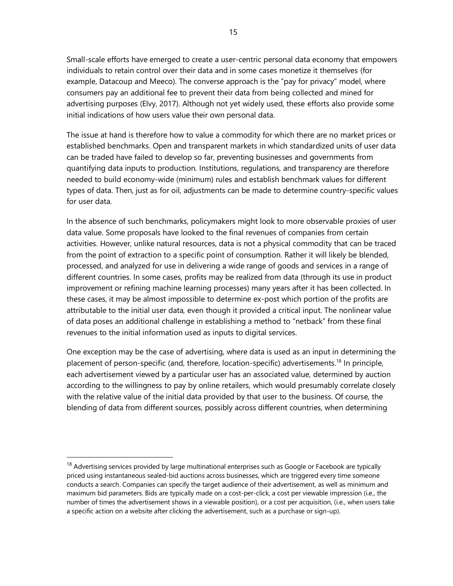Small-scale efforts have emerged to create a user-centric personal data economy that empowers individuals to retain control over their data and in some cases monetize it themselves (for example, Datacoup and Meeco). The converse approach is the "pay for privacy" model, where consumers pay an additional fee to prevent their data from being collected and mined for advertising purposes (Elvy, 2017). Although not yet widely used, these efforts also provide some initial indications of how users value their own personal data.

The issue at hand is therefore how to value a commodity for which there are no market prices or established benchmarks. Open and transparent markets in which standardized units of user data can be traded have failed to develop so far, preventing businesses and governments from quantifying data inputs to production. Institutions, regulations, and transparency are therefore needed to build economy-wide (minimum) rules and establish benchmark values for different types of data. Then, just as for oil, adjustments can be made to determine country-specific values for user data.

In the absence of such benchmarks, policymakers might look to more observable proxies of user data value. Some proposals have looked to the final revenues of companies from certain activities. However, unlike natural resources, data is not a physical commodity that can be traced from the point of extraction to a specific point of consumption. Rather it will likely be blended, processed, and analyzed for use in delivering a wide range of goods and services in a range of different countries. In some cases, profits may be realized from data (through its use in product improvement or refining machine learning processes) many years after it has been collected. In these cases, it may be almost impossible to determine ex-post which portion of the profits are attributable to the initial user data, even though it provided a critical input. The nonlinear value of data poses an additional challenge in establishing a method to "netback" from these final revenues to the initial information used as inputs to digital services.

One exception may be the case of advertising, where data is used as an input in determining the placement of person-specific (and, therefore, location-specific) advertisements.<sup>18</sup> In principle, each advertisement viewed by a particular user has an associated value, determined by auction according to the willingness to pay by online retailers, which would presumably correlate closely with the relative value of the initial data provided by that user to the business. Of course, the blending of data from different sources, possibly across different countries, when determining

<sup>&</sup>lt;sup>18</sup> Advertising services provided by large multinational enterprises such as Google or Facebook are typically priced using instantaneous sealed-bid auctions across businesses, which are triggered every time someone conducts a search. Companies can specify the target audience of their advertisement, as well as minimum and maximum bid parameters. Bids are typically made on a cost-per-click, a cost per viewable impression (i.e., the number of times the advertisement shows in a viewable position), or a cost per acquisition, (i.e., when users take a specific action on a website after clicking the advertisement, such as a purchase or sign-up).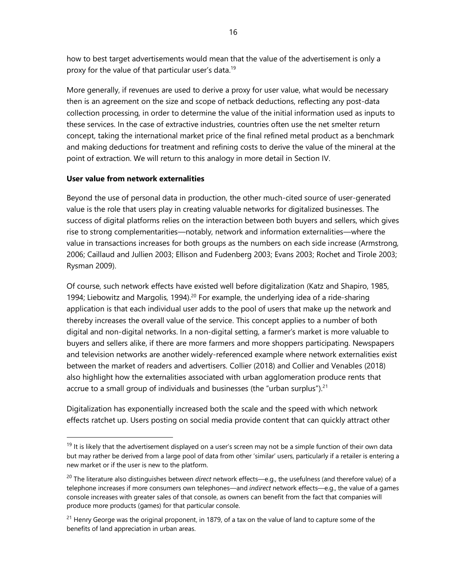how to best target advertisements would mean that the value of the advertisement is only a proxy for the value of that particular user's data.<sup>19</sup>

More generally, if revenues are used to derive a proxy for user value, what would be necessary then is an agreement on the size and scope of netback deductions, reflecting any post-data collection processing, in order to determine the value of the initial information used as inputs to these services. In the case of extractive industries, countries often use the net smelter return concept, taking the international market price of the final refined metal product as a benchmark and making deductions for treatment and refining costs to derive the value of the mineral at the point of extraction. We will return to this analogy in more detail in Section IV.

#### **User value from network externalities**

Beyond the use of personal data in production, the other much-cited source of user-generated value is the role that users play in creating valuable networks for digitalized businesses. The success of digital platforms relies on the interaction between both buyers and sellers, which gives rise to strong complementarities—notably, network and information externalities—where the value in transactions increases for both groups as the numbers on each side increase (Armstrong, 2006; Caillaud and Jullien 2003; Ellison and Fudenberg 2003; Evans 2003; Rochet and Tirole 2003; Rysman 2009).

Of course, such network effects have existed well before digitalization (Katz and Shapiro, 1985, 1994; Liebowitz and Margolis, 1994).<sup>20</sup> For example, the underlying idea of a ride-sharing application is that each individual user adds to the pool of users that make up the network and thereby increases the overall value of the service. This concept applies to a number of both digital and non-digital networks. In a non-digital setting, a farmer's market is more valuable to buyers and sellers alike, if there are more farmers and more shoppers participating. Newspapers and television networks are another widely-referenced example where network externalities exist between the market of readers and advertisers. Collier (2018) and Collier and Venables (2018) also highlight how the externalities associated with urban agglomeration produce rents that accrue to a small group of individuals and businesses (the "urban surplus").<sup>21</sup>

Digitalization has exponentially increased both the scale and the speed with which network effects ratchet up. Users posting on social media provide content that can quickly attract other

 $19$  It is likely that the advertisement displayed on a user's screen may not be a simple function of their own data but may rather be derived from a large pool of data from other 'similar' users, particularly if a retailer is entering a new market or if the user is new to the platform.

<sup>20</sup> The literature also distinguishes between *direct* network effects—e.g., the usefulness (and therefore value) of a telephone increases if more consumers own telephones—and *indirect* network effects—e.g., the value of a games console increases with greater sales of that console, as owners can benefit from the fact that companies will produce more products (games) for that particular console.

<sup>&</sup>lt;sup>21</sup> Henry George was the original proponent, in 1879, of a tax on the value of land to capture some of the benefits of land appreciation in urban areas.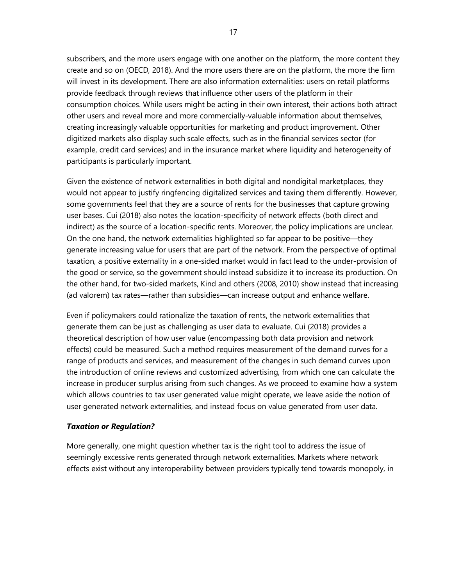subscribers, and the more users engage with one another on the platform, the more content they create and so on (OECD, 2018). And the more users there are on the platform, the more the firm will invest in its development. There are also information externalities: users on retail platforms provide feedback through reviews that influence other users of the platform in their consumption choices. While users might be acting in their own interest, their actions both attract other users and reveal more and more commercially-valuable information about themselves, creating increasingly valuable opportunities for marketing and product improvement. Other digitized markets also display such scale effects, such as in the financial services sector (for example, credit card services) and in the insurance market where liquidity and heterogeneity of participants is particularly important.

Given the existence of network externalities in both digital and nondigital marketplaces, they would not appear to justify ringfencing digitalized services and taxing them differently. However, some governments feel that they are a source of rents for the businesses that capture growing user bases. Cui (2018) also notes the location-specificity of network effects (both direct and indirect) as the source of a location-specific rents. Moreover, the policy implications are unclear. On the one hand, the network externalities highlighted so far appear to be positive—they generate increasing value for users that are part of the network. From the perspective of optimal taxation, a positive externality in a one-sided market would in fact lead to the under-provision of the good or service, so the government should instead subsidize it to increase its production. On the other hand, for two-sided markets, Kind and others (2008, 2010) show instead that increasing (ad valorem) tax rates—rather than subsidies—can increase output and enhance welfare.

Even if policymakers could rationalize the taxation of rents, the network externalities that generate them can be just as challenging as user data to evaluate. Cui (2018) provides a theoretical description of how user value (encompassing both data provision and network effects) could be measured. Such a method requires measurement of the demand curves for a range of products and services, and measurement of the changes in such demand curves upon the introduction of online reviews and customized advertising, from which one can calculate the increase in producer surplus arising from such changes. As we proceed to examine how a system which allows countries to tax user generated value might operate, we leave aside the notion of user generated network externalities, and instead focus on value generated from user data.

#### *Taxation or Regulation?*

More generally, one might question whether tax is the right tool to address the issue of seemingly excessive rents generated through network externalities. Markets where network effects exist without any interoperability between providers typically tend towards monopoly, in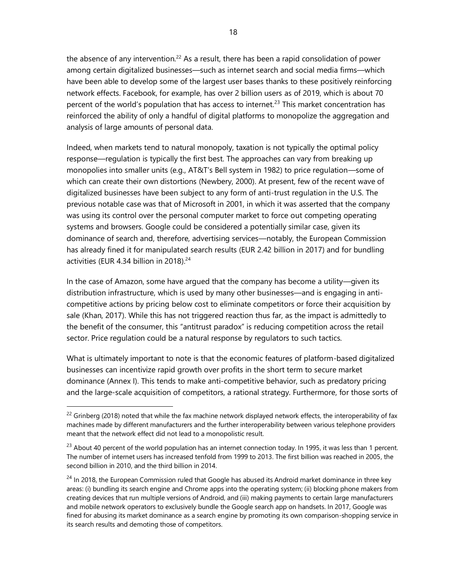the absence of any intervention.<sup>22</sup> As a result, there has been a rapid consolidation of power among certain digitalized businesses—such as internet search and social media firms—which have been able to develop some of the largest user bases thanks to these positively reinforcing network effects. Facebook, for example, has over 2 billion users as of 2019, which is about 70 percent of the world's population that has access to internet.<sup>23</sup> This market concentration has reinforced the ability of only a handful of digital platforms to monopolize the aggregation and analysis of large amounts of personal data.

Indeed, when markets tend to natural monopoly, taxation is not typically the optimal policy response—regulation is typically the first best. The approaches can vary from breaking up monopolies into smaller units (e.g., AT&T's Bell system in 1982) to price regulation—some of which can create their own distortions (Newbery, 2000). At present, few of the recent wave of digitalized businesses have been subject to any form of anti-trust regulation in the U.S. The previous notable case was that of Microsoft in 2001, in which it was asserted that the company was using its control over the personal computer market to force out competing operating systems and browsers. Google could be considered a potentially similar case, given its dominance of search and, therefore, advertising services—notably, the European Commission has already fined it for manipulated search results (EUR 2.42 billion in 2017) and for bundling activities (EUR 4.34 billion in 2018). 24

In the case of Amazon, some have argued that the company has become a utility—given its distribution infrastructure, which is used by many other businesses—and is engaging in anticompetitive actions by pricing below cost to eliminate competitors or force their acquisition by sale (Khan, 2017). While this has not triggered reaction thus far, as the impact is admittedly to the benefit of the consumer, this "antitrust paradox" is reducing competition across the retail sector. Price regulation could be a natural response by regulators to such tactics.

What is ultimately important to note is that the economic features of platform-based digitalized businesses can incentivize rapid growth over profits in the short term to secure market dominance (Annex I). This tends to make anti-competitive behavior, such as predatory pricing and the large-scale acquisition of competitors, a rational strategy. Furthermore, for those sorts of

<sup>&</sup>lt;sup>22</sup> Grinberg (2018) noted that while the fax machine network displayed network effects, the interoperability of fax machines made by different manufacturers and the further interoperability between various telephone providers meant that the network effect did not lead to a monopolistic result.

 $^{23}$  About 40 percent of the world population has an internet connection today. In 1995, it was less than 1 percent. The number of internet users has increased tenfold from 1999 to 2013. The first billion was reached in 2005, the second billion in 2010, and the third billion in 2014.

<sup>&</sup>lt;sup>24</sup> In 2018, the European Commission ruled that Google has abused its Android market dominance in three key areas: (i) bundling its search engine and Chrome apps into the operating system; (ii) blocking phone makers from creating devices that run multiple versions of Android, and (iii) making payments to certain large manufacturers and mobile network operators to exclusively bundle the Google search app on handsets. In 2017, Google was fined for abusing its market dominance as a search engine by promoting its own comparison-shopping service in its search results and demoting those of competitors.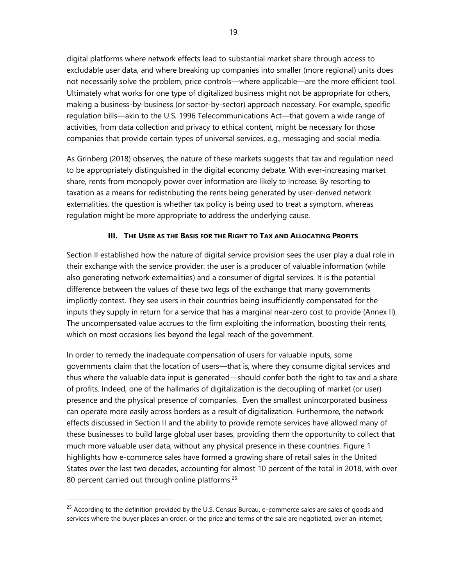digital platforms where network effects lead to substantial market share through access to excludable user data, and where breaking up companies into smaller (more regional) units does not necessarily solve the problem, price controls—where applicable—are the more efficient tool. Ultimately what works for one type of digitalized business might not be appropriate for others, making a business-by-business (or sector-by-sector) approach necessary. For example, specific regulation bills—akin to the U.S. 1996 Telecommunications Act—that govern a wide range of activities, from data collection and privacy to ethical content, might be necessary for those companies that provide certain types of universal services, e.g., messaging and social media.

As Grinberg (2018) observes, the nature of these markets suggests that tax and regulation need to be appropriately distinguished in the digital economy debate. With ever-increasing market share, rents from monopoly power over information are likely to increase. By resorting to taxation as a means for redistributing the rents being generated by user-derived network externalities, the question is whether tax policy is being used to treat a symptom, whereas regulation might be more appropriate to address the underlying cause.

#### **III. THE USER AS THE BASIS FOR THE RIGHT TO TAX AND ALLOCATING PROFITS**

Section II established how the nature of digital service provision sees the user play a dual role in their exchange with the service provider: the user is a producer of valuable information (while also generating network externalities) and a consumer of digital services. It is the potential difference between the values of these two legs of the exchange that many governments implicitly contest. They see users in their countries being insufficiently compensated for the inputs they supply in return for a service that has a marginal near-zero cost to provide (Annex II). The uncompensated value accrues to the firm exploiting the information, boosting their rents, which on most occasions lies beyond the legal reach of the government.

In order to remedy the inadequate compensation of users for valuable inputs, some governments claim that the location of users—that is, where they consume digital services and thus where the valuable data input is generated—should confer both the right to tax and a share of profits. Indeed, one of the hallmarks of digitalization is the decoupling of market (or user) presence and the physical presence of companies. Even the smallest unincorporated business can operate more easily across borders as a result of digitalization. Furthermore, the network effects discussed in Section II and the ability to provide remote services have allowed many of these businesses to build large global user bases, providing them the opportunity to collect that much more valuable user data, without any physical presence in these countries. Figure 1 highlights how e-commerce sales have formed a growing share of retail sales in the United States over the last two decades, accounting for almost 10 percent of the total in 2018, with over 80 percent carried out through online platforms.<sup>25</sup>

 $25$  According to the definition provided by the U.S. Census Bureau, e-commerce sales are sales of goods and services where the buyer places an order, or the price and terms of the sale are negotiated, over an internet,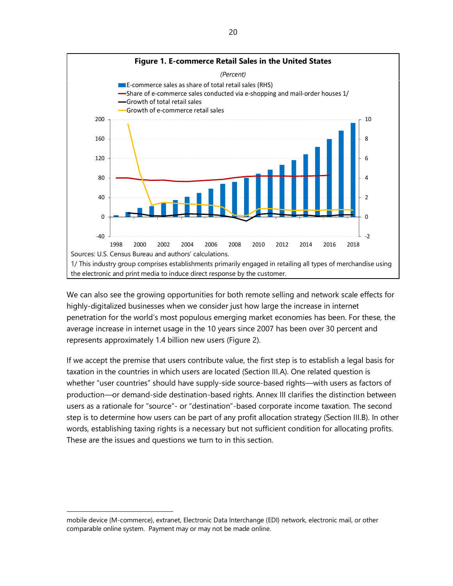

We can also see the growing opportunities for both remote selling and network scale effects for highly-digitalized businesses when we consider just how large the increase in internet penetration for the world's most populous emerging market economies has been. For these, the average increase in internet usage in the 10 years since 2007 has been over 30 percent and represents approximately 1.4 billion new users (Figure 2).

If we accept the premise that users contribute value, the first step is to establish a legal basis for taxation in the countries in which users are located (Section III.A). One related question is whether "user countries" should have supply-side source-based rights—with users as factors of production—or demand-side destination-based rights. Annex III clarifies the distinction between users as a rationale for "source"- or "destination"-based corporate income taxation. The second step is to determine how users can be part of any profit allocation strategy (Section III.B). In other words, establishing taxing rights is a necessary but not sufficient condition for allocating profits. These are the issues and questions we turn to in this section.

mobile device (M-commerce), extranet, Electronic Data Interchange (EDI) network, electronic mail, or other comparable online system. Payment may or may not be made online.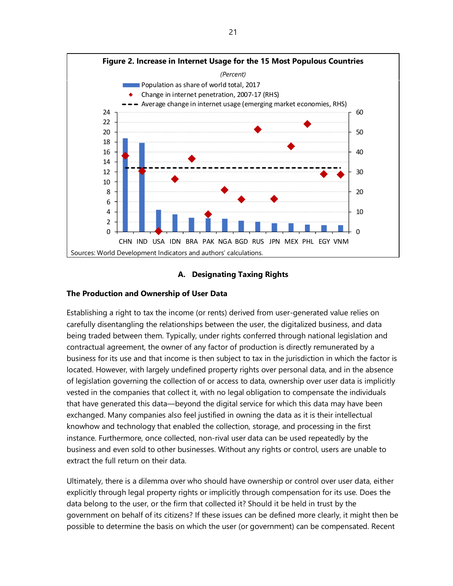

#### **A. Designating Taxing Rights**

#### **The Production and Ownership of User Data**

Establishing a right to tax the income (or rents) derived from user-generated value relies on carefully disentangling the relationships between the user, the digitalized business, and data being traded between them. Typically, under rights conferred through national legislation and contractual agreement, the owner of any factor of production is directly remunerated by a business for its use and that income is then subject to tax in the jurisdiction in which the factor is located. However, with largely undefined property rights over personal data, and in the absence of legislation governing the collection of or access to data, ownership over user data is implicitly vested in the companies that collect it, with no legal obligation to compensate the individuals that have generated this data—beyond the digital service for which this data may have been exchanged. Many companies also feel justified in owning the data as it is their intellectual knowhow and technology that enabled the collection, storage, and processing in the first instance. Furthermore, once collected, non-rival user data can be used repeatedly by the business and even sold to other businesses. Without any rights or control, users are unable to extract the full return on their data.

Ultimately, there is a dilemma over who should have ownership or control over user data, either explicitly through legal property rights or implicitly through compensation for its use. Does the data belong to the user, or the firm that collected it? Should it be held in trust by the government on behalf of its citizens? If these issues can be defined more clearly, it might then be possible to determine the basis on which the user (or government) can be compensated. Recent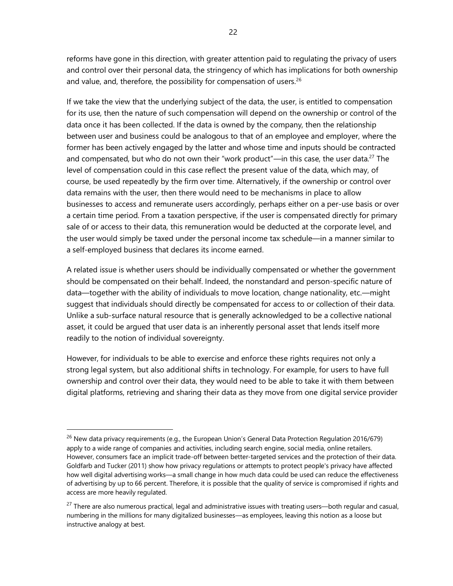reforms have gone in this direction, with greater attention paid to regulating the privacy of users and control over their personal data, the stringency of which has implications for both ownership and value, and, therefore, the possibility for compensation of users. $26$ 

If we take the view that the underlying subject of the data, the user, is entitled to compensation for its use, then the nature of such compensation will depend on the ownership or control of the data once it has been collected. If the data is owned by the company, then the relationship between user and business could be analogous to that of an employee and employer, where the former has been actively engaged by the latter and whose time and inputs should be contracted and compensated, but who do not own their "work product"—in this case, the user data.<sup>27</sup> The level of compensation could in this case reflect the present value of the data, which may, of course, be used repeatedly by the firm over time. Alternatively, if the ownership or control over data remains with the user, then there would need to be mechanisms in place to allow businesses to access and remunerate users accordingly, perhaps either on a per-use basis or over a certain time period. From a taxation perspective, if the user is compensated directly for primary sale of or access to their data, this remuneration would be deducted at the corporate level, and the user would simply be taxed under the personal income tax schedule—in a manner similar to a self-employed business that declares its income earned.

A related issue is whether users should be individually compensated or whether the government should be compensated on their behalf. Indeed, the nonstandard and person-specific nature of data—together with the ability of individuals to move location, change nationality, etc.—might suggest that individuals should directly be compensated for access to or collection of their data. Unlike a sub-surface natural resource that is generally acknowledged to be a collective national asset, it could be argued that user data is an inherently personal asset that lends itself more readily to the notion of individual sovereignty.

However, for individuals to be able to exercise and enforce these rights requires not only a strong legal system, but also additional shifts in technology. For example, for users to have full ownership and control over their data, they would need to be able to take it with them between digital platforms, retrieving and sharing their data as they move from one digital service provider

<sup>&</sup>lt;sup>26</sup> New data privacy requirements (e.g., the European Union's General Data Protection Regulation 2016/679) apply to a wide range of companies and activities, including search engine, social media, online retailers. However, consumers face an implicit trade-off between better-targeted services and the protection of their data. Goldfarb and Tucker (2011) show how privacy regulations or attempts to protect people's privacy have affected how well digital advertising works—a small change in how much data could be used can reduce the effectiveness of advertising by up to 66 percent. Therefore, it is possible that the quality of service is compromised if rights and access are more heavily regulated.

 $27$  There are also numerous practical, legal and administrative issues with treating users—both regular and casual, numbering in the millions for many digitalized businesses—as employees, leaving this notion as a loose but instructive analogy at best.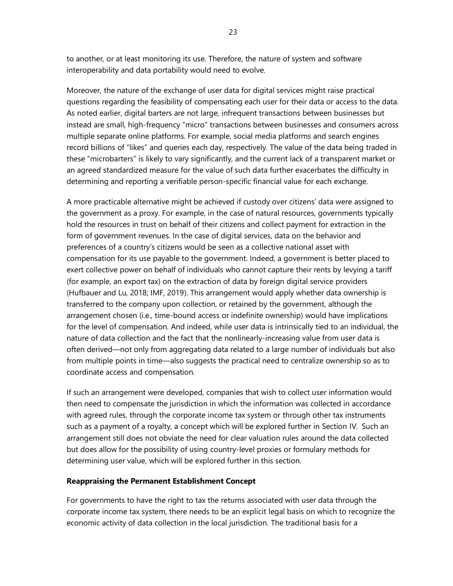to another, or at least monitoring its use. Therefore, the nature of system and software interoperability and data portability would need to evolve.

Moreover, the nature of the exchange of user data for digital services might raise practical questions regarding the feasibility of compensating each user for their data or access to the data. As noted earlier, digital barters are not large, infrequent transactions between businesses but instead are small, high-frequency "micro" transactions between businesses and consumers across multiple separate online platforms. For example, social media platforms and search engines record billions of "likes" and queries each day, respectively. The value of the data being traded in these "microbarters" is likely to vary significantly, and the current lack of a transparent market or an agreed standardized measure for the value of such data further exacerbates the difficulty in determining and reporting a verifiable person-specific financial value for each exchange.

A more practicable alternative might be achieved if custody over citizens' data were assigned to the government as a proxy. For example, in the case of natural resources, governments typically hold the resources in trust on behalf of their citizens and collect payment for extraction in the form of government revenues. In the case of digital services, data on the behavior and preferences of a country's citizens would be seen as a collective national asset with compensation for its use payable to the government. Indeed, a government is better placed to exert collective power on behalf of individuals who cannot capture their rents by levying a tariff (for example, an export tax) on the extraction of data by foreign digital service providers (Hufbauer and Lu, 2018; IMF, 2019). This arrangement would apply whether data ownership is transferred to the company upon collection, or retained by the government, although the arrangement chosen (i.e., time-bound access or indefinite ownership) would have implications for the level of compensation. And indeed, while user data is intrinsically tied to an individual, the nature of data collection and the fact that the nonlinearly-increasing value from user data is often derived—not only from aggregating data related to a large number of individuals but also from multiple points in time—also suggests the practical need to centralize ownership so as to coordinate access and compensation.

If such an arrangement were developed, companies that wish to collect user information would then need to compensate the jurisdiction in which the information was collected in accordance with agreed rules, through the corporate income tax system or through other tax instruments such as a payment of a royalty, a concept which will be explored further in Section IV. Such an arrangement still does not obviate the need for clear valuation rules around the data collected but does allow for the possibility of using country-level proxies or formulary methods for determining user value, which will be explored further in this section.

#### **Reappraising the Permanent Establishment Concept**

For governments to have the right to tax the returns associated with user data through the corporate income tax system, there needs to be an explicit legal basis on which to recognize the economic activity of data collection in the local jurisdiction. The traditional basis for a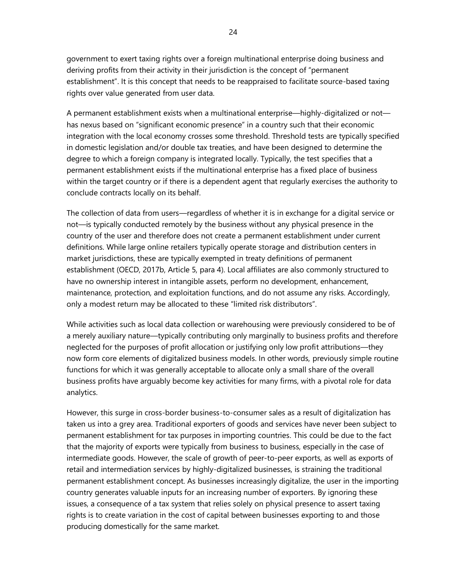government to exert taxing rights over a foreign multinational enterprise doing business and deriving profits from their activity in their jurisdiction is the concept of "permanent establishment". It is this concept that needs to be reappraised to facilitate source-based taxing rights over value generated from user data.

A permanent establishment exists when a multinational enterprise—highly-digitalized or not has nexus based on "significant economic presence" in a country such that their economic integration with the local economy crosses some threshold. Threshold tests are typically specified in domestic legislation and/or double tax treaties, and have been designed to determine the degree to which a foreign company is integrated locally. Typically, the test specifies that a permanent establishment exists if the multinational enterprise has a fixed place of business within the target country or if there is a dependent agent that regularly exercises the authority to conclude contracts locally on its behalf.

The collection of data from users—regardless of whether it is in exchange for a digital service or not—is typically conducted remotely by the business without any physical presence in the country of the user and therefore does not create a permanent establishment under current definitions. While large online retailers typically operate storage and distribution centers in market jurisdictions, these are typically exempted in treaty definitions of permanent establishment (OECD, 2017b, Article 5, para 4). Local affiliates are also commonly structured to have no ownership interest in intangible assets, perform no development, enhancement, maintenance, protection, and exploitation functions, and do not assume any risks. Accordingly, only a modest return may be allocated to these "limited risk distributors".

While activities such as local data collection or warehousing were previously considered to be of a merely auxiliary nature—typically contributing only marginally to business profits and therefore neglected for the purposes of profit allocation or justifying only low profit attributions—they now form core elements of digitalized business models. In other words, previously simple routine functions for which it was generally acceptable to allocate only a small share of the overall business profits have arguably become key activities for many firms, with a pivotal role for data analytics.

However, this surge in cross-border business-to-consumer sales as a result of digitalization has taken us into a grey area. Traditional exporters of goods and services have never been subject to permanent establishment for tax purposes in importing countries. This could be due to the fact that the majority of exports were typically from business to business, especially in the case of intermediate goods. However, the scale of growth of peer-to-peer exports, as well as exports of retail and intermediation services by highly-digitalized businesses, is straining the traditional permanent establishment concept. As businesses increasingly digitalize, the user in the importing country generates valuable inputs for an increasing number of exporters. By ignoring these issues, a consequence of a tax system that relies solely on physical presence to assert taxing rights is to create variation in the cost of capital between businesses exporting to and those producing domestically for the same market.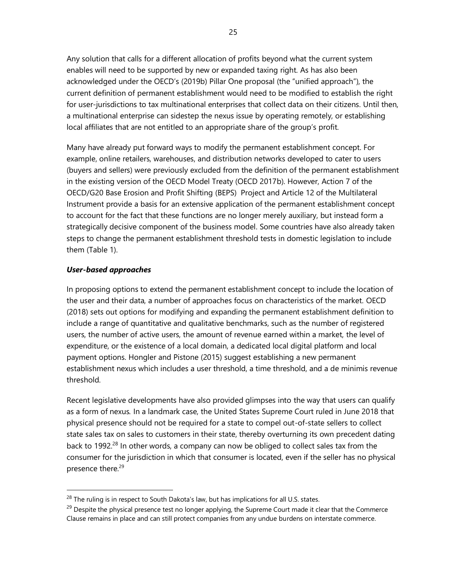Any solution that calls for a different allocation of profits beyond what the current system enables will need to be supported by new or expanded taxing right. As has also been acknowledged under the OECD's (2019b) Pillar One proposal (the "unified approach"), the current definition of permanent establishment would need to be modified to establish the right for user-jurisdictions to tax multinational enterprises that collect data on their citizens. Until then, a multinational enterprise can sidestep the nexus issue by operating remotely, or establishing local affiliates that are not entitled to an appropriate share of the group's profit.

Many have already put forward ways to modify the permanent establishment concept. For example, online retailers, warehouses, and distribution networks developed to cater to users (buyers and sellers) were previously excluded from the definition of the permanent establishment in the existing version of the OECD Model Treaty (OECD 2017b). However, Action 7 of the OECD/G20 Base Erosion and Profit Shifting (BEPS) Project and Article 12 of the Multilateral Instrument provide a basis for an extensive application of the permanent establishment concept to account for the fact that these functions are no longer merely auxiliary, but instead form a strategically decisive component of the business model. Some countries have also already taken steps to change the permanent establishment threshold tests in domestic legislation to include them (Table 1).

#### *User-based approaches*

In proposing options to extend the permanent establishment concept to include the location of the user and their data, a number of approaches focus on characteristics of the market. OECD (2018) sets out options for modifying and expanding the permanent establishment definition to include a range of quantitative and qualitative benchmarks, such as the number of registered users, the number of active users, the amount of revenue earned within a market, the level of expenditure, or the existence of a local domain, a dedicated local digital platform and local payment options. Hongler and Pistone (2015) suggest establishing a new permanent establishment nexus which includes a user threshold, a time threshold, and a de minimis revenue threshold.

Recent legislative developments have also provided glimpses into the way that users can qualify as a form of nexus*.* In a landmark case, the United States Supreme Court ruled in June 2018 that physical presence should not be required for a state to compel out-of-state sellers to collect state sales tax on sales to customers in their state, thereby overturning its own precedent dating back to 1992.<sup>28</sup> In other words, a company can now be obliged to collect sales tax from the consumer for the jurisdiction in which that consumer is located, even if the seller has no physical presence there.<sup>29</sup>

<sup>&</sup>lt;sup>28</sup> The ruling is in respect to South Dakota's law, but has implications for all U.S. states.

<sup>&</sup>lt;sup>29</sup> Despite the physical presence test no longer applying, the Supreme Court made it clear that the Commerce Clause remains in place and can still protect companies from any undue burdens on interstate commerce.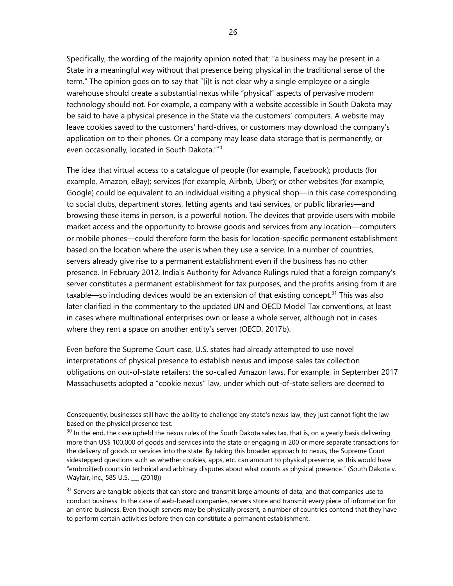Specifically, the wording of the majority opinion noted that: "a business may be present in a State in a meaningful way without that presence being physical in the traditional sense of the term." The opinion goes on to say that "[i]t is not clear why a single employee or a single warehouse should create a substantial nexus while "physical" aspects of pervasive modern technology should not. For example, a company with a website accessible in South Dakota may be said to have a physical presence in the State via the customers' computers. A website may leave cookies saved to the customers' hard-drives, or customers may download the company's application on to their phones. Or a company may lease data storage that is permanently, or even occasionally, located in South Dakota."<sup>30</sup>

The idea that virtual access to a catalogue of people (for example, Facebook); products (for example, Amazon, eBay); services (for example, Airbnb, Uber); or other websites (for example, Google) could be equivalent to an individual visiting a physical shop—in this case corresponding to social clubs, department stores, letting agents and taxi services, or public libraries—and browsing these items in person, is a powerful notion. The devices that provide users with mobile market access and the opportunity to browse goods and services from any location—computers or mobile phones—could therefore form the basis for location-specific permanent establishment based on the location where the user is when they use a service. In a number of countries, servers already give rise to a permanent establishment even if the business has no other presence. In February 2012, India's Authority for Advance Rulings ruled that a foreign company's server constitutes a permanent establishment for tax purposes, and the profits arising from it are taxable—so including devices would be an extension of that existing concept.<sup>31</sup> This was also later clarified in the commentary to the updated UN and OECD Model Tax conventions, at least in cases where multinational enterprises own or lease a whole server, although not in cases where they rent a space on another entity's server (OECD, 2017b).

Even before the Supreme Court case, U.S. states had already attempted to use novel interpretations of physical presence to establish nexus and impose sales tax collection obligations on out-of-state retailers: the so-called Amazon laws. For example, in September 2017 Massachusetts adopted a "cookie nexus" law, under which out-of-state sellers are deemed to

Consequently, businesses still have the ability to challenge any state's nexus law, they just cannot fight the law based on the physical presence test.

 $30$  In the end, the case upheld the nexus rules of the South Dakota sales tax, that is, on a yearly basis delivering more than US\$ 100,000 of goods and services into the state or engaging in 200 or more separate transactions for the delivery of goods or services into the state. By taking this broader approach to nexus, the Supreme Court sidestepped questions such as whether cookies, apps, etc. can amount to physical presence, as this would have "embroil(ed) courts in technical and arbitrary disputes about what counts as physical presence." (South Dakota v. Wayfair, Inc., 585 U.S. \_\_\_ (2018))

<sup>&</sup>lt;sup>31</sup> Servers are tangible objects that can store and transmit large amounts of data, and that companies use to conduct business. In the case of web-based companies, servers store and transmit every piece of information for an entire business. Even though servers may be physically present, a number of countries contend that they have to perform certain activities before then can constitute a permanent establishment.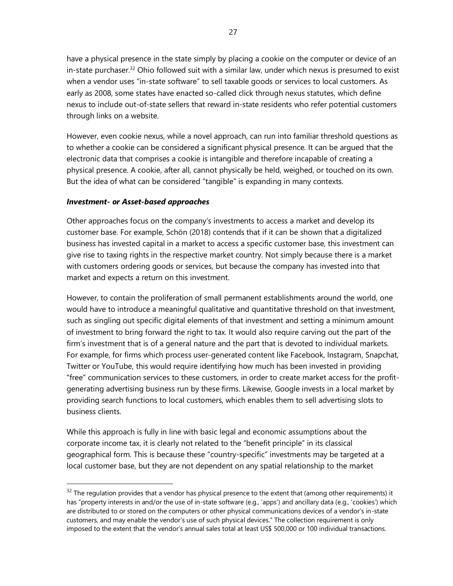have a physical presence in the state simply by placing a cookie on the computer or device of an in-state purchaser.<sup>32</sup> Ohio followed suit with a similar law, under which nexus is presumed to exist when a vendor uses "in-state software" to sell taxable goods or services to local customers. As early as 2008, some states have enacted so-called click through nexus statutes, which define nexus to include out-of-state sellers that reward in-state residents who refer potential customers through links on a website.

However, even cookie nexus, while a novel approach, can run into familiar threshold questions as to whether a cookie can be considered a significant physical presence. It can be argued that the electronic data that comprises a cookie is intangible and therefore incapable of creating a physical presence. A cookie, after all, cannot physically be held, weighed, or touched on its own. But the idea of what can be considered "tangible" is expanding in many contexts.

#### *Investment- or Asset-based approaches*

Other approaches focus on the company's investments to access a market and develop its customer base. For example, Schön (2018) contends that if it can be shown that a digitalized business has invested capital in a market to access a specific customer base, this investment can give rise to taxing rights in the respective market country. Not simply because there is a market with customers ordering goods or services, but because the company has invested into that market and expects a return on this investment.

However, to contain the proliferation of small permanent establishments around the world, one would have to introduce a meaningful qualitative and quantitative threshold on that investment, such as singling out specific digital elements of that investment and setting a minimum amount of investment to bring forward the right to tax. It would also require carving out the part of the firm's investment that is of a general nature and the part that is devoted to individual markets. For example, for firms which process user-generated content like Facebook, Instagram, Snapchat, Twitter or YouTube, this would require identifying how much has been invested in providing "free" communication services to these customers, in order to create market access for the profitgenerating advertising business run by these firms. Likewise, Google invests in a local market by providing search functions to local customers, which enables them to sell advertising slots to business clients.

While this approach is fully in line with basic legal and economic assumptions about the corporate income tax, it is clearly not related to the "benefit principle" in its classical geographical form. This is because these "country-specific" investments may be targeted at a local customer base, but they are not dependent on any spatial relationship to the market

 $32$  The regulation provides that a vendor has physical presence to the extent that (among other requirements) it has "property interests in and/or the use of in-state software (e.g., 'apps') and ancillary data (e.g., 'cookies') which are distributed to or stored on the computers or other physical communications devices of a vendor's in-state customers, and may enable the vendor's use of such physical devices." The collection requirement is only imposed to the extent that the vendor's annual sales total at least US\$ 500,000 or 100 individual transactions.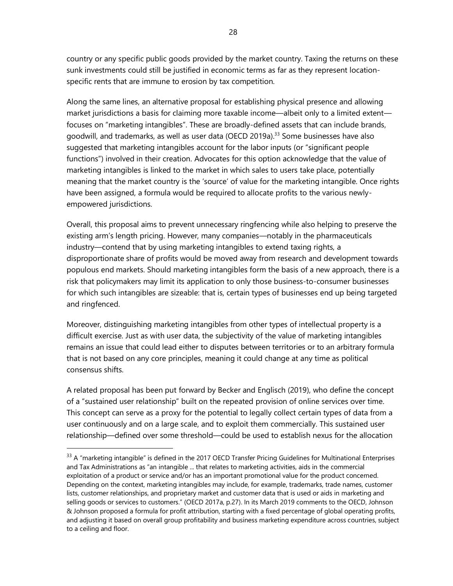country or any specific public goods provided by the market country. Taxing the returns on these sunk investments could still be justified in economic terms as far as they represent locationspecific rents that are immune to erosion by tax competition.

Along the same lines, an alternative proposal for establishing physical presence and allowing market jurisdictions a basis for claiming more taxable income—albeit only to a limited extent focuses on "marketing intangibles". These are broadly-defined assets that can include brands, goodwill, and trademarks, as well as user data (OECD 2019a).<sup>33</sup> Some businesses have also suggested that marketing intangibles account for the labor inputs (or "significant people functions") involved in their creation. Advocates for this option acknowledge that the value of marketing intangibles is linked to the market in which sales to users take place, potentially meaning that the market country is the 'source' of value for the marketing intangible. Once rights have been assigned, a formula would be required to allocate profits to the various newlyempowered jurisdictions.

Overall, this proposal aims to prevent unnecessary ringfencing while also helping to preserve the existing arm's length pricing. However, many companies—notably in the pharmaceuticals industry—contend that by using marketing intangibles to extend taxing rights, a disproportionate share of profits would be moved away from research and development towards populous end markets. Should marketing intangibles form the basis of a new approach, there is a risk that policymakers may limit its application to only those business-to-consumer businesses for which such intangibles are sizeable: that is, certain types of businesses end up being targeted and ringfenced.

Moreover, distinguishing marketing intangibles from other types of intellectual property is a difficult exercise. Just as with user data, the subjectivity of the value of marketing intangibles remains an issue that could lead either to disputes between territories or to an arbitrary formula that is not based on any core principles, meaning it could change at any time as political consensus shifts.

A related proposal has been put forward by Becker and Englisch (2019), who define the concept of a "sustained user relationship" built on the repeated provision of online services over time. This concept can serve as a proxy for the potential to legally collect certain types of data from a user continuously and on a large scale, and to exploit them commercially. This sustained user relationship—defined over some threshold—could be used to establish nexus for the allocation

 $33$  A "marketing intangible" is defined in the 2017 OECD Transfer Pricing Guidelines for Multinational Enterprises and Tax Administrations as "an intangible ... that relates to marketing activities, aids in the commercial exploitation of a product or service and/or has an important promotional value for the product concerned. Depending on the context, marketing intangibles may include, for example, trademarks, trade names, customer lists, customer relationships, and proprietary market and customer data that is used or aids in marketing and selling goods or services to customers." (OECD 2017a, p.27). In its March 2019 comments to the OECD, Johnson & Johnson proposed a formula for profit attribution, starting with a fixed percentage of global operating profits, and adjusting it based on overall group profitability and business marketing expenditure across countries, subject to a ceiling and floor.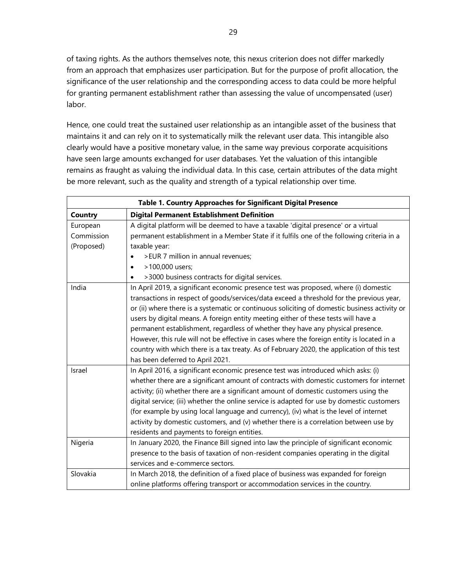of taxing rights. As the authors themselves note, this nexus criterion does not differ markedly from an approach that emphasizes user participation. But for the purpose of profit allocation, the significance of the user relationship and the corresponding access to data could be more helpful for granting permanent establishment rather than assessing the value of uncompensated (user) labor.

Hence, one could treat the sustained user relationship as an intangible asset of the business that maintains it and can rely on it to systematically milk the relevant user data. This intangible also clearly would have a positive monetary value, in the same way previous corporate acquisitions have seen large amounts exchanged for user databases. Yet the valuation of this intangible remains as fraught as valuing the individual data. In this case, certain attributes of the data might be more relevant, such as the quality and strength of a typical relationship over time.

| Table 1. Country Approaches for Significant Digital Presence |                                                                                               |  |  |  |
|--------------------------------------------------------------|-----------------------------------------------------------------------------------------------|--|--|--|
| <b>Country</b>                                               | <b>Digital Permanent Establishment Definition</b>                                             |  |  |  |
| European                                                     | A digital platform will be deemed to have a taxable 'digital presence' or a virtual           |  |  |  |
| Commission                                                   | permanent establishment in a Member State if it fulfils one of the following criteria in a    |  |  |  |
| (Proposed)                                                   | taxable year:                                                                                 |  |  |  |
|                                                              | >EUR 7 million in annual revenues;                                                            |  |  |  |
|                                                              | >100,000 users;                                                                               |  |  |  |
|                                                              | >3000 business contracts for digital services.                                                |  |  |  |
| India                                                        | In April 2019, a significant economic presence test was proposed, where (i) domestic          |  |  |  |
|                                                              | transactions in respect of goods/services/data exceed a threshold for the previous year,      |  |  |  |
|                                                              | or (ii) where there is a systematic or continuous soliciting of domestic business activity or |  |  |  |
|                                                              | users by digital means. A foreign entity meeting either of these tests will have a            |  |  |  |
|                                                              | permanent establishment, regardless of whether they have any physical presence.               |  |  |  |
|                                                              | However, this rule will not be effective in cases where the foreign entity is located in a    |  |  |  |
|                                                              | country with which there is a tax treaty. As of February 2020, the application of this test   |  |  |  |
|                                                              | has been deferred to April 2021.                                                              |  |  |  |
| Israel                                                       | In April 2016, a significant economic presence test was introduced which asks: (i)            |  |  |  |
|                                                              | whether there are a significant amount of contracts with domestic customers for internet      |  |  |  |
|                                                              | activity; (ii) whether there are a significant amount of domestic customers using the         |  |  |  |
|                                                              | digital service; (iii) whether the online service is adapted for use by domestic customers    |  |  |  |
|                                                              | (for example by using local language and currency), (iv) what is the level of internet        |  |  |  |
|                                                              | activity by domestic customers, and (v) whether there is a correlation between use by         |  |  |  |
|                                                              | residents and payments to foreign entities.                                                   |  |  |  |
| Nigeria                                                      | In January 2020, the Finance Bill signed into law the principle of significant economic       |  |  |  |
|                                                              | presence to the basis of taxation of non-resident companies operating in the digital          |  |  |  |
|                                                              | services and e-commerce sectors.                                                              |  |  |  |
| Slovakia                                                     | In March 2018, the definition of a fixed place of business was expanded for foreign           |  |  |  |
|                                                              | online platforms offering transport or accommodation services in the country.                 |  |  |  |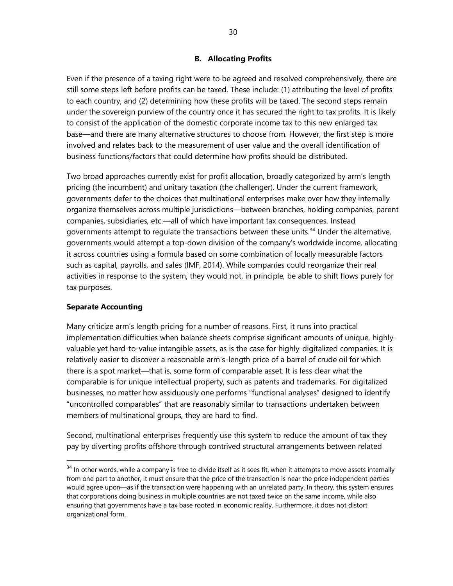#### **B. Allocating Profits**

Even if the presence of a taxing right were to be agreed and resolved comprehensively, there are still some steps left before profits can be taxed. These include: (1) attributing the level of profits to each country, and (2) determining how these profits will be taxed. The second steps remain under the sovereign purview of the country once it has secured the right to tax profits. It is likely to consist of the application of the domestic corporate income tax to this new enlarged tax base—and there are many alternative structures to choose from. However, the first step is more involved and relates back to the measurement of user value and the overall identification of business functions/factors that could determine how profits should be distributed.

Two broad approaches currently exist for profit allocation, broadly categorized by arm's length pricing (the incumbent) and unitary taxation (the challenger). Under the current framework, governments defer to the choices that multinational enterprises make over how they internally organize themselves across multiple jurisdictions—between branches, holding companies, parent companies, subsidiaries, etc.—all of which have important tax consequences. Instead governments attempt to regulate the transactions between these units.<sup>34</sup> Under the alternative, governments would attempt a top-down division of the company's worldwide income, allocating it across countries using a formula based on some combination of locally measurable factors such as capital, payrolls, and sales (IMF, 2014). While companies could reorganize their real activities in response to the system, they would not, in principle, be able to shift flows purely for tax purposes.

#### **Separate Accounting**

Many criticize arm's length pricing for a number of reasons. First, it runs into practical implementation difficulties when balance sheets comprise significant amounts of unique, highlyvaluable yet hard-to-value intangible assets, as is the case for highly-digitalized companies. It is relatively easier to discover a reasonable arm's-length price of a barrel of crude oil for which there is a spot market—that is, some form of comparable asset. It is less clear what the comparable is for unique intellectual property, such as patents and trademarks. For digitalized businesses, no matter how assiduously one performs "functional analyses" designed to identify "uncontrolled comparables" that are reasonably similar to transactions undertaken between members of multinational groups, they are hard to find.

Second, multinational enterprises frequently use this system to reduce the amount of tax they pay by diverting profits offshore through contrived structural arrangements between related

<sup>&</sup>lt;sup>34</sup> In other words, while a company is free to divide itself as it sees fit, when it attempts to move assets internally from one part to another, it must ensure that the price of the transaction is near the price independent parties would agree upon—as if the transaction were happening with an unrelated party. In theory, this system ensures that corporations doing business in multiple countries are not taxed twice on the same income, while also ensuring that governments have a tax base rooted in economic reality. Furthermore, it does not distort organizational form.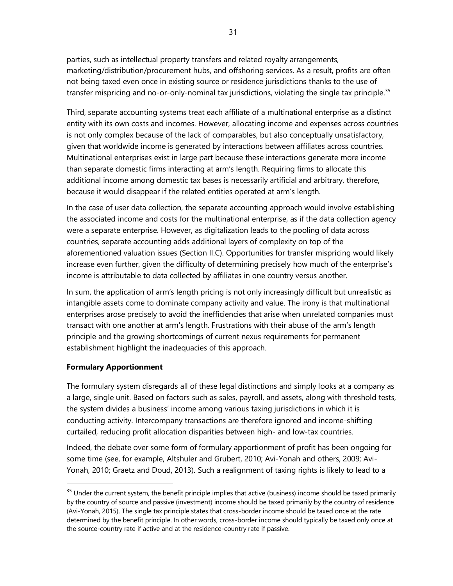parties, such as intellectual property transfers and related royalty arrangements, marketing/distribution/procurement hubs, and offshoring services. As a result, profits are often not being taxed even once in existing source or residence jurisdictions thanks to the use of transfer mispricing and no-or-only-nominal tax jurisdictions, violating the single tax principle.<sup>35</sup>

Third, separate accounting systems treat each affiliate of a multinational enterprise as a distinct entity with its own costs and incomes. However, allocating income and expenses across countries is not only complex because of the lack of comparables, but also conceptually unsatisfactory, given that worldwide income is generated by interactions between affiliates across countries. Multinational enterprises exist in large part because these interactions generate more income than separate domestic firms interacting at arm's length. Requiring firms to allocate this additional income among domestic tax bases is necessarily artificial and arbitrary, therefore, because it would disappear if the related entities operated at arm's length.

In the case of user data collection, the separate accounting approach would involve establishing the associated income and costs for the multinational enterprise, as if the data collection agency were a separate enterprise. However, as digitalization leads to the pooling of data across countries, separate accounting adds additional layers of complexity on top of the aforementioned valuation issues (Section II.C). Opportunities for transfer mispricing would likely increase even further, given the difficulty of determining precisely how much of the enterprise's income is attributable to data collected by affiliates in one country versus another.

In sum, the application of arm's length pricing is not only increasingly difficult but unrealistic as intangible assets come to dominate company activity and value. The irony is that multinational enterprises arose precisely to avoid the inefficiencies that arise when unrelated companies must transact with one another at arm's length. Frustrations with their abuse of the arm's length principle and the growing shortcomings of current nexus requirements for permanent establishment highlight the inadequacies of this approach.

#### **Formulary Apportionment**

The formulary system disregards all of these legal distinctions and simply looks at a company as a large, single unit. Based on factors such as sales, payroll, and assets, along with threshold tests, the system divides a business' income among various taxing jurisdictions in which it is conducting activity. Intercompany transactions are therefore ignored and income-shifting curtailed, reducing profit allocation disparities between high- and low-tax countries.

Indeed, the debate over some form of formulary apportionment of profit has been ongoing for some time (see, for example, Altshuler and Grubert, 2010; Avi-Yonah and others, 2009; Avi-Yonah, 2010; Graetz and Doud, 2013). Such a realignment of taxing rights is likely to lead to a

<sup>&</sup>lt;sup>35</sup> Under the current system, the benefit principle implies that active (business) income should be taxed primarily by the country of source and passive (investment) income should be taxed primarily by the country of residence (Avi-Yonah, 2015). The single tax principle states that cross-border income should be taxed once at the rate determined by the benefit principle. In other words, cross-border income should typically be taxed only once at the source-country rate if active and at the residence-country rate if passive.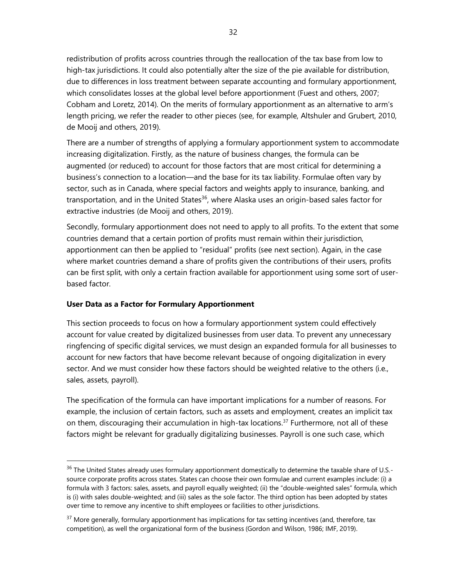redistribution of profits across countries through the reallocation of the tax base from low to high-tax jurisdictions. It could also potentially alter the size of the pie available for distribution, due to differences in loss treatment between separate accounting and formulary apportionment, which consolidates losses at the global level before apportionment (Fuest and others, 2007; Cobham and Loretz, 2014). On the merits of formulary apportionment as an alternative to arm's length pricing, we refer the reader to other pieces (see, for example, Altshuler and Grubert, 2010, de Mooij and others, 2019).

There are a number of strengths of applying a formulary apportionment system to accommodate increasing digitalization. Firstly, as the nature of business changes, the formula can be augmented (or reduced) to account for those factors that are most critical for determining a business's connection to a location—and the base for its tax liability. Formulae often vary by sector, such as in Canada, where special factors and weights apply to insurance, banking, and transportation, and in the United States<sup>36</sup>, where Alaska uses an origin-based sales factor for extractive industries (de Mooij and others, 2019).

Secondly, formulary apportionment does not need to apply to all profits. To the extent that some countries demand that a certain portion of profits must remain within their jurisdiction, apportionment can then be applied to "residual" profits (see next section). Again, in the case where market countries demand a share of profits given the contributions of their users, profits can be first split, with only a certain fraction available for apportionment using some sort of userbased factor.

#### **User Data as a Factor for Formulary Apportionment**

This section proceeds to focus on how a formulary apportionment system could effectively account for value created by digitalized businesses from user data. To prevent any unnecessary ringfencing of specific digital services, we must design an expanded formula for all businesses to account for new factors that have become relevant because of ongoing digitalization in every sector. And we must consider how these factors should be weighted relative to the others (i.e., sales, assets, payroll).

The specification of the formula can have important implications for a number of reasons. For example, the inclusion of certain factors, such as assets and employment, creates an implicit tax on them, discouraging their accumulation in high-tax locations.<sup>37</sup> Furthermore, not all of these factors might be relevant for gradually digitalizing businesses. Payroll is one such case, which

<sup>&</sup>lt;sup>36</sup> The United States already uses formulary apportionment domestically to determine the taxable share of U.S.source corporate profits across states. States can choose their own formulae and current examples include: (i) a formula with 3 factors: sales, assets, and payroll equally weighted; (ii) the "double-weighted sales" formula, which is (i) with sales double-weighted; and (iii) sales as the sole factor. The third option has been adopted by states over time to remove any incentive to shift employees or facilities to other jurisdictions.

<sup>&</sup>lt;sup>37</sup> More generally, formulary apportionment has implications for tax setting incentives (and, therefore, tax competition), as well the organizational form of the business (Gordon and Wilson, 1986; IMF, 2019).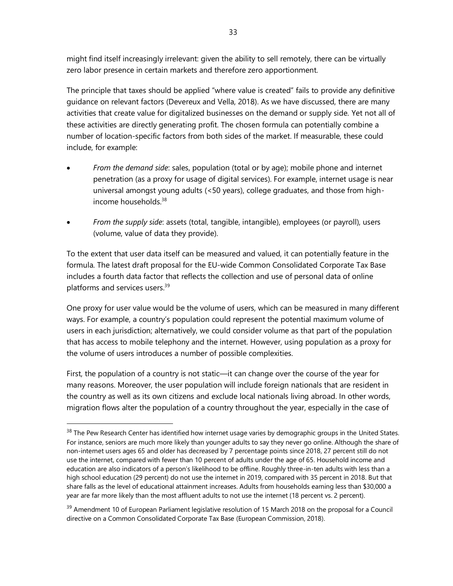might find itself increasingly irrelevant: given the ability to sell remotely, there can be virtually zero labor presence in certain markets and therefore zero apportionment.

The principle that taxes should be applied "where value is created" fails to provide any definitive guidance on relevant factors (Devereux and Vella, 2018). As we have discussed, there are many activities that create value for digitalized businesses on the demand or supply side. Yet not all of these activities are directly generating profit. The chosen formula can potentially combine a number of location-specific factors from both sides of the market. If measurable, these could include, for example:

- *From the demand side*: sales, population (total or by age); mobile phone and internet penetration (as a proxy for usage of digital services). For example, internet usage is near universal amongst young adults (<50 years), college graduates, and those from highincome households  $38$
- *From the supply side*: assets (total, tangible, intangible), employees (or payroll), users (volume, value of data they provide).

To the extent that user data itself can be measured and valued, it can potentially feature in the formula. The latest draft proposal for the EU-wide Common Consolidated Corporate Tax Base includes a fourth data factor that reflects the collection and use of personal data of online platforms and services users. 39

One proxy for user value would be the volume of users, which can be measured in many different ways. For example, a country's population could represent the potential maximum volume of users in each jurisdiction; alternatively, we could consider volume as that part of the population that has access to mobile telephony and the internet. However, using population as a proxy for the volume of users introduces a number of possible complexities.

First, the population of a country is not static—it can change over the course of the year for many reasons. Moreover, the user population will include foreign nationals that are resident in the country as well as its own citizens and exclude local nationals living abroad. In other words, migration flows alter the population of a country throughout the year, especially in the case of

<sup>39</sup> Amendment 10 of European Parliament legislative resolution of 15 March 2018 on the proposal for a Council directive on a Common Consolidated Corporate Tax Base (European Commission, 2018).

<sup>&</sup>lt;sup>38</sup> The Pew Research Center has identified how internet usage varies by demographic groups in the United States. For instance, seniors are much more likely than younger adults to say they never go online. Although the share of non-internet users ages 65 and older has decreased by 7 percentage points since 2018, 27 percent still do not use the internet, compared with fewer than 10 percent of adults under the age of 65. Household income and education are also indicators of a person's likelihood to be offline. Roughly three-in-ten adults with less than a high school education (29 percent) do not use the internet in 2019, compared with 35 percent in 2018. But that share falls as the level of educational attainment increases. Adults from households earning less than \$30,000 a year are far more likely than the most affluent adults to not use the internet (18 percent vs. 2 percent).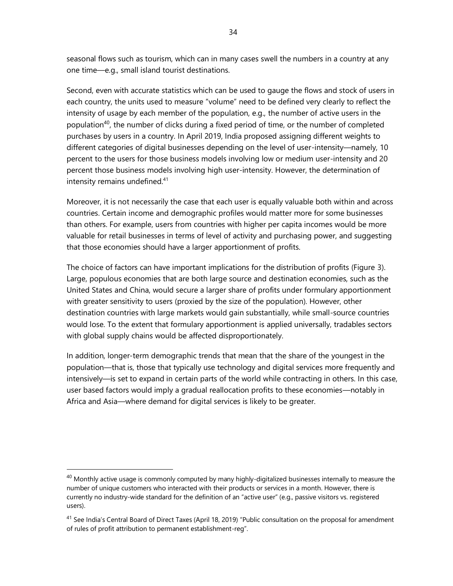seasonal flows such as tourism, which can in many cases swell the numbers in a country at any one time—e.g., small island tourist destinations.

Second, even with accurate statistics which can be used to gauge the flows and stock of users in each country, the units used to measure "volume" need to be defined very clearly to reflect the intensity of usage by each member of the population, e.g., the number of active users in the population<sup>40</sup>, the number of clicks during a fixed period of time, or the number of completed purchases by users in a country. In April 2019, India proposed assigning different weights to different categories of digital businesses depending on the level of user-intensity—namely, 10 percent to the users for those business models involving low or medium user-intensity and 20 percent those business models involving high user-intensity. However, the determination of intensity remains undefined.<sup>41</sup>

Moreover, it is not necessarily the case that each user is equally valuable both within and across countries. Certain income and demographic profiles would matter more for some businesses than others. For example, users from countries with higher per capita incomes would be more valuable for retail businesses in terms of level of activity and purchasing power, and suggesting that those economies should have a larger apportionment of profits.

The choice of factors can have important implications for the distribution of profits (Figure 3). Large, populous economies that are both large source and destination economies, such as the United States and China, would secure a larger share of profits under formulary apportionment with greater sensitivity to users (proxied by the size of the population). However, other destination countries with large markets would gain substantially, while small-source countries would lose. To the extent that formulary apportionment is applied universally, tradables sectors with global supply chains would be affected disproportionately.

In addition, longer-term demographic trends that mean that the share of the youngest in the population—that is, those that typically use technology and digital services more frequently and intensively—is set to expand in certain parts of the world while contracting in others. In this case, user based factors would imply a gradual reallocation profits to these economies—notably in Africa and Asia—where demand for digital services is likely to be greater.

 $40$  Monthly active usage is commonly computed by many highly-digitalized businesses internally to measure the number of unique customers who interacted with their products or services in a month. However, there is currently no industry-wide standard for the definition of an "active user" (e.g., passive visitors vs. registered users).

<sup>&</sup>lt;sup>41</sup> See India's Central Board of Direct Taxes (April 18, 2019) "Public consultation on the proposal for amendment of rules of profit attribution to permanent establishment-reg".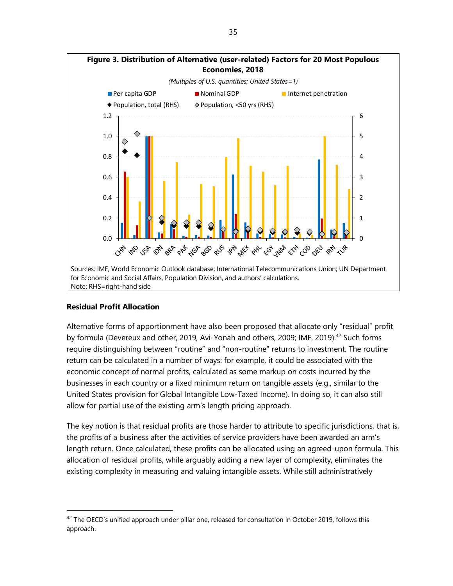

#### **Residual Profit Allocation**

Alternative forms of apportionment have also been proposed that allocate only "residual" profit by formula (Devereux and other, 2019, Avi-Yonah and others, 2009; IMF, 2019).<sup>42</sup> Such forms require distinguishing between "routine" and "non-routine" returns to investment. The routine return can be calculated in a number of ways: for example, it could be associated with the economic concept of normal profits, calculated as some markup on costs incurred by the businesses in each country or a fixed minimum return on tangible assets (e.g., similar to the United States provision for Global Intangible Low-Taxed Income). In doing so, it can also still allow for partial use of the existing arm's length pricing approach.

The key notion is that residual profits are those harder to attribute to specific jurisdictions, that is, the profits of a business after the activities of service providers have been awarded an arm's length return. Once calculated, these profits can be allocated using an agreed-upon formula. This allocation of residual profits, while arguably adding a new layer of complexity, eliminates the existing complexity in measuring and valuing intangible assets. While still administratively

 $42$  The OECD's unified approach under pillar one, released for consultation in October 2019, follows this approach.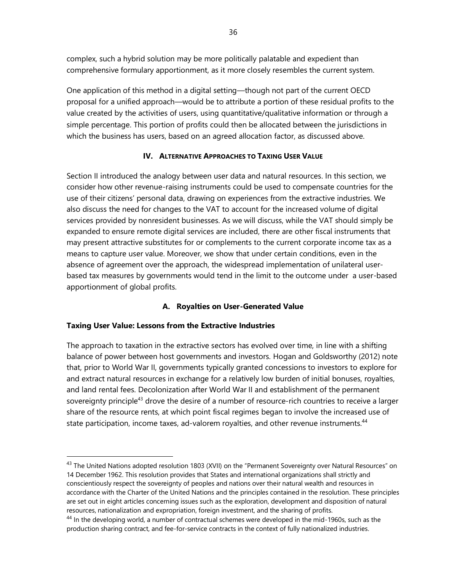complex, such a hybrid solution may be more politically palatable and expedient than comprehensive formulary apportionment, as it more closely resembles the current system.

One application of this method in a digital setting—though not part of the current OECD proposal for a unified approach—would be to attribute a portion of these residual profits to the value created by the activities of users, using quantitative/qualitative information or through a simple percentage. This portion of profits could then be allocated between the jurisdictions in which the business has users, based on an agreed allocation factor, as discussed above.

#### **IV. ALTERNATIVE APPROACHES TO TAXING USER VALUE**

Section II introduced the analogy between user data and natural resources. In this section, we consider how other revenue-raising instruments could be used to compensate countries for the use of their citizens' personal data, drawing on experiences from the extractive industries. We also discuss the need for changes to the VAT to account for the increased volume of digital services provided by nonresident businesses. As we will discuss, while the VAT should simply be expanded to ensure remote digital services are included, there are other fiscal instruments that may present attractive substitutes for or complements to the current corporate income tax as a means to capture user value. Moreover, we show that under certain conditions, even in the absence of agreement over the approach, the widespread implementation of unilateral userbased tax measures by governments would tend in the limit to the outcome under a user-based apportionment of global profits.

#### **A. Royalties on User-Generated Value**

#### **Taxing User Value: Lessons from the Extractive Industries**

The approach to taxation in the extractive sectors has evolved over time, in line with a shifting balance of power between host governments and investors. Hogan and Goldsworthy (2012) note that, prior to World War II, governments typically granted concessions to investors to explore for and extract natural resources in exchange for a relatively low burden of initial bonuses, royalties, and land rental fees. Decolonization after World War II and establishment of the permanent sovereignty principle<sup>43</sup> drove the desire of a number of resource-rich countries to receive a larger share of the resource rents, at which point fiscal regimes began to involve the increased use of state participation, income taxes, ad-valorem royalties, and other revenue instruments.<sup>44</sup>

<sup>&</sup>lt;sup>43</sup> The United Nations adopted resolution 1803 (XVII) on the "Permanent Sovereignty over Natural Resources" on 14 December 1962. This resolution provides that States and international organizations shall strictly and conscientiously respect the sovereignty of peoples and nations over their natural wealth and resources in accordance with the Charter of the United Nations and the principles contained in the resolution. These principles are set out in eight articles concerning issues such as the exploration, development and disposition of natural resources, nationalization and expropriation, foreign investment, and the sharing of profits.

<sup>&</sup>lt;sup>44</sup> In the developing world, a number of contractual schemes were developed in the mid-1960s, such as the production sharing contract, and fee-for-service contracts in the context of fully nationalized industries.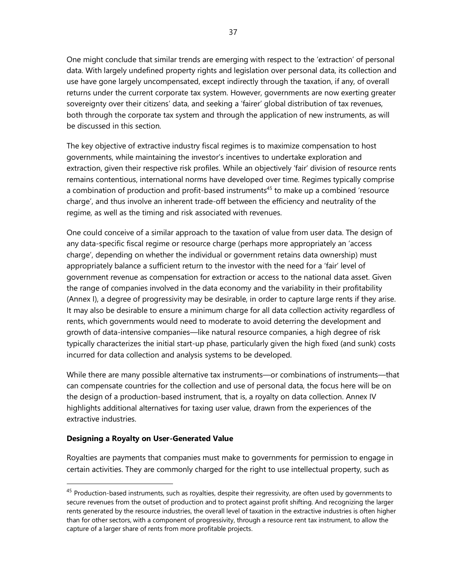One might conclude that similar trends are emerging with respect to the 'extraction' of personal data. With largely undefined property rights and legislation over personal data, its collection and use have gone largely uncompensated, except indirectly through the taxation, if any, of overall returns under the current corporate tax system. However, governments are now exerting greater sovereignty over their citizens' data, and seeking a 'fairer' global distribution of tax revenues, both through the corporate tax system and through the application of new instruments, as will be discussed in this section.

The key objective of extractive industry fiscal regimes is to maximize compensation to host governments, while maintaining the investor's incentives to undertake exploration and extraction, given their respective risk profiles. While an objectively 'fair' division of resource rents remains contentious, international norms have developed over time. Regimes typically comprise a combination of production and profit-based instruments<sup>45</sup> to make up a combined 'resource charge', and thus involve an inherent trade-off between the efficiency and neutrality of the regime, as well as the timing and risk associated with revenues.

One could conceive of a similar approach to the taxation of value from user data. The design of any data-specific fiscal regime or resource charge (perhaps more appropriately an 'access charge', depending on whether the individual or government retains data ownership) must appropriately balance a sufficient return to the investor with the need for a 'fair' level of government revenue as compensation for extraction or access to the national data asset. Given the range of companies involved in the data economy and the variability in their profitability (Annex I), a degree of progressivity may be desirable, in order to capture large rents if they arise. It may also be desirable to ensure a minimum charge for all data collection activity regardless of rents, which governments would need to moderate to avoid deterring the development and growth of data-intensive companies—like natural resource companies, a high degree of risk typically characterizes the initial start-up phase, particularly given the high fixed (and sunk) costs incurred for data collection and analysis systems to be developed.

While there are many possible alternative tax instruments—or combinations of instruments—that can compensate countries for the collection and use of personal data, the focus here will be on the design of a production-based instrument, that is, a royalty on data collection. Annex IV highlights additional alternatives for taxing user value, drawn from the experiences of the extractive industries.

#### **Designing a Royalty on User-Generated Value**

Royalties are payments that companies must make to governments for permission to engage in certain activities. They are commonly charged for the right to use intellectual property, such as

<sup>&</sup>lt;sup>45</sup> Production-based instruments, such as royalties, despite their regressivity, are often used by governments to secure revenues from the outset of production and to protect against profit shifting. And recognizing the larger rents generated by the resource industries, the overall level of taxation in the extractive industries is often higher than for other sectors, with a component of progressivity, through a resource rent tax instrument, to allow the capture of a larger share of rents from more profitable projects.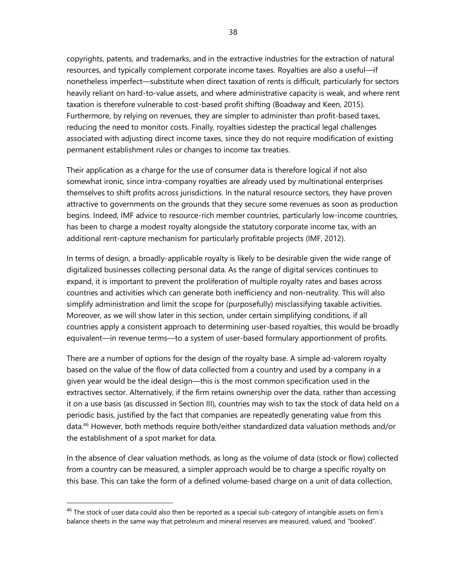copyrights, patents, and trademarks, and in the extractive industries for the extraction of natural resources, and typically complement corporate income taxes. Royalties are also a useful—if nonetheless imperfect—substitute when direct taxation of rents is difficult, particularly for sectors heavily reliant on hard-to-value assets, and where administrative capacity is weak, and where rent taxation is therefore vulnerable to cost-based profit shifting (Boadway and Keen, 2015). Furthermore, by relying on revenues, they are simpler to administer than profit-based taxes, reducing the need to monitor costs. Finally, royalties sidestep the practical legal challenges associated with adjusting direct income taxes, since they do not require modification of existing permanent establishment rules or changes to income tax treaties.

Their application as a charge for the use of consumer data is therefore logical if not also somewhat ironic, since intra-company royalties are already used by multinational enterprises themselves to shift profits across jurisdictions. In the natural resource sectors, they have proven attractive to governments on the grounds that they secure some revenues as soon as production begins. Indeed, IMF advice to resource-rich member countries, particularly low-income countries, has been to charge a modest royalty alongside the statutory corporate income tax, with an additional rent-capture mechanism for particularly profitable projects (IMF, 2012).

In terms of design, a broadly-applicable royalty is likely to be desirable given the wide range of digitalized businesses collecting personal data. As the range of digital services continues to expand, it is important to prevent the proliferation of multiple royalty rates and bases across countries and activities which can generate both inefficiency and non-neutrality. This will also simplify administration and limit the scope for (purposefully) misclassifying taxable activities. Moreover, as we will show later in this section, under certain simplifying conditions, if all countries apply a consistent approach to determining user-based royalties, this would be broadly equivalent—in revenue terms—to a system of user-based formulary apportionment of profits.

There are a number of options for the design of the royalty base. A simple ad-valorem royalty based on the value of the flow of data collected from a country and used by a company in a given year would be the ideal design—this is the most common specification used in the extractives sector. Alternatively, if the firm retains ownership over the data, rather than accessing it on a use basis (as discussed in Section III), countries may wish to tax the stock of data held on a periodic basis, justified by the fact that companies are repeatedly generating value from this data.<sup>46</sup> However, both methods require both/either standardized data valuation methods and/or the establishment of a spot market for data.

In the absence of clear valuation methods, as long as the volume of data (stock or flow) collected from a country can be measured, a simpler approach would be to charge a specific royalty on this base. This can take the form of a defined volume-based charge on a unit of data collection,

 $46$  The stock of user data could also then be reported as a special sub-category of intangible assets on firm's balance sheets in the same way that petroleum and mineral reserves are measured, valued, and "booked".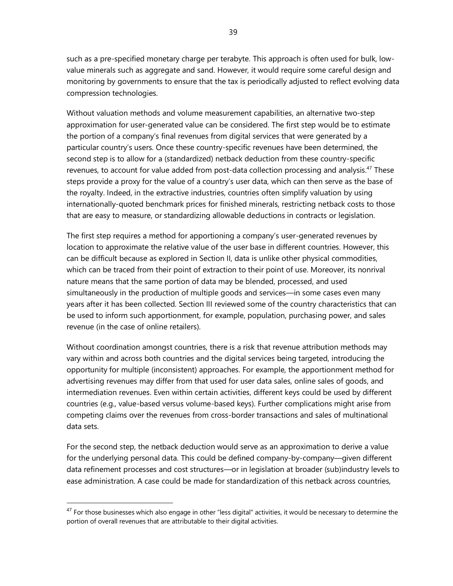39

such as a pre-specified monetary charge per terabyte. This approach is often used for bulk, lowvalue minerals such as aggregate and sand. However, it would require some careful design and monitoring by governments to ensure that the tax is periodically adjusted to reflect evolving data compression technologies.

Without valuation methods and volume measurement capabilities, an alternative two-step approximation for user-generated value can be considered. The first step would be to estimate the portion of a company's final revenues from digital services that were generated by a particular country's users. Once these country-specific revenues have been determined, the second step is to allow for a (standardized) netback deduction from these country-specific revenues, to account for value added from post-data collection processing and analysis.<sup>47</sup> These steps provide a proxy for the value of a country's user data, which can then serve as the base of the royalty. Indeed, in the extractive industries, countries often simplify valuation by using internationally-quoted benchmark prices for finished minerals, restricting netback costs to those that are easy to measure, or standardizing allowable deductions in contracts or legislation.

The first step requires a method for apportioning a company's user-generated revenues by location to approximate the relative value of the user base in different countries. However, this can be difficult because as explored in Section II, data is unlike other physical commodities, which can be traced from their point of extraction to their point of use. Moreover, its nonrival nature means that the same portion of data may be blended, processed, and used simultaneously in the production of multiple goods and services—in some cases even many years after it has been collected. Section III reviewed some of the country characteristics that can be used to inform such apportionment, for example, population, purchasing power, and sales revenue (in the case of online retailers).

Without coordination amongst countries, there is a risk that revenue attribution methods may vary within and across both countries and the digital services being targeted, introducing the opportunity for multiple (inconsistent) approaches. For example, the apportionment method for advertising revenues may differ from that used for user data sales, online sales of goods, and intermediation revenues. Even within certain activities, different keys could be used by different countries (e.g., value-based versus volume-based keys). Further complications might arise from competing claims over the revenues from cross-border transactions and sales of multinational data sets.

For the second step, the netback deduction would serve as an approximation to derive a value for the underlying personal data. This could be defined company-by-company—given different data refinement processes and cost structures—or in legislation at broader (sub)industry levels to ease administration. A case could be made for standardization of this netback across countries,

 $47$  For those businesses which also engage in other "less digital" activities, it would be necessary to determine the portion of overall revenues that are attributable to their digital activities.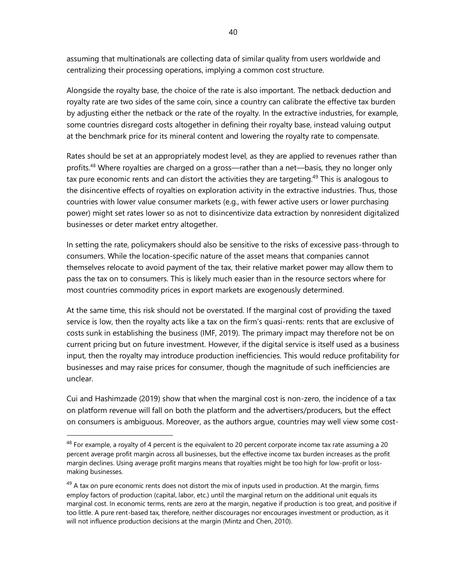assuming that multinationals are collecting data of similar quality from users worldwide and centralizing their processing operations, implying a common cost structure.

Alongside the royalty base, the choice of the rate is also important. The netback deduction and royalty rate are two sides of the same coin, since a country can calibrate the effective tax burden by adjusting either the netback or the rate of the royalty. In the extractive industries, for example, some countries disregard costs altogether in defining their royalty base, instead valuing output at the benchmark price for its mineral content and lowering the royalty rate to compensate.

Rates should be set at an appropriately modest level, as they are applied to revenues rather than profits.<sup>48</sup> Where royalties are charged on a gross—rather than a net—basis, they no longer only tax pure economic rents and can distort the activities they are targeting.<sup>49</sup> This is analogous to the disincentive effects of royalties on exploration activity in the extractive industries. Thus, those countries with lower value consumer markets (e.g., with fewer active users or lower purchasing power) might set rates lower so as not to disincentivize data extraction by nonresident digitalized businesses or deter market entry altogether.

In setting the rate, policymakers should also be sensitive to the risks of excessive pass-through to consumers. While the location-specific nature of the asset means that companies cannot themselves relocate to avoid payment of the tax, their relative market power may allow them to pass the tax on to consumers. This is likely much easier than in the resource sectors where for most countries commodity prices in export markets are exogenously determined.

At the same time, this risk should not be overstated. If the marginal cost of providing the taxed service is low, then the royalty acts like a tax on the firm's quasi-rents: rents that are exclusive of costs sunk in establishing the business (IMF, 2019). The primary impact may therefore not be on current pricing but on future investment. However, if the digital service is itself used as a business input, then the royalty may introduce production inefficiencies. This would reduce profitability for businesses and may raise prices for consumer, though the magnitude of such inefficiencies are unclear.

Cui and Hashimzade (2019) show that when the marginal cost is non-zero, the incidence of a tax on platform revenue will fall on both the platform and the advertisers/producers, but the effect on consumers is ambiguous. Moreover, as the authors argue, countries may well view some cost-

 $48$  For example, a royalty of 4 percent is the equivalent to 20 percent corporate income tax rate assuming a 20 percent average profit margin across all businesses, but the effective income tax burden increases as the profit margin declines. Using average profit margins means that royalties might be too high for low-profit or lossmaking businesses.

 $49$  A tax on pure economic rents does not distort the mix of inputs used in production. At the margin, firms employ factors of production (capital, labor, etc.) until the marginal return on the additional unit equals its marginal cost. In economic terms, rents are zero at the margin, negative if production is too great, and positive if too little. A pure rent-based tax, therefore, neither discourages nor encourages investment or production, as it will not influence production decisions at the margin (Mintz and Chen, 2010).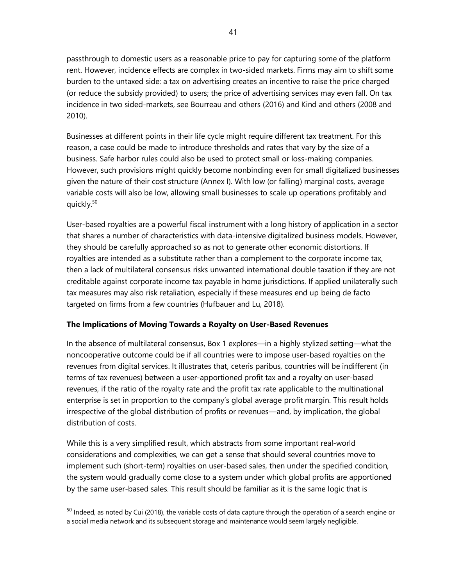passthrough to domestic users as a reasonable price to pay for capturing some of the platform rent. However, incidence effects are complex in two-sided markets. Firms may aim to shift some burden to the untaxed side: a tax on advertising creates an incentive to raise the price charged (or reduce the subsidy provided) to users; the price of advertising services may even fall. On tax incidence in two sided-markets, see Bourreau and others (2016) and Kind and others (2008 and 2010).

Businesses at different points in their life cycle might require different tax treatment. For this reason, a case could be made to introduce thresholds and rates that vary by the size of a business. Safe harbor rules could also be used to protect small or loss-making companies. However, such provisions might quickly become nonbinding even for small digitalized businesses given the nature of their cost structure (Annex I). With low (or falling) marginal costs, average variable costs will also be low, allowing small businesses to scale up operations profitably and quickly.<sup>50</sup>

User-based royalties are a powerful fiscal instrument with a long history of application in a sector that shares a number of characteristics with data-intensive digitalized business models. However, they should be carefully approached so as not to generate other economic distortions. If royalties are intended as a substitute rather than a complement to the corporate income tax, then a lack of multilateral consensus risks unwanted international double taxation if they are not creditable against corporate income tax payable in home jurisdictions. If applied unilaterally such tax measures may also risk retaliation, especially if these measures end up being de facto targeted on firms from a few countries (Hufbauer and Lu, 2018).

# **The Implications of Moving Towards a Royalty on User-Based Revenues**

In the absence of multilateral consensus, Box 1 explores—in a highly stylized setting—what the noncooperative outcome could be if all countries were to impose user-based royalties on the revenues from digital services. It illustrates that, ceteris paribus, countries will be indifferent (in terms of tax revenues) between a user-apportioned profit tax and a royalty on user-based revenues, if the ratio of the royalty rate and the profit tax rate applicable to the multinational enterprise is set in proportion to the company's global average profit margin. This result holds irrespective of the global distribution of profits or revenues—and, by implication, the global distribution of costs.

While this is a very simplified result, which abstracts from some important real-world considerations and complexities, we can get a sense that should several countries move to implement such (short-term) royalties on user-based sales, then under the specified condition, the system would gradually come close to a system under which global profits are apportioned by the same user-based sales. This result should be familiar as it is the same logic that is

 $50$  Indeed, as noted by Cui (2018), the variable costs of data capture through the operation of a search engine or a social media network and its subsequent storage and maintenance would seem largely negligible.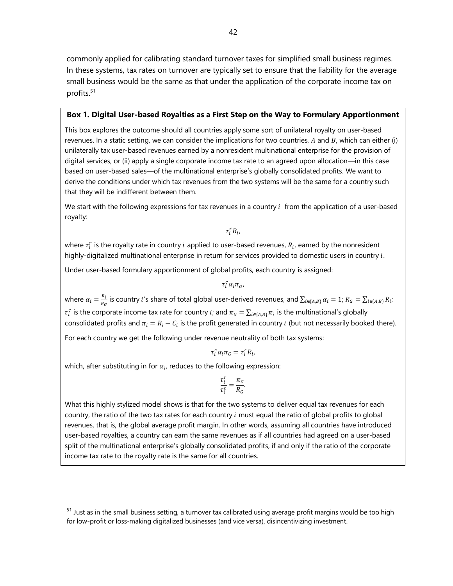commonly applied for calibrating standard turnover taxes for simplified small business regimes. In these systems, tax rates on turnover are typically set to ensure that the liability for the average small business would be the same as that under the application of the corporate income tax on profits.<sup>51</sup>

#### **Box 1. Digital User-based Royalties as a First Step on the Way to Formulary Apportionment**

This box explores the outcome should all countries apply some sort of unilateral royalty on user-based revenues. In a static setting, we can consider the implications for two countries,  $A$  and  $B$ , which can either (i) unilaterally tax user-based revenues earned by a nonresident multinational enterprise for the provision of digital services, or (ii) apply a single corporate income tax rate to an agreed upon allocation—in this case based on user-based sales—of the multinational enterprise's globally consolidated profits. We want to derive the conditions under which tax revenues from the two systems will be the same for a country such that they will be indifferent between them.

We start with the following expressions for tax revenues in a country  $i$  from the application of a user-based royalty:

 $\tau_i^r R_i$ ,

where  $\tau_i^r$  is the royalty rate in country  $i$  applied to user-based revenues,  $R_i$ , earned by the nonresident highly-digitalized multinational enterprise in return for services provided to domestic users in country  $i$ .

Under user-based formulary apportionment of global profits, each country is assigned:

$$
\tau^c_i \alpha_i \pi_G,
$$

where  $\alpha_i = \frac{R_i}{R_i}$  $\frac{R_i}{R_G}$  is country  $i'$ s share of total global user-derived revenues, and  $\sum_{i\in\{A,B\}}\alpha_i=1;$   $R_G=\sum_{i\in\{A,B\}}R_i;$  $\tau_i^c$  is the corporate income tax rate for country *i*; and  $\pi_G = \sum_{i \in \{A,B\}} \pi_i$  is the multinational's globally consolidated profits and  $\pi_i = R_i - \mathcal{C}_i$  is the profit generated in country  $i$  (but not necessarily booked there).

For each country we get the following under revenue neutrality of both tax systems:

$$
\tau_i^c \alpha_i \pi_G = \tau_i^r R_i,
$$

which, after substituting in for  $\alpha_i$ , reduces to the following expression:

$$
\frac{\tau_i^r}{\tau_i^c} = \frac{\pi_G}{R_G}.
$$

What this highly stylized model shows is that for the two systems to deliver equal tax revenues for each country, the ratio of the two tax rates for each country  $i$  must equal the ratio of global profits to global revenues, that is, the global average profit margin. In other words, assuming all countries have introduced user-based royalties, a country can earn the same revenues as if all countries had agreed on a user-based split of the multinational enterprise's globally consolidated profits, if and only if the ratio of the corporate income tax rate to the royalty rate is the same for all countries.

<sup>&</sup>lt;sup>51</sup> Just as in the small business setting, a turnover tax calibrated using average profit margins would be too high for low-profit or loss-making digitalized businesses (and vice versa), disincentivizing investment.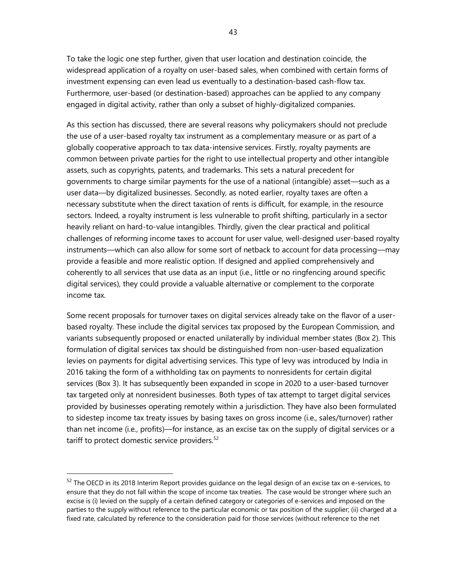To take the logic one step further, given that user location and destination coincide, the widespread application of a royalty on user-based sales, when combined with certain forms of investment expensing can even lead us eventually to a destination-based cash-flow tax. Furthermore, user-based (or destination-based) approaches can be applied to any company engaged in digital activity, rather than only a subset of highly-digitalized companies.

As this section has discussed, there are several reasons why policymakers should not preclude the use of a user-based royalty tax instrument as a complementary measure or as part of a globally cooperative approach to tax data-intensive services. Firstly, royalty payments are common between private parties for the right to use intellectual property and other intangible assets, such as copyrights, patents, and trademarks. This sets a natural precedent for governments to charge similar payments for the use of a national (intangible) asset—such as a user data—by digitalized businesses. Secondly, as noted earlier, royalty taxes are often a necessary substitute when the direct taxation of rents is difficult, for example, in the resource sectors. Indeed, a royalty instrument is less vulnerable to profit shifting, particularly in a sector heavily reliant on hard-to-value intangibles. Thirdly, given the clear practical and political challenges of reforming income taxes to account for user value, well-designed user-based royalty instruments—which can also allow for some sort of netback to account for data processing—may provide a feasible and more realistic option. If designed and applied comprehensively and coherently to all services that use data as an input (i.e., little or no ringfencing around specific digital services), they could provide a valuable alternative or complement to the corporate income tax.

Some recent proposals for turnover taxes on digital services already take on the flavor of a userbased royalty. These include the digital services tax proposed by the European Commission, and variants subsequently proposed or enacted unilaterally by individual member states (Box 2). This formulation of digital services tax should be distinguished from non-user-based equalization levies on payments for digital advertising services. This type of levy was introduced by India in 2016 taking the form of a withholding tax on payments to nonresidents for certain digital services (Box 3). It has subsequently been expanded in scope in 2020 to a user-based turnover tax targeted only at nonresident businesses. Both types of tax attempt to target digital services provided by businesses operating remotely within a jurisdiction. They have also been formulated to sidestep income tax treaty issues by basing taxes on gross income (i.e., sales/turnover) rather than net income (i.e., profits)—for instance, as an excise tax on the supply of digital services or a tariff to protect domestic service providers.<sup>52</sup>

<sup>&</sup>lt;sup>52</sup> The OECD in its 2018 Interim Report provides guidance on the legal design of an excise tax on e-services, to ensure that they do not fall within the scope of income tax treaties. The case would be stronger where such an excise is (i) levied on the supply of a certain defined category or categories of e-services and imposed on the parties to the supply without reference to the particular economic or tax position of the supplier; (ii) charged at a fixed rate, calculated by reference to the consideration paid for those services (without reference to the net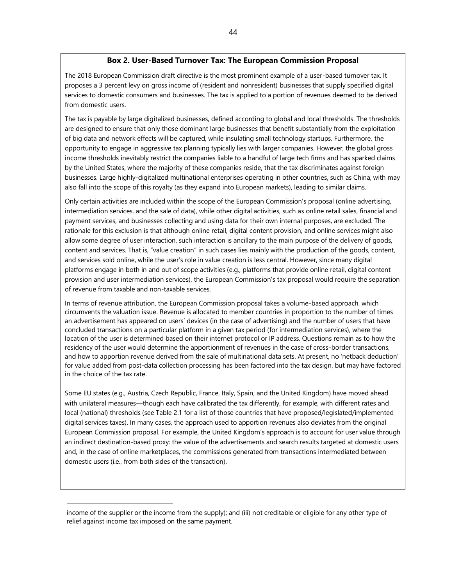#### **Box 2. User-Based Turnover Tax: The European Commission Proposal**

The 2018 European Commission draft directive is the most prominent example of a user-based turnover tax. It proposes a 3 percent levy on gross income of (resident and nonresident) businesses that supply specified digital services to domestic consumers and businesses. The tax is applied to a portion of revenues deemed to be derived from domestic users.

The tax is payable by large digitalized businesses, defined according to global and local thresholds. The thresholds are designed to ensure that only those dominant large businesses that benefit substantially from the exploitation of big data and network effects will be captured, while insulating small technology startups. Furthermore, the opportunity to engage in aggressive tax planning typically lies with larger companies. However, the global gross income thresholds inevitably restrict the companies liable to a handful of large tech firms and has sparked claims by the United States, where the majority of these companies reside, that the tax discriminates against foreign businesses. Large highly-digitalized multinational enterprises operating in other countries, such as China, with may also fall into the scope of this royalty (as they expand into European markets), leading to similar claims.

Only certain activities are included within the scope of the European Commission's proposal (online advertising, intermediation services. and the sale of data), while other digital activities, such as online retail sales, financial and payment services, and businesses collecting and using data for their own internal purposes, are excluded. The rationale for this exclusion is that although online retail, digital content provision, and online services might also allow some degree of user interaction, such interaction is ancillary to the main purpose of the delivery of goods, content and services. That is, "value creation" in such cases lies mainly with the production of the goods, content, and services sold online, while the user's role in value creation is less central. However, since many digital platforms engage in both in and out of scope activities (e.g., platforms that provide online retail, digital content provision and user intermediation services), the European Commission's tax proposal would require the separation of revenue from taxable and non-taxable services.

In terms of revenue attribution, the European Commission proposal takes a volume-based approach, which circumvents the valuation issue. Revenue is allocated to member countries in proportion to the number of times an advertisement has appeared on users' devices (in the case of advertising) and the number of users that have concluded transactions on a particular platform in a given tax period (for intermediation services), where the location of the user is determined based on their internet protocol or IP address. Questions remain as to how the residency of the user would determine the apportionment of revenues in the case of cross-border transactions, and how to apportion revenue derived from the sale of multinational data sets. At present, no 'netback deduction' for value added from post-data collection processing has been factored into the tax design, but may have factored in the choice of the tax rate.

Some EU states (e.g., Austria, Czech Republic, France, Italy, Spain, and the United Kingdom) have moved ahead with unilateral measures—though each have calibrated the tax differently, for example, with different rates and local (national) thresholds (see Table 2.1 for a list of those countries that have proposed/legislated/implemented digital services taxes). In many cases, the approach used to apportion revenues also deviates from the original European Commission proposal. For example, the United Kingdom's approach is to account for user value through an indirect destination-based proxy: the value of the advertisements and search results targeted at domestic users and, in the case of online marketplaces, the commissions generated from transactions intermediated between domestic users (i.e., from both sides of the transaction).

income of the supplier or the income from the supply); and (iii) not creditable or eligible for any other type of relief against income tax imposed on the same payment.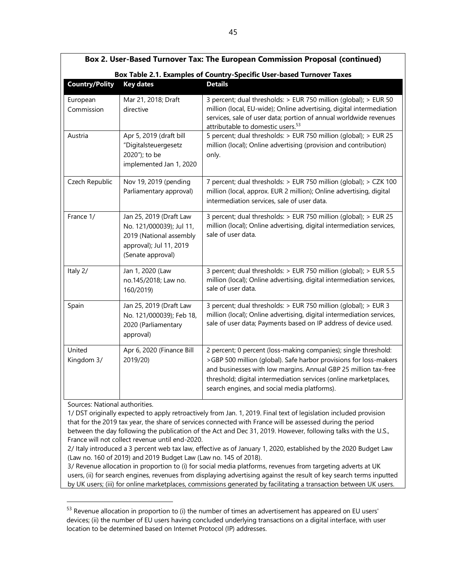| Box 2. User-Based Turnover Tax: The European Commission Proposal (continued) |                                                                                                                                |                                                                                                                                                                                                                                                                                                                             |  |
|------------------------------------------------------------------------------|--------------------------------------------------------------------------------------------------------------------------------|-----------------------------------------------------------------------------------------------------------------------------------------------------------------------------------------------------------------------------------------------------------------------------------------------------------------------------|--|
| Box Table 2.1. Examples of Country-Specific User-based Turnover Taxes        |                                                                                                                                |                                                                                                                                                                                                                                                                                                                             |  |
| <b>Country/Polity</b>                                                        | <b>Key dates</b>                                                                                                               | <b>Details</b>                                                                                                                                                                                                                                                                                                              |  |
| European<br>Commission                                                       | Mar 21, 2018; Draft<br>directive                                                                                               | 3 percent; dual thresholds: > EUR 750 million (qlobal); > EUR 50<br>million (local, EU-wide); Online advertising, digital intermediation<br>services, sale of user data; portion of annual worldwide revenues<br>attributable to domestic users. <sup>53</sup>                                                              |  |
| Austria                                                                      | Apr 5, 2019 (draft bill<br>"Digitalsteuergesetz<br>2020"); to be<br>implemented Jan 1, 2020                                    | 5 percent; dual thresholds: > EUR 750 million (qlobal); > EUR 25<br>million (local); Online advertising (provision and contribution)<br>only.                                                                                                                                                                               |  |
| Czech Republic                                                               | Nov 19, 2019 (pending<br>Parliamentary approval)                                                                               | 7 percent; dual thresholds: > EUR 750 million (global); > CZK 100<br>million (local, approx. EUR 2 million); Online advertising, digital<br>intermediation services, sale of user data.                                                                                                                                     |  |
| France 1/                                                                    | Jan 25, 2019 (Draft Law<br>No. 121/000039); Jul 11,<br>2019 (National assembly<br>approval); Jul 11, 2019<br>(Senate approval) | 3 percent; dual thresholds: > EUR 750 million (global); > EUR 25<br>million (local); Online advertising, digital intermediation services,<br>sale of user data.                                                                                                                                                             |  |
| Italy 2/                                                                     | Jan 1, 2020 (Law<br>no.145/2018; Law no.<br>160/2019)                                                                          | 3 percent; dual thresholds: > EUR 750 million (qlobal); > EUR 5.5<br>million (local); Online advertising, digital intermediation services,<br>sale of user data.                                                                                                                                                            |  |
| Spain                                                                        | Jan 25, 2019 (Draft Law<br>No. 121/000039); Feb 18,<br>2020 (Parliamentary<br>approval)                                        | 3 percent; dual thresholds: > EUR 750 million (qlobal); > EUR 3<br>million (local); Online advertising, digital intermediation services,<br>sale of user data; Payments based on IP address of device used.                                                                                                                 |  |
| United<br>Kingdom 3/                                                         | Apr 6, 2020 (Finance Bill<br>2019/20)                                                                                          | 2 percent; 0 percent (loss-making companies); single threshold:<br>>GBP 500 million (global). Safe harbor provisions for loss-makers<br>and businesses with low margins. Annual GBP 25 million tax-free<br>threshold; digital intermediation services (online marketplaces,<br>search engines, and social media platforms). |  |

Sources: National authorities.

Г

1/ DST originally expected to apply retroactively from Jan. 1, 2019. Final text of legislation included provision that for the 2019 tax year, the share of services connected with France will be assessed during the period between the day following the publication of the Act and Dec 31, 2019. However, following talks with the U.S., France will not collect revenue until end-2020.

2/ Italy introduced a 3 percent web tax law, effective as of January 1, 2020, established by the 2020 Budget Law (Law no. 160 of 2019) and 2019 Budget Law (Law no. 145 of 2018).

3/ Revenue allocation in proportion to (i) for social media platforms, revenues from targeting adverts at UK users, (ii) for search engines, revenues from displaying advertising against the result of key search terms inputted by UK users; (iii) for online marketplaces, commissions generated by facilitating a transaction between UK users.

 $53$  Revenue allocation in proportion to (i) the number of times an advertisement has appeared on EU users' devices; (ii) the number of EU users having concluded underlying transactions on a digital interface, with user location to be determined based on Internet Protocol (IP) addresses.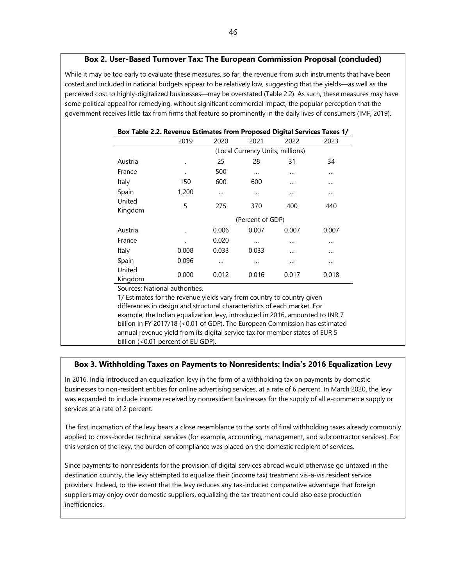While it may be too early to evaluate these measures, so far, the revenue from such instruments that have been costed and included in national budgets appear to be relatively low, suggesting that the yields—as well as the perceived cost to highly-digitalized businesses—may be overstated (Table 2.2). As such, these measures may have some political appeal for remedying, without significant commercial impact, the popular perception that the government receives little tax from firms that feature so prominently in the daily lives of consumers (IMF, 2019).

|                   | Box Table 2.2. Revenue Estimates from Proposed Digital Services Taxes 1/ |                                  |       |       |          |
|-------------------|--------------------------------------------------------------------------|----------------------------------|-------|-------|----------|
|                   | 2019                                                                     | 2020                             | 2021  | 2022  | 2023     |
|                   |                                                                          | (Local Currency Units, millions) |       |       |          |
| Austria           | ٠                                                                        | 25                               | 28    | 31    | 34       |
| France            |                                                                          | 500                              |       |       |          |
| Italy             | 150                                                                      | 600                              | 600   |       |          |
| Spain             | 1,200                                                                    |                                  |       |       |          |
| United<br>Kingdom | 5                                                                        | 275                              | 370   | 400   | 440      |
|                   |                                                                          | (Percent of GDP)                 |       |       |          |
| Austria           |                                                                          | 0.006                            | 0.007 | 0.007 | 0.007    |
| France            |                                                                          | 0.020                            |       |       |          |
| Italy             | 0.008                                                                    | 0.033                            | 0.033 |       |          |
| Spain             | 0.096                                                                    | $\cdots$                         |       |       | $\cdots$ |
| United<br>Kingdom | 0.000                                                                    | 0.012                            | 0.016 | 0.017 | 0.018    |

Sources: National authorities.

1/ Estimates for the revenue yields vary from country to country given differences in design and structural characteristics of each market. For example, the Indian equalization levy, introduced in 2016, amounted to INR 7 billion in FY 2017/18 (<0.01 of GDP). The European Commission has estimated annual revenue yield from its digital service tax for member states of EUR 5 billion (<0.01 percent of EU GDP).

#### **Box 3. Withholding Taxes on Payments to Nonresidents: India's 2016 Equalization Levy**

In 2016, India introduced an equalization levy in the form of a withholding tax on payments by domestic businesses to non-resident entities for online advertising services, at a rate of 6 percent. In March 2020, the levy was expanded to include income received by nonresident businesses for the supply of all e-commerce supply or services at a rate of 2 percent.

The first incarnation of the levy bears a close resemblance to the sorts of final withholding taxes already commonly applied to cross-border technical services (for example, accounting, management, and subcontractor services). For this version of the levy, the burden of compliance was placed on the domestic recipient of services.

Since payments to nonresidents for the provision of digital services abroad would otherwise go untaxed in the destination country, the levy attempted to equalize their (income tax) treatment vis-a-vis resident service providers. Indeed, to the extent that the levy reduces any tax-induced comparative advantage that foreign suppliers may enjoy over domestic suppliers, equalizing the tax treatment could also ease production inefficiencies.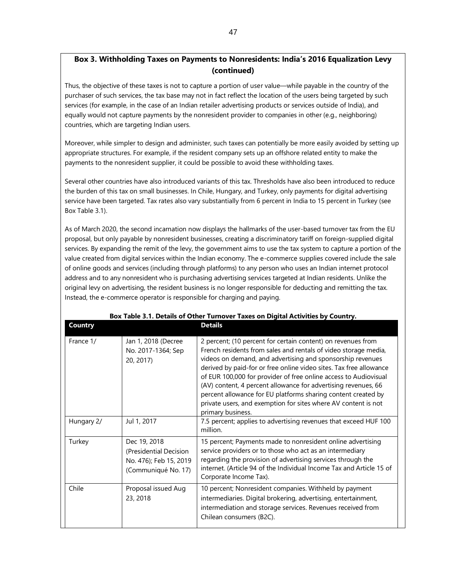# **Box 3. Withholding Taxes on Payments to Nonresidents: India's 2016 Equalization Levy (continued)**

Thus, the objective of these taxes is not to capture a portion of user value—while payable in the country of the purchaser of such services, the tax base may not in fact reflect the location of the users being targeted by such services (for example, in the case of an Indian retailer advertising products or services outside of India), and equally would not capture payments by the nonresident provider to companies in other (e.g., neighboring) countries, which are targeting Indian users.

Moreover, while simpler to design and administer, such taxes can potentially be more easily avoided by setting up appropriate structures. For example, if the resident company sets up an offshore related entity to make the payments to the nonresident supplier, it could be possible to avoid these withholding taxes.

Several other countries have also introduced variants of this tax. Thresholds have also been introduced to reduce the burden of this tax on small businesses. In Chile, Hungary, and Turkey, only payments for digital advertising service have been targeted. Tax rates also vary substantially from 6 percent in India to 15 percent in Turkey (see Box Table 3.1).

As of March 2020, the second incarnation now displays the hallmarks of the user-based turnover tax from the EU proposal, but only payable by nonresident businesses, creating a discriminatory tariff on foreign-supplied digital services. By expanding the remit of the levy, the government aims to use the tax system to capture a portion of the value created from digital services within the Indian economy. The e-commerce supplies covered include the sale of online goods and services (including through platforms) to any person who uses an Indian internet protocol address and to any nonresident who is purchasing advertising services targeted at Indian residents. Unlike the original levy on advertising, the resident business is no longer responsible for deducting and remitting the tax. Instead, the e-commerce operator is responsible for charging and paying.

| <b>Country</b> |                                                                                         | <b>Details</b>                                                                                                                                                                                                                                                                                                                                                                                                                                                                                                                                                    |
|----------------|-----------------------------------------------------------------------------------------|-------------------------------------------------------------------------------------------------------------------------------------------------------------------------------------------------------------------------------------------------------------------------------------------------------------------------------------------------------------------------------------------------------------------------------------------------------------------------------------------------------------------------------------------------------------------|
| France 1/      | Jan 1, 2018 (Decree<br>No. 2017-1364; Sep<br>20, 2017)                                  | 2 percent; (10 percent for certain content) on revenues from<br>French residents from sales and rentals of video storage media,<br>videos on demand, and advertising and sponsorship revenues<br>derived by paid-for or free online video sites. Tax free allowance<br>of EUR 100,000 for provider of free online access to Audiovisual<br>(AV) content, 4 percent allowance for advertising revenues, 66<br>percent allowance for EU platforms sharing content created by<br>private users, and exemption for sites where AV content is not<br>primary business. |
| Hungary 2/     | Jul 1, 2017                                                                             | 7.5 percent; applies to advertising revenues that exceed HUF 100<br>million.                                                                                                                                                                                                                                                                                                                                                                                                                                                                                      |
| Turkey         | Dec 19, 2018<br>(Presidential Decision<br>No. 476); Feb 15, 2019<br>(Communiqué No. 17) | 15 percent; Payments made to nonresident online advertising<br>service providers or to those who act as an intermediary<br>regarding the provision of advertising services through the<br>internet. (Article 94 of the Individual Income Tax and Article 15 of<br>Corporate Income Tax).                                                                                                                                                                                                                                                                          |
| Chile          | Proposal issued Aug<br>23, 2018                                                         | 10 percent; Nonresident companies. Withheld by payment<br>intermediaries. Digital brokering, advertising, entertainment,<br>intermediation and storage services. Revenues received from<br>Chilean consumers (B2C).                                                                                                                                                                                                                                                                                                                                               |

# **Box Table 3.1. Details of Other Turnover Taxes on Digital Activities by Country.**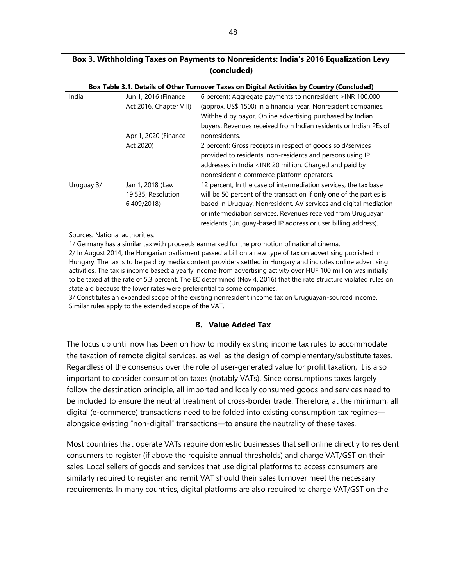# **Box 3. Withholding Taxes on Payments to Nonresidents: India's 2016 Equalization Levy (concluded)**

#### **Box Table 3.1. Details of Other Turnover Taxes on Digital Activities by Country (Concluded)**

| India      | Jun 1, 2016 (Finance    | 6 percent; Aggregate payments to nonresident >INR 100,000                               |
|------------|-------------------------|-----------------------------------------------------------------------------------------|
|            | Act 2016, Chapter VIII) | (approx. US\$ 1500) in a financial year. Nonresident companies.                         |
|            |                         | Withheld by payor. Online advertising purchased by Indian                               |
|            |                         | buyers. Revenues received from Indian residents or Indian PEs of                        |
|            | Apr 1, 2020 (Finance    | nonresidents.                                                                           |
|            | Act 2020)               | 2 percent; Gross receipts in respect of goods sold/services                             |
|            |                         | provided to residents, non-residents and persons using IP                               |
|            |                         | addresses in India <inr 20="" and="" by<="" charged="" million.="" paid="" td=""></inr> |
|            |                         | nonresident e-commerce platform operators.                                              |
| Uruguay 3/ | Jan 1, 2018 (Law        | 12 percent; In the case of intermediation services, the tax base                        |
|            | 19.535; Resolution      | will be 50 percent of the transaction if only one of the parties is                     |
|            | 6,409/2018)             | based in Uruguay. Nonresident. AV services and digital mediation                        |
|            |                         | or intermediation services. Revenues received from Uruguayan                            |
|            |                         | residents (Uruguay-based IP address or user billing address).                           |

Sources: National authorities.

1/ Germany has a similar tax with proceeds earmarked for the promotion of national cinema.

2/ In August 2014, the Hungarian parliament passed a bill on a new type of tax on advertising published in Hungary. The tax is to be paid by media content providers settled in Hungary and includes online advertising activities. The tax is income based: a yearly income from advertising activity over HUF 100 million was initially to be taxed at the rate of 5.3 percent. The EC determined (Nov 4, 2016) that the rate structure violated rules on state aid because the lower rates were preferential to some companies.

3/ Constitutes an expanded scope of the existing nonresident income tax on Uruguayan-sourced income. Similar rules apply to the extended scope of the VAT.

# **B. Value Added Tax**

The focus up until now has been on how to modify existing income tax rules to accommodate the taxation of remote digital services, as well as the design of complementary/substitute taxes. Regardless of the consensus over the role of user-generated value for profit taxation, it is also important to consider consumption taxes (notably VATs). Since consumptions taxes largely follow the destination principle, all imported and locally consumed goods and services need to be included to ensure the neutral treatment of cross-border trade. Therefore, at the minimum, all digital (e-commerce) transactions need to be folded into existing consumption tax regimes alongside existing "non-digital" transactions—to ensure the neutrality of these taxes.

Most countries that operate VATs require domestic businesses that sell online directly to resident consumers to register (if above the requisite annual thresholds) and charge VAT/GST on their sales. Local sellers of goods and services that use digital platforms to access consumers are similarly required to register and remit VAT should their sales turnover meet the necessary requirements. In many countries, digital platforms are also required to charge VAT/GST on the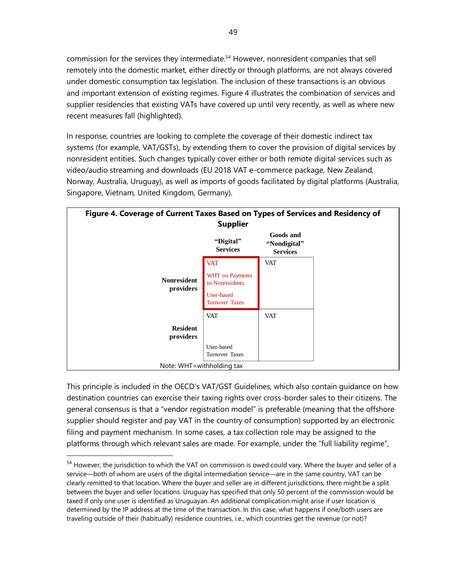commission for the services they intermediate.<sup>54</sup> However, nonresident companies that sell remotely into the domestic market, either directly or through platforms, are not always covered under domestic consumption tax legislation. The inclusion of these transactions is an obvious and important extension of existing regimes. Figure 4 illustrates the combination of services and supplier residencies that existing VATs have covered up until very recently, as well as where new recent measures fall (highlighted).

In response, countries are looking to complete the coverage of their domestic indirect tax systems (for example, VAT/GSTs), by extending them to cover the provision of digital services by nonresident entities. Such changes typically cover either or both remote digital services such as video/audio streaming and downloads (EU 2018 VAT e-commerce package, New Zealand, Norway, Australia, Uruguay), as well as imports of goods facilitated by digital platforms (Australia, Singapore, Vietnam, United Kingdom, Germany).

| Figure 4. Coverage of Current Taxes Based on Types of Services and Residency of | <b>Supplier</b>                           |                                                     |  |
|---------------------------------------------------------------------------------|-------------------------------------------|-----------------------------------------------------|--|
|                                                                                 | "Digital"<br><b>Services</b>              | <b>Goods and</b><br>"Nondigital"<br><b>Services</b> |  |
|                                                                                 | <b>VAT</b>                                | VAT                                                 |  |
| <b>Nonresident</b><br>providers                                                 | <b>WHT</b> on Payments<br>to Nonresidents |                                                     |  |
|                                                                                 | User-based<br><b>Turnover Taxes</b>       |                                                     |  |
|                                                                                 | <b>VAT</b>                                | <b>VAT</b>                                          |  |
| <b>Resident</b><br>providers                                                    |                                           |                                                     |  |
|                                                                                 | User-based<br><b>Turnover Taxes</b>       |                                                     |  |
| Note: WHT=withholding tax                                                       |                                           |                                                     |  |

This principle is included in the OECD's VAT/GST Guidelines, which also contain guidance on how destination countries can exercise their taxing rights over cross-border sales to their citizens. The general consensus is that a "vendor registration model" is preferable (meaning that the offshore supplier should register and pay VAT in the country of consumption) supported by an electronic filing and payment mechanism. In some cases, a tax collection role may be assigned to the platforms through which relevant sales are made. For example, under the "full liability regime",

<sup>&</sup>lt;sup>54</sup> However, the jurisdiction to which the VAT on commission is owed could vary. Where the buyer and seller of a service—both of whom are users of the digital intermediation service—are in the same country, VAT can be clearly remitted to that location. Where the buyer and seller are in different jurisdictions, there might be a split between the buyer and seller locations. Uruguay has specified that only 50 percent of the commission would be taxed if only one user is identified as Uruguayan. An additional complication might arise if user location is determined by the IP address at the time of the transaction. In this case, what happens if one/both users are traveling outside of their (habitually) residence countries, i.e., which countries get the revenue (or not)?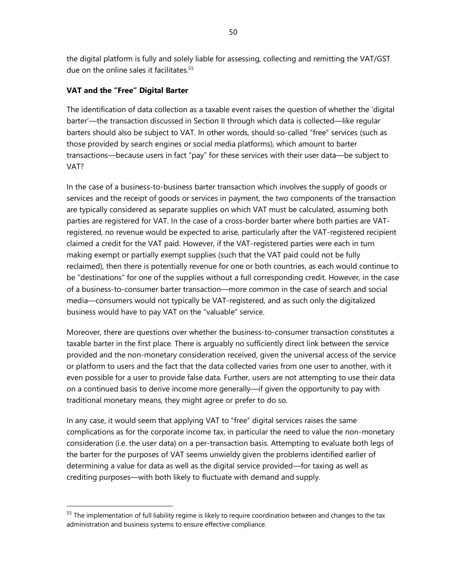the digital platform is fully and solely liable for assessing, collecting and remitting the VAT/GST due on the online sales it facilitates.<sup>55</sup>

# **VAT and the "Free" Digital Barter**

The identification of data collection as a taxable event raises the question of whether the 'digital barter'—the transaction discussed in Section II through which data is collected—like regular barters should also be subject to VAT. In other words, should so-called "free" services (such as those provided by search engines or social media platforms), which amount to barter transactions—because users in fact "pay" for these services with their user data—be subject to VAT?

In the case of a business-to-business barter transaction which involves the supply of goods or services and the receipt of goods or services in payment, the two components of the transaction are typically considered as separate supplies on which VAT must be calculated, assuming both parties are registered for VAT. In the case of a cross-border barter where both parties are VATregistered, no revenue would be expected to arise, particularly after the VAT-registered recipient claimed a credit for the VAT paid. However, if the VAT-registered parties were each in turn making exempt or partially exempt supplies (such that the VAT paid could not be fully reclaimed), then there is potentially revenue for one or both countries, as each would continue to be "destinations" for one of the supplies without a full corresponding credit. However, in the case of a business-to-consumer barter transaction—more common in the case of search and social media—consumers would not typically be VAT-registered, and as such only the digitalized business would have to pay VAT on the "valuable" service.

Moreover, there are questions over whether the business-to-consumer transaction constitutes a taxable barter in the first place. There is arguably no sufficiently direct link between the service provided and the non-monetary consideration received, given the universal access of the service or platform to users and the fact that the data collected varies from one user to another, with it even possible for a user to provide false data. Further, users are not attempting to use their data on a continued basis to derive income more generally—if given the opportunity to pay with traditional monetary means, they might agree or prefer to do so.

In any case, it would seem that applying VAT to "free" digital services raises the same complications as for the corporate income tax, in particular the need to value the non-monetary consideration (i.e. the user data) on a per-transaction basis. Attempting to evaluate both legs of the barter for the purposes of VAT seems unwieldy given the problems identified earlier of determining a value for data as well as the digital service provided—for taxing as well as crediting purposes—with both likely to fluctuate with demand and supply.

<sup>&</sup>lt;sup>55</sup> The implementation of full liability regime is likely to require coordination between and changes to the tax administration and business systems to ensure effective compliance.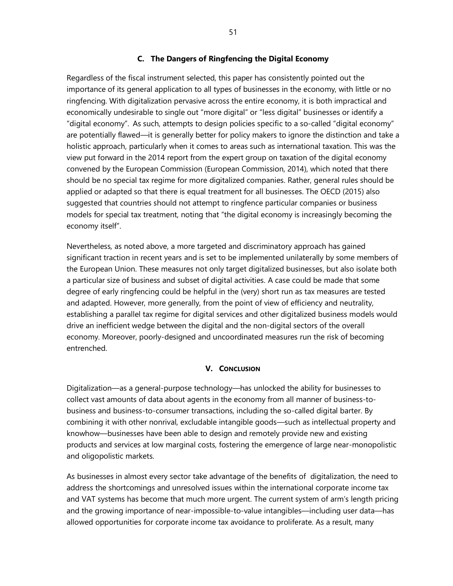#### **C. The Dangers of Ringfencing the Digital Economy**

Regardless of the fiscal instrument selected, this paper has consistently pointed out the importance of its general application to all types of businesses in the economy, with little or no ringfencing. With digitalization pervasive across the entire economy, it is both impractical and economically undesirable to single out "more digital" or "less digital" businesses or identify a "digital economy". As such, attempts to design policies specific to a so-called "digital economy" are potentially flawed—it is generally better for policy makers to ignore the distinction and take a holistic approach, particularly when it comes to areas such as international taxation. This was the view put forward in the 2014 report from the expert group on taxation of the digital economy convened by the European Commission (European Commission, 2014), which noted that there should be no special tax regime for more digitalized companies. Rather, general rules should be applied or adapted so that there is equal treatment for all businesses. The OECD (2015) also suggested that countries should not attempt to ringfence particular companies or business models for special tax treatment, noting that "the digital economy is increasingly becoming the economy itself".

Nevertheless, as noted above, a more targeted and discriminatory approach has gained significant traction in recent years and is set to be implemented unilaterally by some members of the European Union. These measures not only target digitalized businesses, but also isolate both a particular size of business and subset of digital activities. A case could be made that some degree of early ringfencing could be helpful in the (very) short run as tax measures are tested and adapted. However, more generally, from the point of view of efficiency and neutrality, establishing a parallel tax regime for digital services and other digitalized business models would drive an inefficient wedge between the digital and the non-digital sectors of the overall economy. Moreover, poorly-designed and uncoordinated measures run the risk of becoming entrenched.

# **V. CONCLUSION**

Digitalization—as a general-purpose technology—has unlocked the ability for businesses to collect vast amounts of data about agents in the economy from all manner of business-tobusiness and business-to-consumer transactions, including the so-called digital barter. By combining it with other nonrival, excludable intangible goods—such as intellectual property and knowhow—businesses have been able to design and remotely provide new and existing products and services at low marginal costs, fostering the emergence of large near-monopolistic and oligopolistic markets.

As businesses in almost every sector take advantage of the benefits of digitalization, the need to address the shortcomings and unresolved issues within the international corporate income tax and VAT systems has become that much more urgent. The current system of arm's length pricing and the growing importance of near-impossible-to-value intangibles—including user data—has allowed opportunities for corporate income tax avoidance to proliferate. As a result, many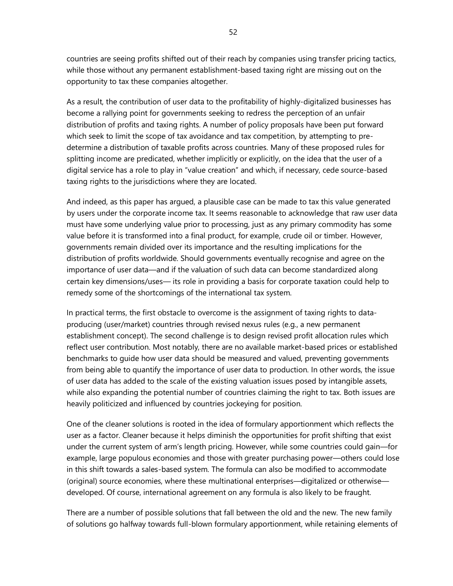countries are seeing profits shifted out of their reach by companies using transfer pricing tactics, while those without any permanent establishment-based taxing right are missing out on the opportunity to tax these companies altogether.

As a result, the contribution of user data to the profitability of highly-digitalized businesses has become a rallying point for governments seeking to redress the perception of an unfair distribution of profits and taxing rights. A number of policy proposals have been put forward which seek to limit the scope of tax avoidance and tax competition, by attempting to predetermine a distribution of taxable profits across countries. Many of these proposed rules for splitting income are predicated, whether implicitly or explicitly, on the idea that the user of a digital service has a role to play in "value creation" and which, if necessary, cede source-based taxing rights to the jurisdictions where they are located.

And indeed, as this paper has argued, a plausible case can be made to tax this value generated by users under the corporate income tax. It seems reasonable to acknowledge that raw user data must have some underlying value prior to processing, just as any primary commodity has some value before it is transformed into a final product, for example, crude oil or timber. However, governments remain divided over its importance and the resulting implications for the distribution of profits worldwide. Should governments eventually recognise and agree on the importance of user data—and if the valuation of such data can become standardized along certain key dimensions/uses— its role in providing a basis for corporate taxation could help to remedy some of the shortcomings of the international tax system.

In practical terms, the first obstacle to overcome is the assignment of taxing rights to dataproducing (user/market) countries through revised nexus rules (e.g., a new permanent establishment concept). The second challenge is to design revised profit allocation rules which reflect user contribution. Most notably, there are no available market-based prices or established benchmarks to guide how user data should be measured and valued, preventing governments from being able to quantify the importance of user data to production. In other words, the issue of user data has added to the scale of the existing valuation issues posed by intangible assets, while also expanding the potential number of countries claiming the right to tax. Both issues are heavily politicized and influenced by countries jockeying for position.

One of the cleaner solutions is rooted in the idea of formulary apportionment which reflects the user as a factor. Cleaner because it helps diminish the opportunities for profit shifting that exist under the current system of arm's length pricing. However, while some countries could gain—for example, large populous economies and those with greater purchasing power—others could lose in this shift towards a sales-based system. The formula can also be modified to accommodate (original) source economies, where these multinational enterprises—digitalized or otherwise developed. Of course, international agreement on any formula is also likely to be fraught.

There are a number of possible solutions that fall between the old and the new. The new family of solutions go halfway towards full-blown formulary apportionment, while retaining elements of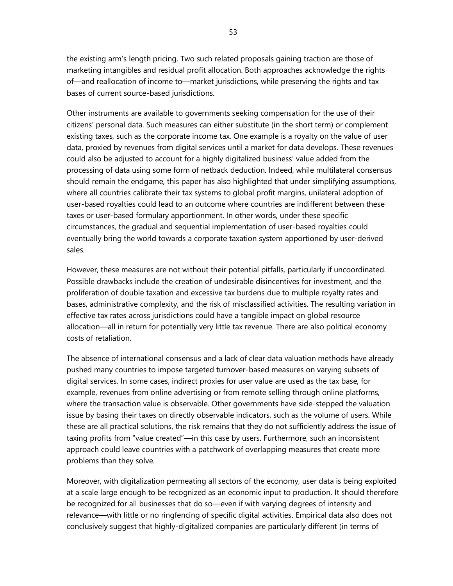the existing arm's length pricing. Two such related proposals gaining traction are those of marketing intangibles and residual profit allocation. Both approaches acknowledge the rights of—and reallocation of income to—market jurisdictions, while preserving the rights and tax bases of current source-based jurisdictions.

Other instruments are available to governments seeking compensation for the use of their citizens' personal data. Such measures can either substitute (in the short term) or complement existing taxes, such as the corporate income tax. One example is a royalty on the value of user data, proxied by revenues from digital services until a market for data develops. These revenues could also be adjusted to account for a highly digitalized business' value added from the processing of data using some form of netback deduction. Indeed, while multilateral consensus should remain the endgame, this paper has also highlighted that under simplifying assumptions, where all countries calibrate their tax systems to global profit margins, unilateral adoption of user-based royalties could lead to an outcome where countries are indifferent between these taxes or user-based formulary apportionment. In other words, under these specific circumstances, the gradual and sequential implementation of user-based royalties could eventually bring the world towards a corporate taxation system apportioned by user-derived sales.

However, these measures are not without their potential pitfalls, particularly if uncoordinated. Possible drawbacks include the creation of undesirable disincentives for investment, and the proliferation of double taxation and excessive tax burdens due to multiple royalty rates and bases, administrative complexity, and the risk of misclassified activities. The resulting variation in effective tax rates across jurisdictions could have a tangible impact on global resource allocation—all in return for potentially very little tax revenue. There are also political economy costs of retaliation.

The absence of international consensus and a lack of clear data valuation methods have already pushed many countries to impose targeted turnover-based measures on varying subsets of digital services. In some cases, indirect proxies for user value are used as the tax base, for example, revenues from online advertising or from remote selling through online platforms, where the transaction value is observable. Other governments have side-stepped the valuation issue by basing their taxes on directly observable indicators, such as the volume of users. While these are all practical solutions, the risk remains that they do not sufficiently address the issue of taxing profits from "value created"—in this case by users. Furthermore, such an inconsistent approach could leave countries with a patchwork of overlapping measures that create more problems than they solve.

Moreover, with digitalization permeating all sectors of the economy, user data is being exploited at a scale large enough to be recognized as an economic input to production. It should therefore be recognized for all businesses that do so—even if with varying degrees of intensity and relevance—with little or no ringfencing of specific digital activities. Empirical data also does not conclusively suggest that highly-digitalized companies are particularly different (in terms of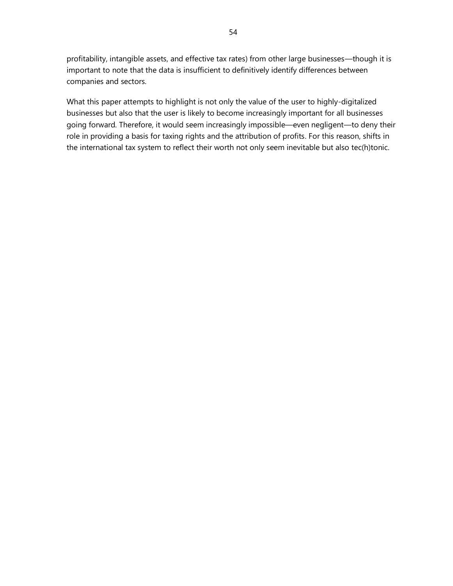profitability, intangible assets, and effective tax rates) from other large businesses—though it is important to note that the data is insufficient to definitively identify differences between companies and sectors.

What this paper attempts to highlight is not only the value of the user to highly-digitalized businesses but also that the user is likely to become increasingly important for all businesses going forward. Therefore, it would seem increasingly impossible—even negligent—to deny their role in providing a basis for taxing rights and the attribution of profits. For this reason, shifts in the international tax system to reflect their worth not only seem inevitable but also tec(h)tonic.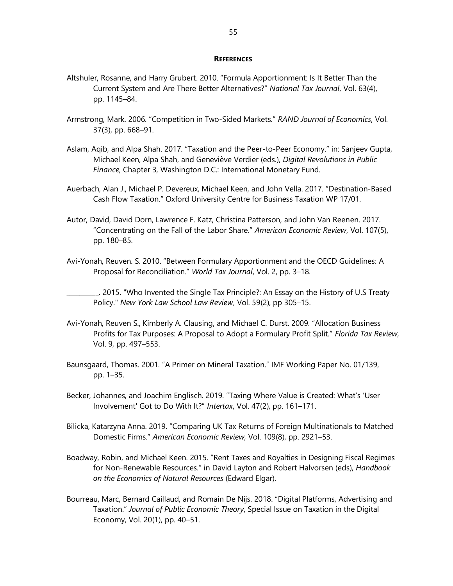#### **REFERENCES**

- Altshuler, Rosanne, and Harry Grubert. 2010. "Formula Apportionment: Is It Better Than the Current System and Are There Better Alternatives?" *National Tax Journal*, Vol. 63(4), pp. 1145–84.
- Armstrong, Mark. 2006. "Competition in Two‐Sided Markets." *RAND Journal of Economics*, Vol. 37(3), pp. 668–91.
- Aslam, Aqib, and Alpa Shah. 2017. "Taxation and the Peer-to-Peer Economy." in: Sanjeev Gupta, Michael Keen, Alpa Shah, and Geneviève Verdier (eds.), *Digital Revolutions in Public Finance*, Chapter 3, Washington D.C.: International Monetary Fund.
- Auerbach, Alan J., Michael P. Devereux, Michael Keen, and John Vella. 2017. "Destination-Based Cash Flow Taxation." Oxford University Centre for Business Taxation WP 17/01.
- Autor, David, David Dorn, Lawrence F. Katz, Christina Patterson, and John Van Reenen. 2017. "Concentrating on the Fall of the Labor Share." *American Economic Review*, Vol. 107(5), pp. 180–85.
- Avi-Yonah, Reuven. S. 2010. "Between Formulary Apportionment and the OECD Guidelines: A Proposal for Reconciliation." *World Tax Journal*, Vol. 2, pp. 3–18.

\_\_\_\_\_\_\_\_\_\_. 2015. "Who Invented the Single Tax Principle?: An Essay on the History of U.S Treaty Policy." *New York Law School Law Review*, Vol. 59(2), pp 305–15.

- Avi-Yonah, Reuven S., Kimberly A. Clausing, and Michael C. Durst. 2009. "Allocation Business Profits for Tax Purposes: A Proposal to Adopt a Formulary Profit Split." *Florida Tax Review*, Vol. 9, pp. 497–553.
- Baunsgaard, Thomas. 2001. "A Primer on Mineral Taxation." IMF Working Paper No. 01/139, pp. 1–35.
- Becker, Johannes, and Joachim Englisch. 2019. "Taxing Where Value is Created: What's 'User Involvement' Got to Do With It?" *Intertax*, Vol. 47(2), pp. 161–171.
- Bilicka, Katarzyna Anna. 2019. "Comparing UK Tax Returns of Foreign Multinationals to Matched Domestic Firms." *American Economic Review*, Vol. 109(8), pp. 2921–53.
- Boadway, Robin, and Michael Keen. 2015. "Rent Taxes and Royalties in Designing Fiscal Regimes for Non-Renewable Resources." in David Layton and Robert Halvorsen (eds), *Handbook on the Economics of Natural Resources* (Edward Elgar).
- Bourreau, Marc, Bernard Caillaud, and Romain De Nijs. 2018. "Digital Platforms, Advertising and Taxation." *Journal of Public Economic Theory*, Special Issue on Taxation in the Digital Economy, Vol. 20(1), pp. 40–51.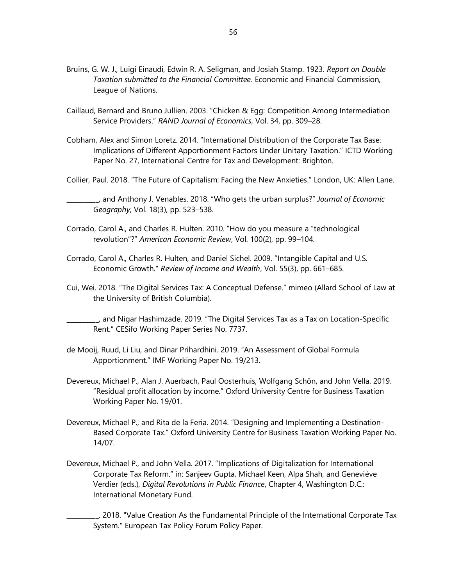- Bruins, G. W. J., Luigi Einaudi, Edwin R. A. Seligman, and Josiah Stamp. 1923. *Report on Double Taxation submitted to the Financial Committee*. Economic and Financial Commission, League of Nations.
- Caillaud, Bernard and Bruno Jullien. 2003. "Chicken & Egg: Competition Among Intermediation Service Providers." *RAND Journal of Economics*, Vol. 34, pp. 309–28.
- Cobham, Alex and Simon Loretz. 2014. "International Distribution of the Corporate Tax Base: Implications of Different Apportionment Factors Under Unitary Taxation." ICTD Working Paper No. 27, International Centre for Tax and Development: Brighton.
- Collier, Paul. 2018. "The Future of Capitalism: Facing the New Anxieties." London, UK: Allen Lane.

\_\_\_\_\_\_\_\_\_\_, and Anthony J. Venables. 2018. "Who gets the urban surplus?" *Journal of Economic Geography*, Vol. 18(3), pp. 523–538.

- Corrado, Carol A., and Charles R. Hulten. 2010. "How do you measure a "technological revolution"?" *American Economic Review*, Vol. 100(2), pp. 99–104.
- Corrado, Carol A., Charles R. Hulten, and Daniel Sichel. 2009. "Intangible Capital and U.S. Economic Growth." *Review of Income and Wealth*, Vol. 55(3), pp. 661–685.
- Cui, Wei. 2018. "The Digital Services Tax: A Conceptual Defense." mimeo (Allard School of Law at the University of British Columbia).

\_\_\_\_\_\_\_\_\_\_, and Nigar Hashimzade. 2019. "The Digital Services Tax as a Tax on Location-Specific Rent." CESifo Working Paper Series No. 7737.

- de Mooij, Ruud, Li Liu, and Dinar Prihardhini. 2019. "An Assessment of Global Formula Apportionment." IMF Working Paper No. 19/213.
- Devereux, Michael P., Alan J. Auerbach, Paul Oosterhuis, Wolfgang Schön, and John Vella. 2019. "Residual profit allocation by income." Oxford University Centre for Business Taxation Working Paper No. 19/01.
- Devereux, Michael P., and Rita de la Feria. 2014. "Designing and Implementing a Destination-Based Corporate Tax." Oxford University Centre for Business Taxation Working Paper No. 14/07.
- Devereux, Michael P., and John Vella. 2017. "Implications of Digitalization for International Corporate Tax Reform." in: Sanjeev Gupta, Michael Keen, Alpa Shah, and Geneviève Verdier (eds.), *Digital Revolutions in Public Finance*, Chapter 4, Washington D.C.: International Monetary Fund.

\_\_\_\_\_\_\_\_\_\_. 2018. "Value Creation As the Fundamental Principle of the International Corporate Tax System." European Tax Policy Forum Policy Paper.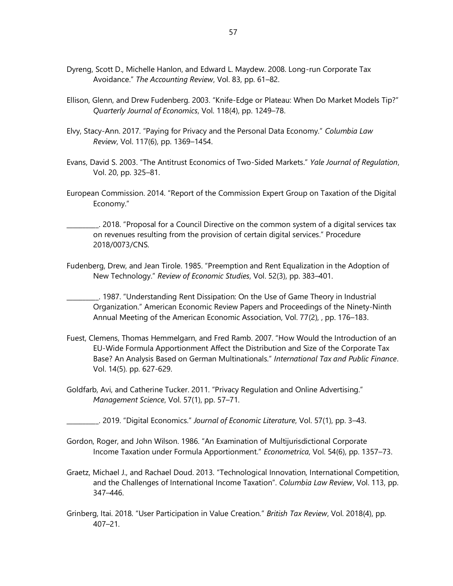- Dyreng, Scott D., Michelle Hanlon, and Edward L. Maydew. 2008. Long-run Corporate Tax Avoidance." *The Accounting Review*, Vol. 83, pp. 61–82.
- Ellison, Glenn, and Drew Fudenberg. 2003. "Knife-Edge or Plateau: When Do Market Models Tip?" *Quarterly Journal of Economics*, Vol. 118(4), pp. 1249–78.
- Elvy, Stacy-Ann. 2017. "Paying for Privacy and the Personal Data Economy." *Columbia Law Review*, Vol. 117(6), pp. 1369–1454.
- Evans, David S. 2003. "The Antitrust Economics of Two-Sided Markets." *Yale Journal of Regulation*, Vol. 20, pp. 325–81.
- European Commission. 2014. "Report of the Commission Expert Group on Taxation of the Digital Economy."

\_\_\_\_\_\_\_\_\_\_. 2018. "Proposal for a Council Directive on the common system of a digital services tax on revenues resulting from the provision of certain digital services." Procedure 2018/0073/CNS.

Fudenberg, Drew, and Jean Tirole. 1985. "Preemption and Rent Equalization in the Adoption of New Technology." *Review of Economic Studies*, Vol. 52(3), pp. 383–401.

\_\_\_\_\_\_\_\_\_\_. 1987. "Understanding Rent Dissipation: On the Use of Game Theory in Industrial Organization." American Economic Review Papers and Proceedings of the Ninety-Ninth Annual Meeting of the American Economic Association, Vol. 77(2), , pp. 176–183.

- Fuest, Clemens, Thomas Hemmelgarn, and Fred Ramb. 2007. "How Would the Introduction of an EU-Wide Formula Apportionment Affect the Distribution and Size of the Corporate Tax Base? An Analysis Based on German Multinationals." *International Tax and Public Finance*. Vol. 14(5). pp. 627-629.
- Goldfarb, Avi, and Catherine Tucker. 2011. "Privacy Regulation and Online Advertising." *Management Science*, Vol. 57(1), pp. 57–71.

\_\_\_\_\_\_\_\_\_\_. 2019. "Digital Economics." *Journal of Economic Literature*, Vol. 57(1), pp. 3–43.

- Gordon, Roger, and John Wilson. 1986. "An Examination of Multijurisdictional Corporate Income Taxation under Formula Apportionment." *Econometrica*, Vol. 54(6), pp. 1357–73.
- Graetz, Michael J., and Rachael Doud. 2013. "Technological Innovation, International Competition, and the Challenges of International Income Taxation". *Columbia Law Review*, Vol. 113, pp. 347–446.
- Grinberg, Itai. 2018. "User Participation in Value Creation." *British Tax Review*, Vol. 2018(4), pp. 407–21.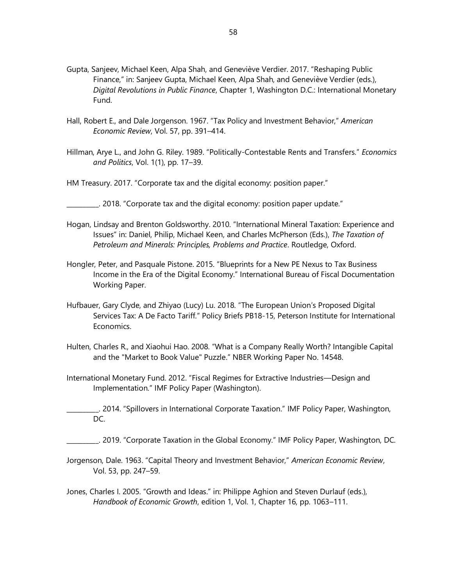- Gupta, Sanjeev, Michael Keen, Alpa Shah, and Geneviève Verdier. 2017. "Reshaping Public Finance," in: Sanjeev Gupta, Michael Keen, Alpa Shah, and Geneviève Verdier (eds.), *Digital Revolutions in Public Finance*, Chapter 1, Washington D.C.: International Monetary Fund.
- Hall, Robert E., and Dale Jorgenson. 1967. "Tax Policy and Investment Behavior," *American Economic Review*, Vol. 57, pp. 391–414.
- Hillman, Arye L., and John G. Riley. 1989. "Politically-Contestable Rents and Transfers." *Economics and Politics*, Vol. 1(1), pp. 17–39.
- HM Treasury. 2017. "Corporate tax and the digital economy: position paper."
- \_\_\_\_\_\_\_\_\_\_. 2018. "Corporate tax and the digital economy: position paper update."
- Hogan, Lindsay and Brenton Goldsworthy. 2010. "International Mineral Taxation: Experience and Issues" in: Daniel, Philip, Michael Keen, and Charles McPherson (Eds.), *The Taxation of Petroleum and Minerals: Principles, Problems and Practice*. Routledge, Oxford.
- Hongler, Peter, and Pasquale Pistone. 2015. "Blueprints for a New PE Nexus to Tax Business Income in the Era of the Digital Economy." International Bureau of Fiscal Documentation Working Paper.
- Hufbauer, Gary Clyde, and Zhiyao (Lucy) Lu. 2018. "The European Union's Proposed Digital Services Tax: A De Facto Tariff." Policy Briefs PB18-15, Peterson Institute for International Economics.
- Hulten, Charles R., and Xiaohui Hao. 2008. "What is a Company Really Worth? Intangible Capital and the "Market to Book Value" Puzzle." NBER Working Paper No. 14548.
- International Monetary Fund. 2012. "Fiscal Regimes for Extractive Industries—Design and Implementation." IMF Policy Paper (Washington).
- \_\_\_\_\_\_\_\_\_\_. 2014. "Spillovers in International Corporate Taxation." IMF Policy Paper, Washington, DC.
- \_\_\_\_\_\_\_\_\_\_. 2019. "Corporate Taxation in the Global Economy." IMF Policy Paper, Washington, DC.
- Jorgenson, Dale. 1963. "Capital Theory and Investment Behavior," *American Economic Review*, Vol. 53, pp. 247–59.
- Jones, Charles I. 2005. "Growth and Ideas." in: Philippe Aghion and Steven Durlauf (eds.), *Handbook of Economic Growth*, edition 1, Vol. 1, Chapter 16, pp. 1063–111.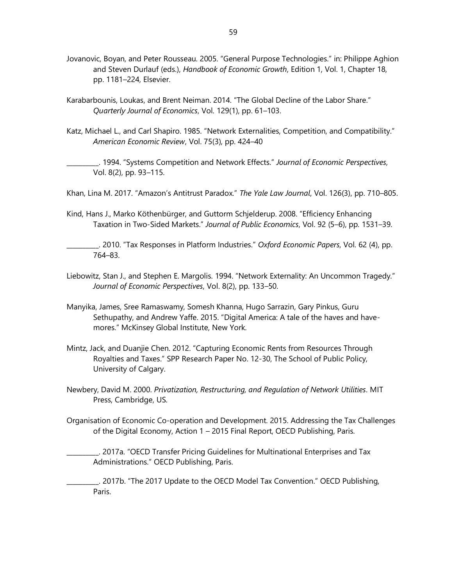- Jovanovic, Boyan, and Peter Rousseau. 2005. "General Purpose Technologies." in: Philippe Aghion and Steven Durlauf (eds.), *Handbook of Economic Growth*, Edition 1, Vol. 1, Chapter 18, pp. 1181–224, Elsevier.
- Karabarbounis, Loukas, and Brent Neiman. 2014. "The Global Decline of the Labor Share." *Quarterly Journal of Economics*, Vol. 129(1), pp. 61–103.
- Katz, Michael L., and Carl Shapiro. 1985. "Network Externalities, Competition, and Compatibility." *American Economic Review*, Vol. 75(3), pp. 424–40

\_\_\_\_\_\_\_\_\_\_. 1994. "Systems Competition and Network Effects." *Journal of Economic Perspectives*, Vol. 8(2), pp. 93–115.

Khan, Lina M. 2017. "Amazon's Antitrust Paradox." *The Yale Law Journal*, Vol. 126(3), pp. 710–805.

Kind, Hans J., Marko Köthenbürger, and Guttorm Schjelderup. 2008. "Efficiency Enhancing Taxation in Two-Sided Markets." *Journal of Public Economics*, Vol. 92 (5–6), pp. 1531–39.

\_\_\_\_\_\_\_\_\_\_. 2010. "Tax Responses in Platform Industries." *Oxford Economic Papers*, Vol. 62 (4), pp. 764–83.

- Liebowitz, Stan J., and Stephen E. Margolis. 1994. "Network Externality: An Uncommon Tragedy." *Journal of Economic Perspectives*, Vol. 8(2), pp. 133–50.
- Manyika, James, Sree Ramaswamy, Somesh Khanna, Hugo Sarrazin, Gary Pinkus, Guru Sethupathy, and Andrew Yaffe. 2015. "Digital America: A tale of the haves and havemores." McKinsey Global Institute, New York.
- Mintz, Jack, and Duanjie Chen. 2012. "Capturing Economic Rents from Resources Through Royalties and Taxes." SPP Research Paper No. 12-30, The School of Public Policy, University of Calgary.
- Newbery, David M. 2000. *Privatization, Restructuring, and Regulation of Network Utilities*. MIT Press, Cambridge, US.
- Organisation of Economic Co-operation and Development. 2015. Addressing the Tax Challenges of the Digital Economy, Action 1 – 2015 Final Report, OECD Publishing, Paris.

\_\_\_\_\_\_\_\_\_\_. 2017a. "OECD Transfer Pricing Guidelines for Multinational Enterprises and Tax Administrations." OECD Publishing, Paris.

\_\_\_\_\_\_\_\_\_\_. 2017b. "The 2017 Update to the OECD Model Tax Convention." OECD Publishing, Paris.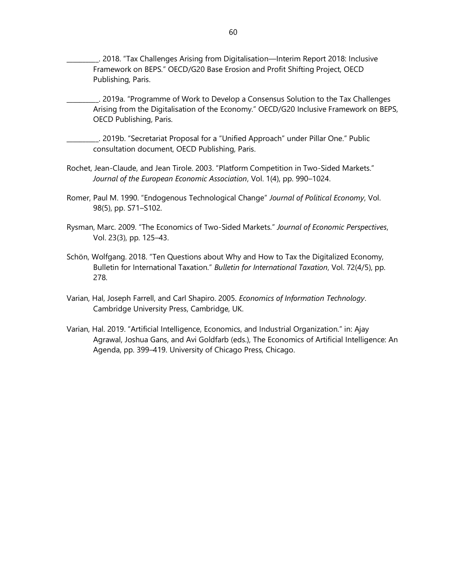\_\_\_\_\_\_\_\_\_\_. 2018. "Tax Challenges Arising from Digitalisation—Interim Report 2018: Inclusive Framework on BEPS." OECD/G20 Base Erosion and Profit Shifting Project, OECD Publishing, Paris.

\_\_\_\_\_\_\_\_\_\_. 2019a. "Programme of Work to Develop a Consensus Solution to the Tax Challenges Arising from the Digitalisation of the Economy." OECD/G20 Inclusive Framework on BEPS, OECD Publishing, Paris.

\_\_\_\_\_\_\_\_\_\_. 2019b. "Secretariat Proposal for a "Unified Approach" under Pillar One." Public consultation document, OECD Publishing, Paris.

- Rochet, Jean-Claude, and Jean Tirole. 2003. "Platform Competition in Two-Sided Markets." *Journal of the European Economic Association*, Vol. 1(4), pp. 990–1024.
- Romer, Paul M. 1990. "Endogenous Technological Change" *Journal of Political Economy*, Vol. 98(5), pp. S71–S102.
- Rysman, Marc. 2009. "The Economics of Two-Sided Markets." *Journal of Economic Perspectives*, Vol. 23(3), pp. 125–43.
- Schön, Wolfgang. 2018. "Ten Questions about Why and How to Tax the Digitalized Economy, Bulletin for International Taxation." *Bulletin for International Taxation*, Vol. 72(4/5), pp. 278.
- Varian, Hal, Joseph Farrell, and Carl Shapiro. 2005. *Economics of Information Technology*. Cambridge University Press, Cambridge, UK.
- Varian, Hal. 2019. "Artificial Intelligence, Economics, and Industrial Organization." in: Ajay Agrawal, Joshua Gans, and Avi Goldfarb (eds.), The Economics of Artificial Intelligence: An Agenda, pp. 399–419. University of Chicago Press, Chicago.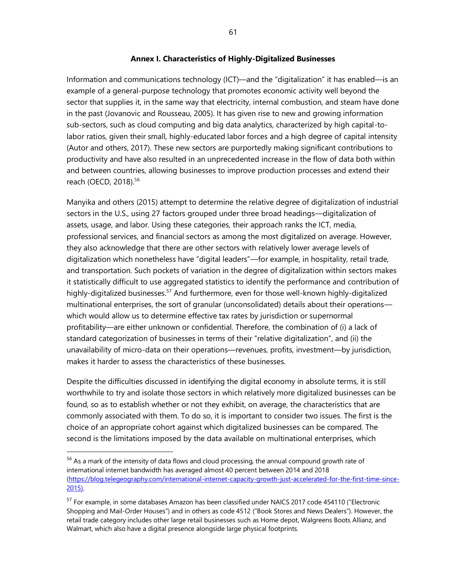#### **Annex I. Characteristics of Highly-Digitalized Businesses**

Information and communications technology (ICT)—and the "digitalization" it has enabled—is an example of a general-purpose technology that promotes economic activity well beyond the sector that supplies it, in the same way that electricity, internal combustion, and steam have done in the past (Jovanovic and Rousseau, 2005). It has given rise to new and growing information sub-sectors, such as cloud computing and big data analytics, characterized by high capital-tolabor ratios, given their small, highly-educated labor forces and a high degree of capital intensity (Autor and others, 2017). These new sectors are purportedly making significant contributions to productivity and have also resulted in an unprecedented increase in the flow of data both within and between countries, allowing businesses to improve production processes and extend their reach (OECD, 2018). 56

Manyika and others (2015) attempt to determine the relative degree of digitalization of industrial sectors in the U.S., using 27 factors grouped under three broad headings—digitalization of assets, usage, and labor. Using these categories, their approach ranks the ICT, media, professional services, and financial sectors as among the most digitalized on average. However, they also acknowledge that there are other sectors with relatively lower average levels of digitalization which nonetheless have "digital leaders"—for example, in hospitality, retail trade, and transportation. Such pockets of variation in the degree of digitalization within sectors makes it statistically difficult to use aggregated statistics to identify the performance and contribution of highly-digitalized businesses.<sup>57</sup> And furthermore, even for those well-known highly-digitalized multinational enterprises, the sort of granular (unconsolidated) details about their operations which would allow us to determine effective tax rates by jurisdiction or supernormal profitability—are either unknown or confidential. Therefore, the combination of (i) a lack of standard categorization of businesses in terms of their "relative digitalization", and (ii) the unavailability of micro-data on their operations—revenues, profits, investment—by jurisdiction, makes it harder to assess the characteristics of these businesses.

Despite the difficulties discussed in identifying the digital economy in absolute terms, it is still worthwhile to try and isolate those sectors in which relatively more digitalized businesses can be found, so as to establish whether or not they exhibit, on average, the characteristics that are commonly associated with them. To do so, it is important to consider two issues. The first is the choice of an appropriate cohort against which digitalized businesses can be compared. The second is the limitations imposed by the data available on multinational enterprises, which

<sup>&</sup>lt;sup>56</sup> As a mark of the intensity of data flows and cloud processing, the annual compound growth rate of international internet bandwidth has averaged almost 40 percent between 2014 and 2018 [\(https://blog.telegeography.com/international-internet-capacity-growth-just-accelerated-for-the-first-time-since-](https://blog.telegeography.com/international-internet-capacity-growth-just-accelerated-for-the-first-time-since-2015)[2015\)](https://blog.telegeography.com/international-internet-capacity-growth-just-accelerated-for-the-first-time-since-2015).

<sup>&</sup>lt;sup>57</sup> For example, in some databases Amazon has been classified under NAICS 2017 code 454110 ("Electronic Shopping and Mail-Order Houses") and in others as code 4512 ("Book Stores and News Dealers"). However, the retail trade category includes other large retail businesses such as Home depot, Walgreens Boots Allianz, and Walmart, which also have a digital presence alongside large physical footprints.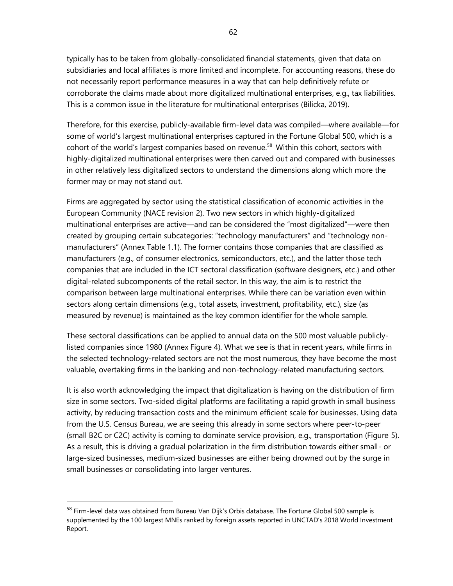typically has to be taken from globally-consolidated financial statements, given that data on subsidiaries and local affiliates is more limited and incomplete. For accounting reasons, these do not necessarily report performance measures in a way that can help definitively refute or corroborate the claims made about more digitalized multinational enterprises, e.g., tax liabilities. This is a common issue in the literature for multinational enterprises (Bilicka, 2019).

Therefore, for this exercise, publicly-available firm-level data was compiled—where available—for some of world's largest multinational enterprises captured in the Fortune Global 500, which is a cohort of the world's largest companies based on revenue.<sup>58</sup> Within this cohort, sectors with highly-digitalized multinational enterprises were then carved out and compared with businesses in other relatively less digitalized sectors to understand the dimensions along which more the former may or may not stand out.

Firms are aggregated by sector using the statistical classification of economic activities in the European Community (NACE revision 2). Two new sectors in which highly-digitalized multinational enterprises are active—and can be considered the "most digitalized"—were then created by grouping certain subcategories: "technology manufacturers" and "technology nonmanufacturers" (Annex Table 1.1). The former contains those companies that are classified as manufacturers (e.g., of consumer electronics, semiconductors, etc.), and the latter those tech companies that are included in the ICT sectoral classification (software designers, etc.) and other digital-related subcomponents of the retail sector. In this way, the aim is to restrict the comparison between large multinational enterprises. While there can be variation even within sectors along certain dimensions (e.g., total assets, investment, profitability, etc.), size (as measured by revenue) is maintained as the key common identifier for the whole sample.

These sectoral classifications can be applied to annual data on the 500 most valuable publiclylisted companies since 1980 (Annex Figure 4). What we see is that in recent years, while firms in the selected technology-related sectors are not the most numerous, they have become the most valuable, overtaking firms in the banking and non-technology-related manufacturing sectors.

It is also worth acknowledging the impact that digitalization is having on the distribution of firm size in some sectors. Two-sided digital platforms are facilitating a rapid growth in small business activity, by reducing transaction costs and the minimum efficient scale for businesses. Using data from the U.S. Census Bureau, we are seeing this already in some sectors where peer-to-peer (small B2C or C2C) activity is coming to dominate service provision, e.g., transportation (Figure 5). As a result, this is driving a gradual polarization in the firm distribution towards either small- or large-sized businesses, medium-sized businesses are either being drowned out by the surge in small businesses or consolidating into larger ventures.

<sup>&</sup>lt;sup>58</sup> Firm-level data was obtained from Bureau Van Dijk's Orbis database. The Fortune Global 500 sample is supplemented by the 100 largest MNEs ranked by foreign assets reported in UNCTAD's 2018 World Investment Report.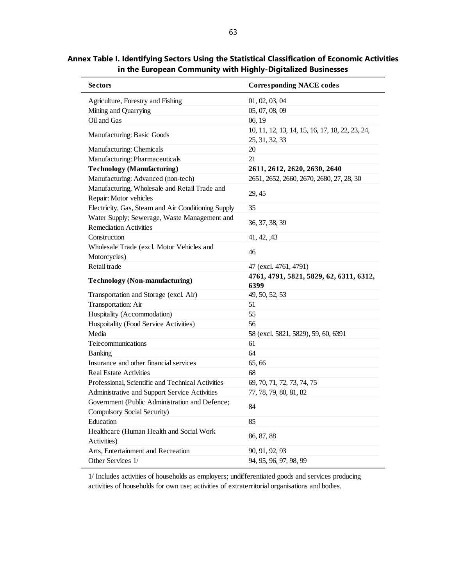**Annex Table I. Identifying Sectors Using the Statistical Classification of Economic Activities in the European Community with Highly-Digitalized Businesses** Ĺ,

| <b>Sectors</b>                                                                | <b>Corresponding NACE codes</b>                                   |
|-------------------------------------------------------------------------------|-------------------------------------------------------------------|
| Agriculture, Forestry and Fishing                                             | 01, 02, 03, 04                                                    |
| Mining and Quarrying                                                          | 05, 07, 08, 09                                                    |
| Oil and Gas                                                                   | 06, 19                                                            |
| Manufacturing: Basic Goods                                                    | 10, 11, 12, 13, 14, 15, 16, 17, 18, 22, 23, 24,<br>25, 31, 32, 33 |
| Manufacturing: Chemicals                                                      | 20                                                                |
| Manufacturing: Pharmaceuticals                                                | 21                                                                |
| <b>Technology (Manufacturing)</b>                                             | 2611, 2612, 2620, 2630, 2640                                      |
| Manufacturing: Advanced (non-tech)                                            | 2651, 2652, 2660, 2670, 2680, 27, 28, 30                          |
| Manufacturing, Wholesale and Retail Trade and<br>Repair: Motor vehicles       | 29, 45                                                            |
| Electricity, Gas, Steam and Air Conditioning Supply                           | 35                                                                |
| Water Supply; Sewerage, Waste Management and<br><b>Remediation Activities</b> | 36, 37, 38, 39                                                    |
| Construction                                                                  | 41, 42, 43                                                        |
| Wholesale Trade (excl. Motor Vehicles and<br>Motorcycles)                     | 46                                                                |
| Retail trade                                                                  | 47 (excl. 4761, 4791)                                             |
| <b>Technology (Non-manufacturing)</b>                                         | 4761, 4791, 5821, 5829, 62, 6311, 6312,<br>6399                   |
| Transportation and Storage (excl. Air)                                        | 49, 50, 52, 53                                                    |
| Transportation: Air                                                           | 51                                                                |
| Hospitality (Accommodation)                                                   | 55                                                                |
| Hospoitality (Food Service Activities)                                        | 56                                                                |
| Media                                                                         | 58 (excl. 5821, 5829), 59, 60, 6391                               |
| Telecommunications                                                            | 61                                                                |
| Banking                                                                       | 64                                                                |
| Insurance and other financial services                                        | 65, 66                                                            |
| <b>Real Estate Activities</b>                                                 | 68                                                                |
| Professional, Scientific and Technical Activities                             | 69, 70, 71, 72, 73, 74, 75                                        |
| Administrative and Support Service Activities                                 | 77, 78, 79, 80, 81, 82                                            |
| Government (Public Administration and Defence;<br>Compulsory Social Security) | 84                                                                |
| Education                                                                     | 85                                                                |
| Healthcare (Human Health and Social Work<br>Activities)                       | 86, 87, 88                                                        |
| Arts, Entertainment and Recreation                                            | 90, 91, 92, 93                                                    |
| Other Services 1/                                                             | 94, 95, 96, 97, 98, 99                                            |
|                                                                               |                                                                   |

1/ Includes activities of households as employers; undifferentiated goods and services producing activities of households for own use; activities of extraterritorial organisations and bodies.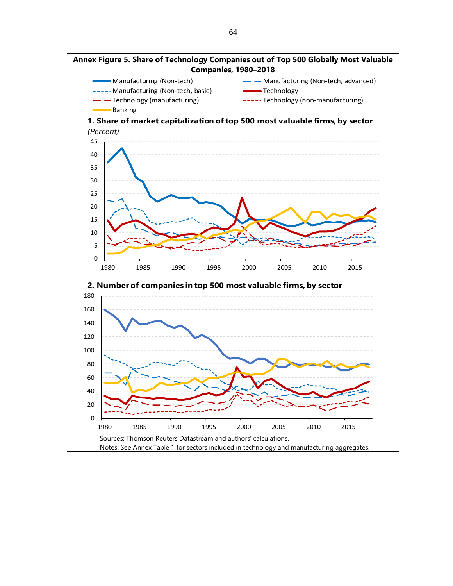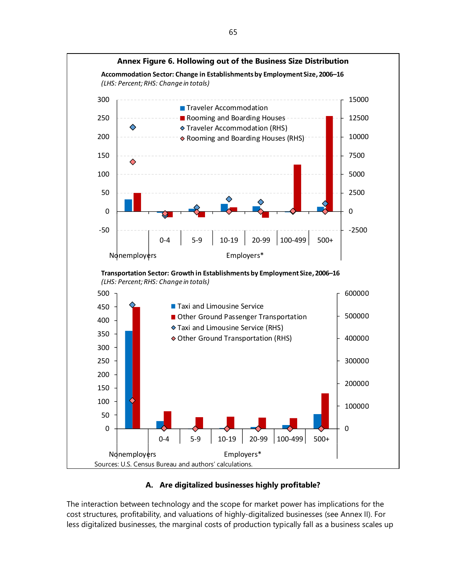

# **A. Are digitalized businesses highly profitable?**

The interaction between technology and the scope for market power has implications for the cost structures, profitability, and valuations of highly-digitalized businesses (see Annex II). For less digitalized businesses, the marginal costs of production typically fall as a business scales up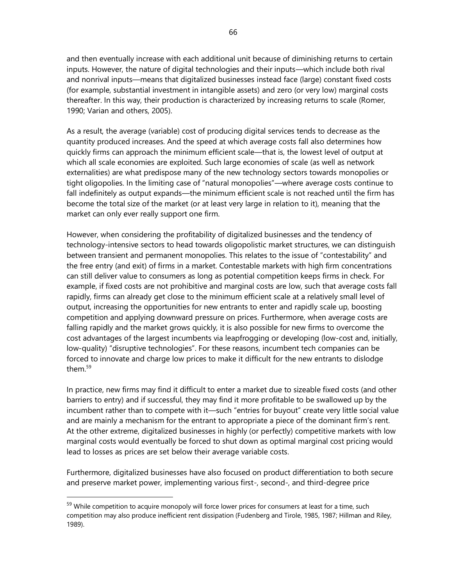and then eventually increase with each additional unit because of diminishing returns to certain inputs. However, the nature of digital technologies and their inputs—which include both rival and nonrival inputs—means that digitalized businesses instead face (large) constant fixed costs (for example, substantial investment in intangible assets) and zero (or very low) marginal costs thereafter. In this way, their production is characterized by increasing returns to scale (Romer, 1990; Varian and others, 2005).

As a result, the average (variable) cost of producing digital services tends to decrease as the quantity produced increases. And the speed at which average costs fall also determines how quickly firms can approach the minimum efficient scale—that is, the lowest level of output at which all scale economies are exploited. Such large economies of scale (as well as network externalities) are what predispose many of the new technology sectors towards monopolies or tight oligopolies. In the limiting case of "natural monopolies"—where average costs continue to fall indefinitely as output expands—the minimum efficient scale is not reached until the firm has become the total size of the market (or at least very large in relation to it), meaning that the market can only ever really support one firm.

However, when considering the profitability of digitalized businesses and the tendency of technology-intensive sectors to head towards oligopolistic market structures, we can distinguish between transient and permanent monopolies. This relates to the issue of "contestability" and the free entry (and exit) of firms in a market. Contestable markets with high firm concentrations can still deliver value to consumers as long as potential competition keeps firms in check. For example, if fixed costs are not prohibitive and marginal costs are low, such that average costs fall rapidly, firms can already get close to the minimum efficient scale at a relatively small level of output, increasing the opportunities for new entrants to enter and rapidly scale up, boosting competition and applying downward pressure on prices. Furthermore, when average costs are falling rapidly and the market grows quickly, it is also possible for new firms to overcome the cost advantages of the largest incumbents via leapfrogging or developing (low-cost and, initially, low-quality) "disruptive technologies". For these reasons, incumbent tech companies can be forced to innovate and charge low prices to make it difficult for the new entrants to dislodge them.<sup>59</sup>

In practice, new firms may find it difficult to enter a market due to sizeable fixed costs (and other barriers to entry) and if successful, they may find it more profitable to be swallowed up by the incumbent rather than to compete with it—such "entries for buyout" create very little social value and are mainly a mechanism for the entrant to appropriate a piece of the dominant firm's rent. At the other extreme, digitalized businesses in highly (or perfectly) competitive markets with low marginal costs would eventually be forced to shut down as optimal marginal cost pricing would lead to losses as prices are set below their average variable costs.

Furthermore, digitalized businesses have also focused on product differentiation to both secure and preserve market power, implementing various first-, second-, and third-degree price

<sup>&</sup>lt;sup>59</sup> While competition to acquire monopoly will force lower prices for consumers at least for a time, such competition may also produce inefficient rent dissipation (Fudenberg and Tirole, 1985, 1987; Hillman and Riley, 1989).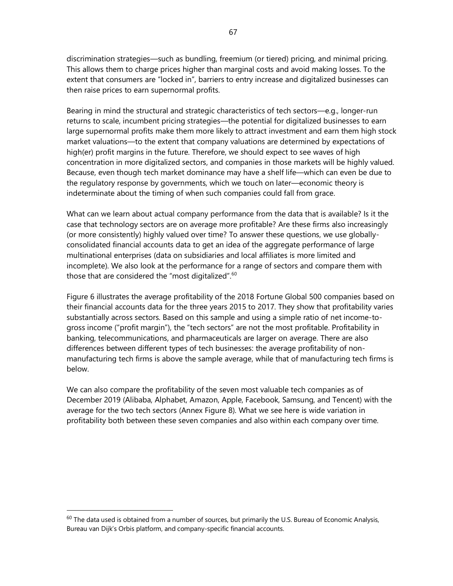discrimination strategies—such as bundling, freemium (or tiered) pricing, and minimal pricing. This allows them to charge prices higher than marginal costs and avoid making losses. To the extent that consumers are "locked in", barriers to entry increase and digitalized businesses can then raise prices to earn supernormal profits.

Bearing in mind the structural and strategic characteristics of tech sectors—e.g., longer-run returns to scale, incumbent pricing strategies—the potential for digitalized businesses to earn large supernormal profits make them more likely to attract investment and earn them high stock market valuations—to the extent that company valuations are determined by expectations of high(er) profit margins in the future. Therefore, we should expect to see waves of high concentration in more digitalized sectors, and companies in those markets will be highly valued. Because, even though tech market dominance may have a shelf life—which can even be due to the regulatory response by governments, which we touch on later—economic theory is indeterminate about the timing of when such companies could fall from grace.

What can we learn about actual company performance from the data that is available? Is it the case that technology sectors are on average more profitable? Are these firms also increasingly (or more consistently) highly valued over time? To answer these questions, we use globallyconsolidated financial accounts data to get an idea of the aggregate performance of large multinational enterprises (data on subsidiaries and local affiliates is more limited and incomplete). We also look at the performance for a range of sectors and compare them with those that are considered the "most digitalized".<sup>60</sup>

Figure 6 illustrates the average profitability of the 2018 Fortune Global 500 companies based on their financial accounts data for the three years 2015 to 2017. They show that profitability varies substantially across sectors. Based on this sample and using a simple ratio of net income-togross income ("profit margin"), the "tech sectors" are not the most profitable. Profitability in banking, telecommunications, and pharmaceuticals are larger on average. There are also differences between different types of tech businesses: the average profitability of nonmanufacturing tech firms is above the sample average, while that of manufacturing tech firms is below.

We can also compare the profitability of the seven most valuable tech companies as of December 2019 (Alibaba, Alphabet, Amazon, Apple, Facebook, Samsung, and Tencent) with the average for the two tech sectors (Annex Figure 8). What we see here is wide variation in profitability both between these seven companies and also within each company over time.

 $60$  The data used is obtained from a number of sources, but primarily the U.S. Bureau of Economic Analysis, Bureau van Dijk's Orbis platform, and company-specific financial accounts.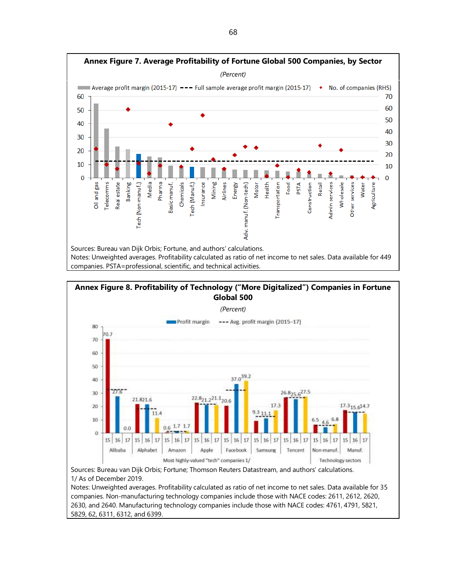



1/ As of December 2019.

Notes: Unweighted averages. Profitability calculated as ratio of net income to net sales. Data available for 35 companies. Non-manufacturing technology companies include those with NACE codes: 2611, 2612, 2620, 2630, and 2640. Manufacturing technology companies include those with NACE codes: 4761, 4791, 5821, 5829, 62, 6311, 6312, and 6399.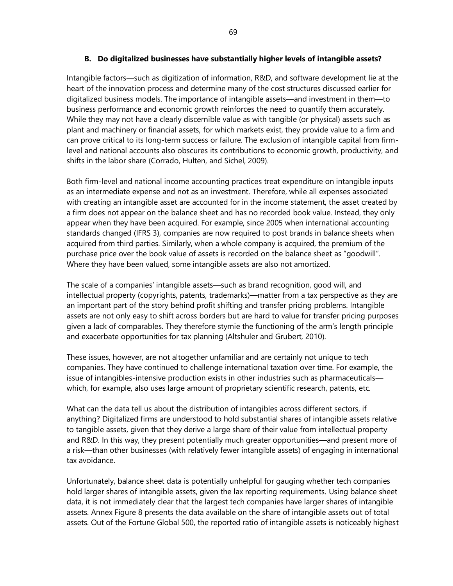#### **B. Do digitalized businesses have substantially higher levels of intangible assets?**

Intangible factors—such as digitization of information, R&D, and software development lie at the heart of the innovation process and determine many of the cost structures discussed earlier for digitalized business models. The importance of intangible assets—and investment in them—to business performance and economic growth reinforces the need to quantify them accurately. While they may not have a clearly discernible value as with tangible (or physical) assets such as plant and machinery or financial assets, for which markets exist, they provide value to a firm and can prove critical to its long-term success or failure. The exclusion of intangible capital from firmlevel and national accounts also obscures its contributions to economic growth, productivity, and shifts in the labor share (Corrado, Hulten, and Sichel, 2009).

Both firm-level and national income accounting practices treat expenditure on intangible inputs as an intermediate expense and not as an investment. Therefore, while all expenses associated with creating an intangible asset are accounted for in the income statement, the asset created by a firm does not appear on the balance sheet and has no recorded book value. Instead, they only appear when they have been acquired. For example, since 2005 when international accounting standards changed (IFRS 3), companies are now required to post brands in balance sheets when acquired from third parties. Similarly, when a whole company is acquired, the premium of the purchase price over the book value of assets is recorded on the balance sheet as "goodwill". Where they have been valued, some intangible assets are also not amortized.

The scale of a companies' intangible assets—such as brand recognition, good will, and intellectual property (copyrights, patents, trademarks)—matter from a tax perspective as they are an important part of the story behind profit shifting and transfer pricing problems. Intangible assets are not only easy to shift across borders but are hard to value for transfer pricing purposes given a lack of comparables. They therefore stymie the functioning of the arm's length principle and exacerbate opportunities for tax planning (Altshuler and Grubert, 2010).

These issues, however, are not altogether unfamiliar and are certainly not unique to tech companies. They have continued to challenge international taxation over time. For example, the issue of intangibles-intensive production exists in other industries such as pharmaceuticals which, for example, also uses large amount of proprietary scientific research, patents, etc.

What can the data tell us about the distribution of intangibles across different sectors, if anything? Digitalized firms are understood to hold substantial shares of intangible assets relative to tangible assets, given that they derive a large share of their value from intellectual property and R&D. In this way, they present potentially much greater opportunities—and present more of a risk—than other businesses (with relatively fewer intangible assets) of engaging in international tax avoidance.

Unfortunately, balance sheet data is potentially unhelpful for gauging whether tech companies hold larger shares of intangible assets, given the lax reporting requirements. Using balance sheet data, it is not immediately clear that the largest tech companies have larger shares of intangible assets. Annex Figure 8 presents the data available on the share of intangible assets out of total assets. Out of the Fortune Global 500, the reported ratio of intangible assets is noticeably highest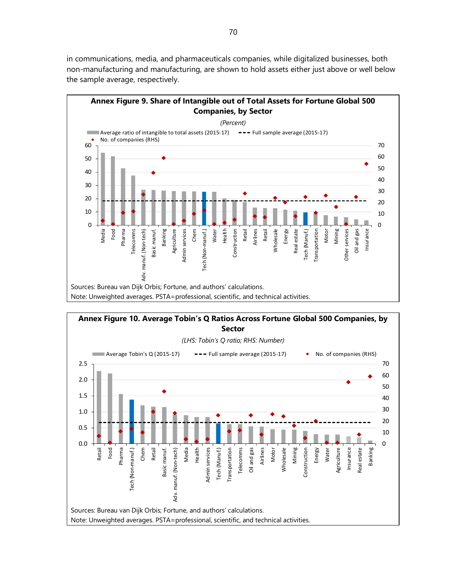in communications, media, and pharmaceuticals companies, while digitalized businesses, both non-manufacturing and manufacturing, are shown to hold assets either just above or well below the sample average, respectively.



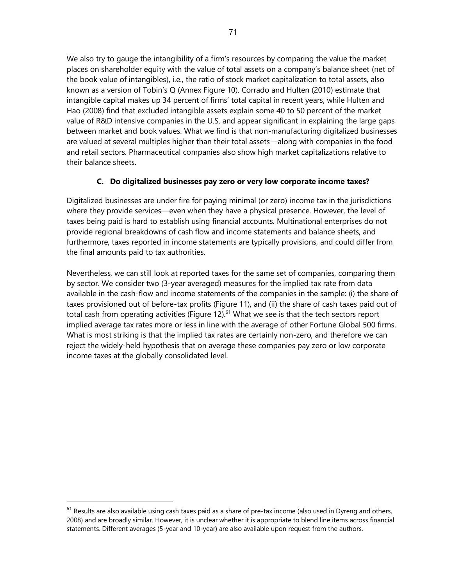We also try to gauge the intangibility of a firm's resources by comparing the value the market places on shareholder equity with the value of total assets on a company's balance sheet (net of the book value of intangibles), i.e., the ratio of stock market capitalization to total assets, also known as a version of Tobin's Q (Annex Figure 10). Corrado and Hulten (2010) estimate that intangible capital makes up 34 percent of firms' total capital in recent years, while Hulten and Hao (2008) find that excluded intangible assets explain some 40 to 50 percent of the market value of R&D intensive companies in the U.S. and appear significant in explaining the large gaps between market and book values. What we find is that non-manufacturing digitalized businesses are valued at several multiples higher than their total assets—along with companies in the food and retail sectors. Pharmaceutical companies also show high market capitalizations relative to their balance sheets.

# **C. Do digitalized businesses pay zero or very low corporate income taxes?**

Digitalized businesses are under fire for paying minimal (or zero) income tax in the jurisdictions where they provide services—even when they have a physical presence. However, the level of taxes being paid is hard to establish using financial accounts. Multinational enterprises do not provide regional breakdowns of cash flow and income statements and balance sheets, and furthermore, taxes reported in income statements are typically provisions, and could differ from the final amounts paid to tax authorities.

Nevertheless, we can still look at reported taxes for the same set of companies, comparing them by sector. We consider two (3-year averaged) measures for the implied tax rate from data available in the cash-flow and income statements of the companies in the sample: (i) the share of taxes provisioned out of before-tax profits (Figure 11), and (ii) the share of cash taxes paid out of total cash from operating activities (Figure  $12$ ).<sup>61</sup> What we see is that the tech sectors report implied average tax rates more or less in line with the average of other Fortune Global 500 firms. What is most striking is that the implied tax rates are certainly non-zero, and therefore we can reject the widely-held hypothesis that on average these companies pay zero or low corporate income taxes at the globally consolidated level.

 $61$  Results are also available using cash taxes paid as a share of pre-tax income (also used in Dyreng and others, 2008) and are broadly similar. However, it is unclear whether it is appropriate to blend line items across financial statements. Different averages (5-year and 10-year) are also available upon request from the authors.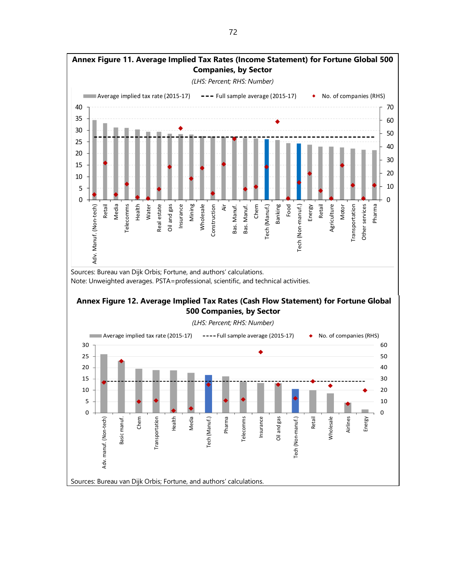

Sources: Bureau van Dijk Orbis; Fortune, and authors' calculations. Note: Unweighted averages. PSTA=professional, scientific, and technical activities.

# **Annex Figure 12. Average Implied Tax Rates (Cash Flow Statement) for Fortune Global 500 Companies, by Sector**

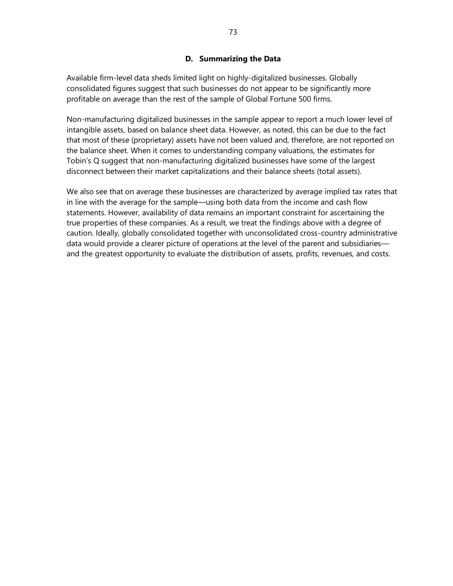## **D. Summarizing the Data**

Available firm-level data sheds limited light on highly-digitalized businesses. Globally consolidated figures suggest that such businesses do not appear to be significantly more profitable on average than the rest of the sample of Global Fortune 500 firms.

Non-manufacturing digitalized businesses in the sample appear to report a much lower level of intangible assets, based on balance sheet data. However, as noted, this can be due to the fact that most of these (proprietary) assets have not been valued and, therefore, are not reported on the balance sheet. When it comes to understanding company valuations, the estimates for Tobin's Q suggest that non-manufacturing digitalized businesses have some of the largest disconnect between their market capitalizations and their balance sheets (total assets).

We also see that on average these businesses are characterized by average implied tax rates that in line with the average for the sample—using both data from the income and cash flow statements. However, availability of data remains an important constraint for ascertaining the true properties of these companies. As a result, we treat the findings above with a degree of caution. Ideally, globally consolidated together with unconsolidated cross-country administrative data would provide a clearer picture of operations at the level of the parent and subsidiaries and the greatest opportunity to evaluate the distribution of assets, profits, revenues, and costs.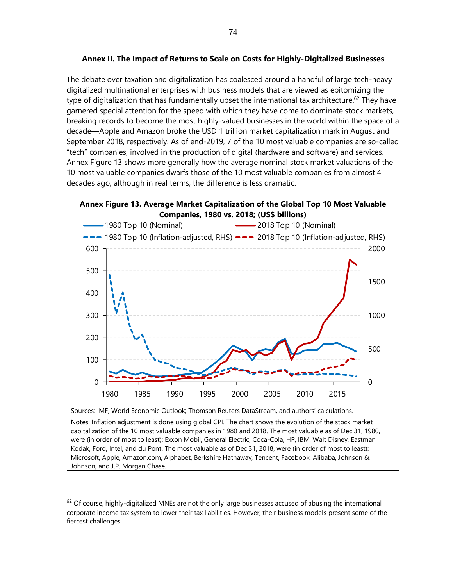## **Annex II. The Impact of Returns to Scale on Costs for Highly-Digitalized Businesses**

The debate over taxation and digitalization has coalesced around a handful of large tech-heavy digitalized multinational enterprises with business models that are viewed as epitomizing the type of digitalization that has fundamentally upset the international tax architecture.<sup>62</sup> They have garnered special attention for the speed with which they have come to dominate stock markets, breaking records to become the most highly-valued businesses in the world within the space of a decade—Apple and Amazon broke the USD 1 trillion market capitalization mark in August and September 2018, respectively. As of end-2019, 7 of the 10 most valuable companies are so-called "tech" companies, involved in the production of digital (hardware and software) and services. Annex Figure 13 shows more generally how the average nominal stock market valuations of the 10 most valuable companies dwarfs those of the 10 most valuable companies from almost 4 decades ago, although in real terms, the difference is less dramatic.



Notes: Inflation adjustment is done using global CPI. The chart shows the evolution of the stock market capitalization of the 10 most valuable companies in 1980 and 2018. The most valuable as of Dec 31, 1980, were (in order of most to least): Exxon Mobil, General Electric, Coca-Cola, HP, IBM, Walt Disney, Eastman Kodak, Ford, Intel, and du Pont. The most valuable as of Dec 31, 2018, were (in order of most to least): Microsoft, Apple, Amazon.com, Alphabet, Berkshire Hathaway, Tencent, Facebook, Alibaba, Johnson & Johnson, and J.P. Morgan Chase.

 $62$  Of course, highly-digitalized MNEs are not the only large businesses accused of abusing the international corporate income tax system to lower their tax liabilities. However, their business models present some of the fiercest challenges.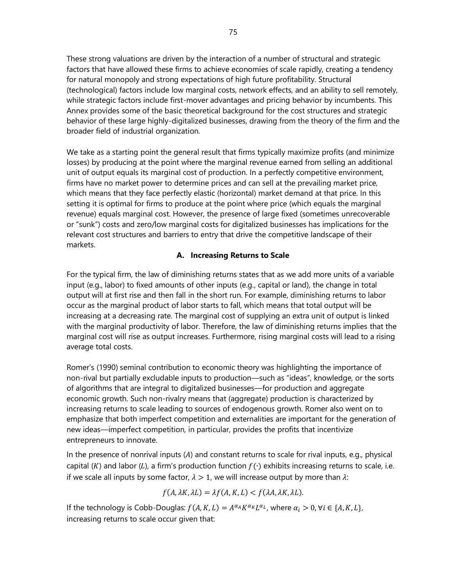These strong valuations are driven by the interaction of a number of structural and strategic factors that have allowed these firms to achieve economies of scale rapidly, creating a tendency for natural monopoly and strong expectations of high future profitability. Structural (technological) factors include low marginal costs, network effects, and an ability to sell remotely, while strategic factors include first-mover advantages and pricing behavior by incumbents. This Annex provides some of the basic theoretical background for the cost structures and strategic behavior of these large highly-digitalized businesses, drawing from the theory of the firm and the broader field of industrial organization.

We take as a starting point the general result that firms typically maximize profits (and minimize losses) by producing at the point where the marginal revenue earned from selling an additional unit of output equals its marginal cost of production. In a perfectly competitive environment, firms have no market power to determine prices and can sell at the prevailing market price, which means that they face perfectly elastic (horizontal) market demand at that price. In this setting it is optimal for firms to produce at the point where price (which equals the marginal revenue) equals marginal cost. However, the presence of large fixed (sometimes unrecoverable or "sunk") costs and zero/low marginal costs for digitalized businesses has implications for the relevant cost structures and barriers to entry that drive the competitive landscape of their markets.

## **A. Increasing Returns to Scale**

For the typical firm, the law of diminishing returns states that as we add more units of a variable input (e.g., labor) to fixed amounts of other inputs (e.g., capital or land), the change in total output will at first rise and then fall in the short run. For example, diminishing returns to labor occur as the marginal product of labor starts to fall, which means that total output will be increasing at a decreasing rate. The marginal cost of supplying an extra unit of output is linked with the marginal productivity of labor. Therefore, the law of diminishing returns implies that the marginal cost will rise as output increases. Furthermore, rising marginal costs will lead to a rising average total costs.

Romer's (1990) seminal contribution to economic theory was highlighting the importance of non-rival but partially excludable inputs to production—such as "ideas", knowledge, or the sorts of algorithms that are integral to digitalized businesses—for production and aggregate economic growth. Such non-rivalry means that (aggregate) production is characterized by increasing returns to scale leading to sources of endogenous growth. Romer also went on to emphasize that both imperfect competition and externalities are important for the generation of new ideas—imperfect competition, in particular, provides the profits that incentivize entrepreneurs to innovate.

In the presence of nonrival inputs  $(A)$  and constant returns to scale for rival inputs, e.g., physical capital (K) and labor (L), a firm's production function  $f(\cdot)$  exhibits increasing returns to scale, i.e. if we scale all inputs by some factor,  $\lambda > 1$ , we will increase output by more than  $\lambda$ :

$$
f(A, \lambda K, \lambda L) = \lambda f(A, K, L) < f(\lambda A, \lambda K, \lambda L).
$$

If the technology is Cobb-Douglas:  $f(A, K, L) = A^{\alpha_A} K^{\alpha_K} L^{\alpha_L}$ , where  $\alpha_i > 0$ ,  $\forall i \in \{A, K, L\}$ , increasing returns to scale occur given that: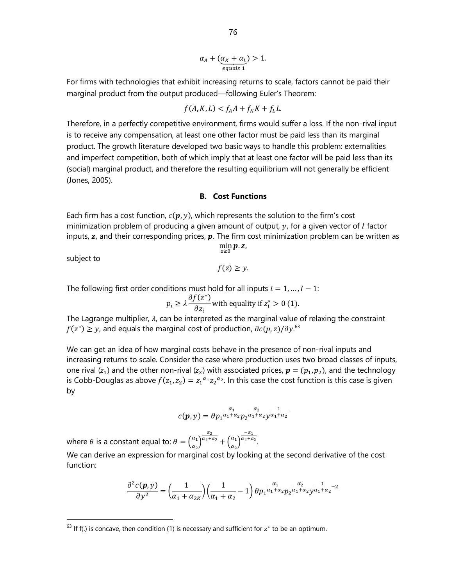76

$$
\alpha_A + (\underbrace{\alpha_K + \alpha_L}_{equals 1}) > 1.
$$

For firms with technologies that exhibit increasing returns to scale, factors cannot be paid their marginal product from the output produced—following Euler's Theorem:

$$
f(A, K, L) < f_A A + f_K K + f_L L.
$$

Therefore, in a perfectly competitive environment, firms would suffer a loss. If the non-rival input is to receive any compensation, at least one other factor must be paid less than its marginal product. The growth literature developed two basic ways to handle this problem: externalities and imperfect competition, both of which imply that at least one factor will be paid less than its (social) marginal product, and therefore the resulting equilibrium will not generally be efficient (Jones, 2005).

#### **B. Cost Functions**

Each firm has a cost function,  $c(p, y)$ , which represents the solution to the firm's cost minimization problem of producing a given amount of output,  $y$ , for a given vector of  $I$  factor inputs,  $z$ , and their corresponding prices,  $\boldsymbol{p}$ . The firm cost minimization problem can be written as  $\min p. z,$ 

subject to

 $f(z) \geq y$ .

 $z>0$ 

The following first order conditions must hold for all inputs  $i = 1, ..., I - 1$ :

$$
p_i \ge \lambda \frac{\partial f(z^*)}{\partial z_i}
$$
 with equality if  $z_i^* > 0$  (1).

The Lagrange multiplier,  $\lambda$ , can be interpreted as the marginal value of relaxing the constraint  $f(z^*) \geq y$ , and equals the marginal cost of production,  $\partial c(p, z) / \partial y$ .<sup>63</sup>

We can get an idea of how marginal costs behave in the presence of non-rival inputs and increasing returns to scale. Consider the case where production uses two broad classes of inputs, one rival ( $z_1$ ) and the other non-rival ( $z_2$ ) with associated prices,  $\boldsymbol{p} = (p_1, p_2)$ , and the technology is Cobb-Douglas as above  $f(z_1, z_2) = z_1^{\alpha_1} z_2^{\alpha_2}$ . In this case the cost function is this case is given by

$$
c(\pmb{p},y)=\theta p_1\frac{\alpha_1}{\alpha_1+\alpha_2}p_2\frac{\alpha_2}{\alpha_1+\alpha_2}y\frac{1}{\alpha_1+\alpha_2}
$$

where  $\theta$  is a constant equal to:  $\theta = \left(\frac{\alpha_1}{\alpha}\right)$  $\frac{a_1}{a_2}$  $\alpha_2$  $\frac{\overline{\alpha_1+\alpha_2}}{+}\bigg(\frac{\alpha_1}{\alpha_2}\bigg)$  $\frac{a_1}{a_2}$  $-\alpha_1$  $a_1 + a_2$ .

We can derive an expression for marginal cost by looking at the second derivative of the cost function:

$$
\frac{\partial^2 c(\mathbf{p}, \mathbf{y})}{\partial \mathbf{y}^2} = \left(\frac{1}{\alpha_1 + \alpha_{2K}}\right) \left(\frac{1}{\alpha_1 + \alpha_2} - 1\right) \theta p_1^{\frac{\alpha_1}{\alpha_1 + \alpha_2}} p_2^{\frac{\alpha_2}{\alpha_1 + \alpha_2}} \mathbf{y}^{\frac{1}{\alpha_1 + \alpha_2} - 2}
$$

 $63$  If f(.) is concave, then condition (1) is necessary and sufficient for  $z^*$  to be an optimum.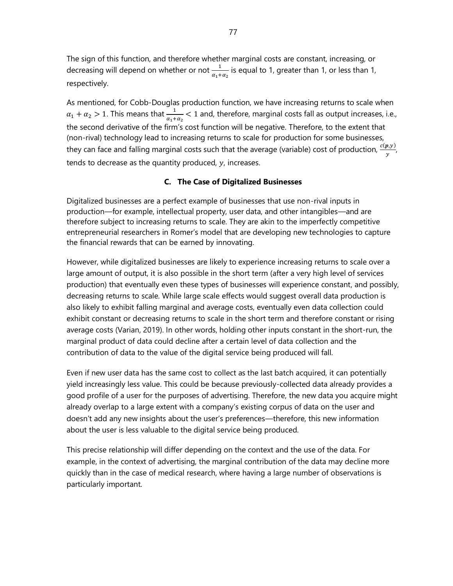The sign of this function, and therefore whether marginal costs are constant, increasing, or decreasing will depend on whether or not  $\frac{1}{\alpha_1+\alpha_2}$  is equal to 1, greater than 1, or less than 1, respectively.

As mentioned, for Cobb-Douglas production function, we have increasing returns to scale when  $\alpha_1 + \alpha_2 > 1$ . This means that  $\frac{1}{\alpha_1 + \alpha_2} < 1$  and, therefore, marginal costs fall as output increases, i.e., the second derivative of the firm's cost function will be negative. Therefore, to the extent that (non-rival) technology lead to increasing returns to scale for production for some businesses, they can face and falling marginal costs such that the average (variable) cost of production,  $\frac{c(\bm{p},y)}{y}$ tends to decrease as the quantity produced,  $y$ , increases.

#### **C. The Case of Digitalized Businesses**

Digitalized businesses are a perfect example of businesses that use non-rival inputs in production—for example, intellectual property, user data, and other intangibles—and are therefore subject to increasing returns to scale. They are akin to the imperfectly competitive entrepreneurial researchers in Romer's model that are developing new technologies to capture the financial rewards that can be earned by innovating.

However, while digitalized businesses are likely to experience increasing returns to scale over a large amount of output, it is also possible in the short term (after a very high level of services production) that eventually even these types of businesses will experience constant, and possibly, decreasing returns to scale. While large scale effects would suggest overall data production is also likely to exhibit falling marginal and average costs, eventually even data collection could exhibit constant or decreasing returns to scale in the short term and therefore constant or rising average costs (Varian, 2019). In other words, holding other inputs constant in the short-run, the marginal product of data could decline after a certain level of data collection and the contribution of data to the value of the digital service being produced will fall.

Even if new user data has the same cost to collect as the last batch acquired, it can potentially yield increasingly less value. This could be because previously-collected data already provides a good profile of a user for the purposes of advertising. Therefore, the new data you acquire might already overlap to a large extent with a company's existing corpus of data on the user and doesn't add any new insights about the user's preferences—therefore, this new information about the user is less valuable to the digital service being produced.

This precise relationship will differ depending on the context and the use of the data. For example, in the context of advertising, the marginal contribution of the data may decline more quickly than in the case of medical research, where having a large number of observations is particularly important.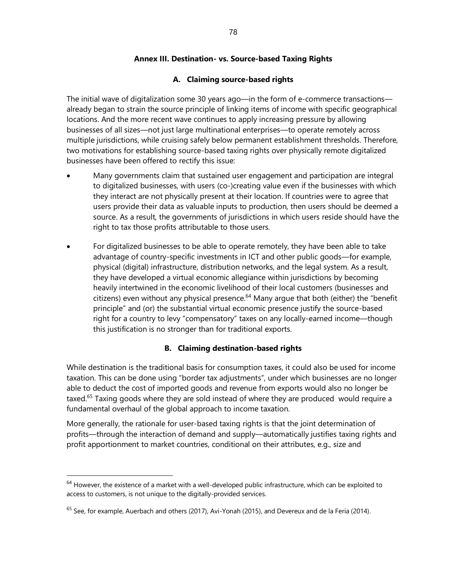# **Annex III. Destination- vs. Source-based Taxing Rights**

# **A. Claiming source-based rights**

The initial wave of digitalization some 30 years ago—in the form of e-commerce transactions already began to strain the source principle of linking items of income with specific geographical locations. And the more recent wave continues to apply increasing pressure by allowing businesses of all sizes—not just large multinational enterprises—to operate remotely across multiple jurisdictions, while cruising safely below permanent establishment thresholds. Therefore, two motivations for establishing source-based taxing rights over physically remote digitalized businesses have been offered to rectify this issue:

- Many governments claim that sustained user engagement and participation are integral to digitalized businesses, with users (co-)creating value even if the businesses with which they interact are not physically present at their location. If countries were to agree that users provide their data as valuable inputs to production, then users should be deemed a source. As a result, the governments of jurisdictions in which users reside should have the right to tax those profits attributable to those users.
- For digitalized businesses to be able to operate remotely, they have been able to take advantage of country-specific investments in ICT and other public goods—for example, physical (digital) infrastructure, distribution networks, and the legal system. As a result, they have developed a virtual economic allegiance within jurisdictions by becoming heavily intertwined in the economic livelihood of their local customers (businesses and  $c$ itizens) even without any physical presence.<sup>64</sup> Many arque that both (either) the "benefit principle" and (or) the substantial virtual economic presence justify the source-based right for a country to levy "compensatory" taxes on any locally-earned income—though this justification is no stronger than for traditional exports.

# **B. Claiming destination-based rights**

While destination is the traditional basis for consumption taxes, it could also be used for income taxation. This can be done using "border tax adjustments", under which businesses are no longer able to deduct the cost of imported goods and revenue from exports would also no longer be taxed.<sup>65</sup> Taxing goods where they are sold instead of where they are produced would require a fundamental overhaul of the global approach to income taxation.

More generally, the rationale for user-based taxing rights is that the joint determination of profits—through the interaction of demand and supply—automatically justifies taxing rights and profit apportionment to market countries, conditional on their attributes, e.g., size and

 $64$  However, the existence of a market with a well-developed public infrastructure, which can be exploited to access to customers, is not unique to the digitally-provided services.

<sup>&</sup>lt;sup>65</sup> See, for example, Auerbach and others (2017), Avi-Yonah (2015), and Devereux and de la Feria (2014).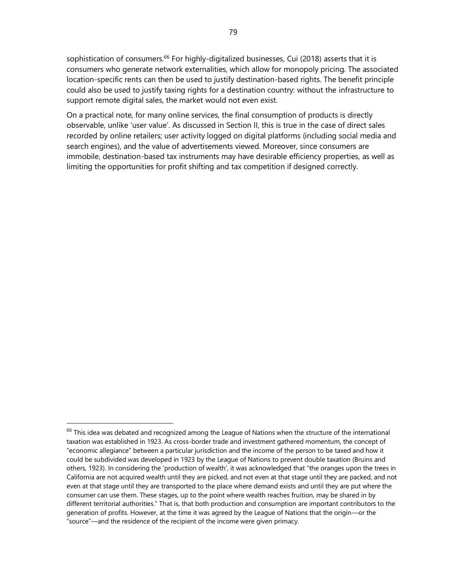sophistication of consumers.<sup>66</sup> For highly-digitalized businesses, Cui (2018) asserts that it is consumers who generate network externalities, which allow for monopoly pricing. The associated location-specific rents can then be used to justify destination-based rights. The benefit principle could also be used to justify taxing rights for a destination country: without the infrastructure to support remote digital sales, the market would not even exist.

On a practical note, for many online services, the final consumption of products is directly observable, unlike 'user value'. As discussed in Section II, this is true in the case of direct sales recorded by online retailers; user activity logged on digital platforms (including social media and search engines), and the value of advertisements viewed. Moreover, since consumers are immobile, destination-based tax instruments may have desirable efficiency properties, as well as limiting the opportunities for profit shifting and tax competition if designed correctly.

<sup>&</sup>lt;sup>66</sup> This idea was debated and recognized among the League of Nations when the structure of the international taxation was established in 1923. As cross-border trade and investment gathered momentum, the concept of "economic allegiance" between a particular jurisdiction and the income of the person to be taxed and how it could be subdivided was developed in 1923 by the League of Nations to prevent double taxation (Bruins and others, 1923). In considering the 'production of wealth', it was acknowledged that "the oranges upon the trees in California are not acquired wealth until they are picked, and not even at that stage until they are packed, and not even at that stage until they are transported to the place where demand exists and until they are put where the consumer can use them. These stages, up to the point where wealth reaches fruition, may be shared in by different territorial authorities." That is, that both production and consumption are important contributors to the generation of profits. However, at the time it was agreed by the League of Nations that the origin—or the "source"—and the residence of the recipient of the income were given primacy.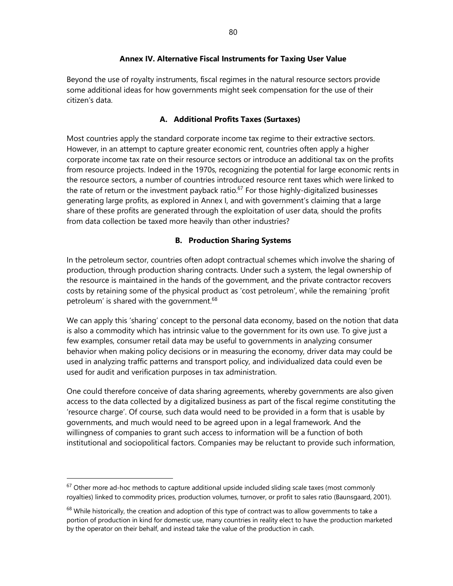## **Annex IV. Alternative Fiscal Instruments for Taxing User Value**

Beyond the use of royalty instruments, fiscal regimes in the natural resource sectors provide some additional ideas for how governments might seek compensation for the use of their citizen's data.

# **A. Additional Profits Taxes (Surtaxes)**

Most countries apply the standard corporate income tax regime to their extractive sectors. However, in an attempt to capture greater economic rent, countries often apply a higher corporate income tax rate on their resource sectors or introduce an additional tax on the profits from resource projects. Indeed in the 1970s, recognizing the potential for large economic rents in the resource sectors, a number of countries introduced resource rent taxes which were linked to the rate of return or the investment payback ratio.<sup>67</sup> For those highly-digitalized businesses generating large profits, as explored in Annex I, and with government's claiming that a large share of these profits are generated through the exploitation of user data, should the profits from data collection be taxed more heavily than other industries?

# **B. Production Sharing Systems**

In the petroleum sector, countries often adopt contractual schemes which involve the sharing of production, through production sharing contracts. Under such a system, the legal ownership of the resource is maintained in the hands of the government, and the private contractor recovers costs by retaining some of the physical product as 'cost petroleum', while the remaining 'profit petroleum' is shared with the government.<sup>68</sup>

We can apply this 'sharing' concept to the personal data economy, based on the notion that data is also a commodity which has intrinsic value to the government for its own use. To give just a few examples, consumer retail data may be useful to governments in analyzing consumer behavior when making policy decisions or in measuring the economy, driver data may could be used in analyzing traffic patterns and transport policy, and individualized data could even be used for audit and verification purposes in tax administration.

One could therefore conceive of data sharing agreements, whereby governments are also given access to the data collected by a digitalized business as part of the fiscal regime constituting the 'resource charge'. Of course, such data would need to be provided in a form that is usable by governments, and much would need to be agreed upon in a legal framework. And the willingness of companies to grant such access to information will be a function of both institutional and sociopolitical factors. Companies may be reluctant to provide such information,

 $67$  Other more ad-hoc methods to capture additional upside included sliding scale taxes (most commonly royalties) linked to commodity prices, production volumes, turnover, or profit to sales ratio (Baunsgaard, 2001).

 $68$  While historically, the creation and adoption of this type of contract was to allow governments to take a portion of production in kind for domestic use, many countries in reality elect to have the production marketed by the operator on their behalf, and instead take the value of the production in cash.